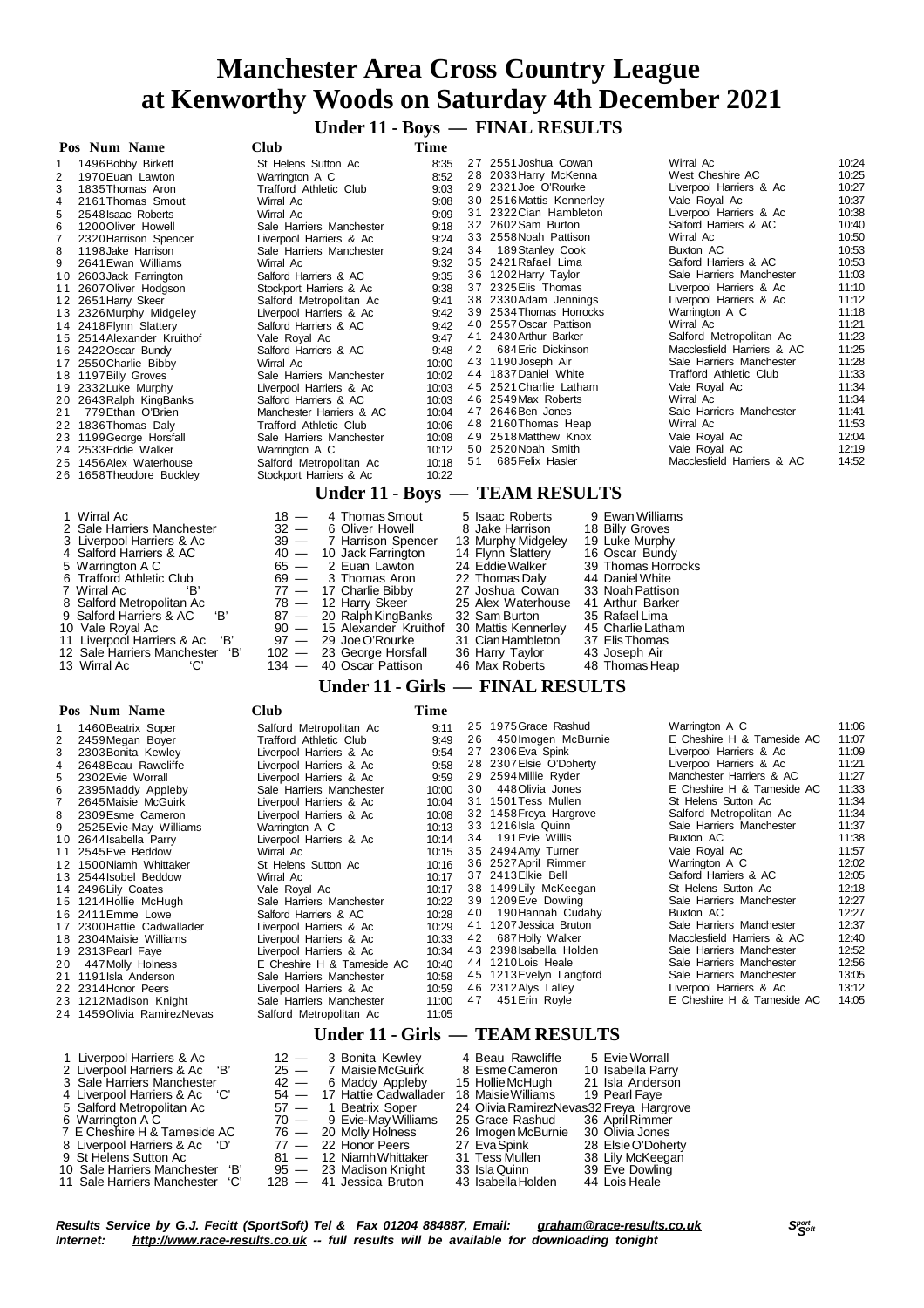**Under 11 - Boys — FINAL RESULTS**

|    | Pos Num Name               | Club                          | Time  |    |                                |                            |       |
|----|----------------------------|-------------------------------|-------|----|--------------------------------|----------------------------|-------|
|    | 1496 Bobby Birkett         | St Helens Sutton Ac           | 8:35  |    | 27 2551 Joshua Cowan           | Wirral Ac                  | 10:24 |
| 2  | 1970 Euan Lawton           | Warrington A C                | 8:52  |    | 28 2033 Harry McKenna          | West Cheshire AC           | 10:25 |
|    | 1835 Thomas Aron           | <b>Trafford Athletic Club</b> | 9:03  |    | 29 2321 Joe O'Rourke           | Liverpool Harriers & Ac    | 10:27 |
|    | 2161 Thomas Smout          | Wirral Ac                     | 9:08  |    | 30 2516 Mattis Kennerley       | Vale Royal Ac              | 10:37 |
|    | 2548 Isaac Roberts         | Wirral Ac                     | 9:09  |    | 31 2322 Cian Hambleton         | Liverpool Harriers & Ac    | 10:38 |
| 6  | 1200 Oliver Howell         | Sale Harriers Manchester      | 9:18  |    | 32 2602 Sam Burton             | Salford Harriers & AC      | 10:40 |
|    | 2320 Harrison Spencer      | Liverpool Harriers & Ac       | 9:24  |    | 33 2558 Noah Pattison          | Wirral Ac                  | 10:50 |
| 8  | 1198 Jake Harrison         | Sale Harriers Manchester      | 9:24  | 34 | 189 Stanley Cook               | Buxton AC                  | 10:53 |
| 9  | 2641 Ewan Williams         | Wirral Ac                     | 9:32  |    | 35 2421 Rafael Lima            | Salford Harriers & AC      | 10:53 |
| 10 | 2603 Jack Farrington       | Salford Harriers & AC         | 9:35  |    | 36 1202 Harry Taylor           | Sale Harriers Manchester   | 11:03 |
|    | 2607 Oliver Hodgson        | Stockport Harriers & Ac       | 9:38  |    | 37 2325 Elis Thomas            | Liverpool Harriers & Ac    | 11:10 |
| 12 | 2651 Harry Skeer           | Salford Metropolitan Ac       | 9:41  |    | 38 2330 Adam Jennings          | Liverpool Harriers & Ac    | 11:12 |
|    | 13 2326 Murphy Midgeley    | Liverpool Harriers & Ac       | 9:42  |    | 39 2534 Thomas Horrocks        | Warrington A C             | 11:18 |
|    | 14 2418 Flynn Slattery     | Salford Harriers & AC         | 9:42  |    | 40 2557 Oscar Pattison         | Wirral Ac                  | 11:21 |
|    | 15 2514 Alexander Kruithof | Vale Royal Ac                 | 9:47  |    | 41 2430 Arthur Barker          | Salford Metropolitan Ac    | 11:23 |
|    | 16 2422 Oscar Bundy        | Salford Harriers & AC         | 9:48  | 42 | 684 Eric Dickinson             | Macclesfield Harriers & AC | 11:25 |
| 17 | 2550 Charlie Bibby         | Wirral Ac                     | 10:00 |    | 43 1190 Joseph Air             | Sale Harriers Manchester   | 11:28 |
|    | 18 1197 Billy Groves       | Sale Harriers Manchester      | 10:02 |    | 44 1837 Daniel White           | Trafford Athletic Club     | 11:33 |
| 19 | 2332 Luke Murphy           | Liverpool Harriers & Ac       | 10:03 |    | 45 2521 Charlie Latham         | Vale Royal Ac              | 11:34 |
| 20 | 2643 Ralph King Banks      | Salford Harriers & AC         | 10:03 |    | 46 2549 Max Roberts            | Wirral Ac                  | 11:34 |
| 21 | 779 Ethan O'Brien          | Manchester Harriers & AC      | 10:04 |    | 47 2646 Ben Jones              | Sale Harriers Manchester   | 11:41 |
| 22 | 1836Thomas Daly            | <b>Trafford Athletic Club</b> | 10:06 |    | 48 2160 Thomas Heap            | Wirral Ac                  | 11:53 |
| 23 | 1199 George Horsfall       | Sale Harriers Manchester      | 10:08 |    | 49 2518 Matthew Knox           | Vale Royal Ac              | 12:04 |
|    | 24 2533 Eddie Walker       | Warrington A C                | 10:12 |    | 50 2520 Noah Smith             | Vale Royal Ac              | 12:19 |
|    | 25 1456 Alex Waterhouse    | Salford Metropolitan Ac       | 10:18 | 51 | 685 Felix Hasler               | Macclesfield Harriers & AC | 14:52 |
|    | 26 1658 Theodore Buckley   | Stockport Harriers & Ac       | 10:22 |    |                                |                            |       |
|    |                            |                               |       |    | Under 11 - Boys - TEAM RESULTS |                            |       |
|    | 1 Wirral Ac                | 4 Thomas Smout<br>$18 -$      |       |    | 5 Isaac Roberts                | 9 Ewan Williams            |       |

| 2 Sale Harriers Manchester                       | 32 - 6 Oliver Howell       | 8 Jake Harrison     | 18 Billy Groves    |
|--------------------------------------------------|----------------------------|---------------------|--------------------|
| 3 Liverpool Harriers & Ac                        | 39 - 7 Harrison Spencer    | 13 Murphy Midgeley  | 19 Luke Murphy     |
| 4 Salford Harriers & AC                          | $40 - 10$ Jack Farrington  | 14 Flynn Slattery   | 16 Oscar Bundy     |
| 5 Warrington A C                                 | $65 - 2$ Euan Lawton       | 24 Eddie Walker     | 39 Thomas Horrocks |
| 6 Trafford Athletic Club                         | $69 - 3$ Thomas Aron       | 22 Thomas Daly      | 44 Daniel White    |
| 7  Wirral Ac<br>— "B'                            | $77 - 17$ Charlie Bibby    | 27 Joshua Cowan     | 33 Noah Pattison   |
| 8 Salford Metropolitan Ac                        | $78 - 12$ Harry Skeer      | 25 Alex Waterhouse  | 41 Arthur Barker   |
| 9 Salford Harriers & AC 'B'                      | 87 - 20 Ralph King Banks   | 32 Sam Burton       | 35 Rafael Lima     |
| 10 Vale Royal Ac                                 | 90 - 15 Alexander Kruithof | 30 Mattis Kennerley | 45 Charlie Latham  |
| 11 Liverpool Harriers & Ac<br>ʻB'                | 97 — 29 Joe O'Rourke       | 31 Cian Hambleton   | 37 Elis Thomas     |
| 12 Sale Harriers Manchester 'B'                  | 102 - 23 George Horsfall   | 36 Harry Taylor     | 43 Joseph Air      |
| 13 Wirral Ac<br>$^{\circ}$ $^{\circ}$ $^{\circ}$ | 134 — 40 Oscar Pattison    | 46 Max Roberts      | 48 Thomas Heap     |
|                                                  |                            |                     |                    |

#### **Pos Num Name Club Time**

# 15 Alexander Kruithof 30 Mattis Kennerley 45 Charlie Latham 29 Joe O'Rourke 31 Cian Hambleton 37 Elis Thomas

1 1460Beatrix Soper Salford Metropolitan Ac 9:11<br>2 2459Megan Boyer Trafford Athletic Club 9:49

3 2303 Bonita Kewley Liverpool Harriers & Ac

# 2 2459Megan Boyer Trafford Athletic Club 9:49

**Under 11 - Girls — FINAL RESULTS**

| 4              | 2648 Beau Rawcliffe          | Liverpool Harriers & Ac    | 9:58  |
|----------------|------------------------------|----------------------------|-------|
| 5              | 2302 Evie Worrall            | Liverpool Harriers & Ac    | 9:59  |
| 6              | 2395Maddy Appleby            | Sale Harriers Manchester   | 10:00 |
| $\overline{7}$ | 2645 Maisie McGuirk          | Liverpool Harriers & Ac    | 10:04 |
| 8              | 2309 Esme Cameron            | Liverpool Harriers & Ac    | 10:08 |
| 9              | 2525 Evie-May Williams       | Warrington A C             | 10:13 |
|                | 10 2644 Isabella Parry       | Liverpool Harriers & Ac    | 10:14 |
| 11             | 2545 Eve Beddow              | Wirral Ac                  | 10:15 |
|                | 12 1500 Niamh Whittaker      | St Helens Sutton Ac        | 10:16 |
|                | 13 2544 sobel Beddow         | Wirral Ac                  | 10:17 |
|                | 14 2496 Lily Coates          | Vale Royal Ac              | 10:17 |
|                | 15 1214 Hollie McHugh        | Sale Harriers Manchester   | 10:22 |
|                | 16 2411 Emme Lowe            | Salford Harriers & AC      | 10:28 |
|                | 17 2300 Hattie Cadwallader   | Liverpool Harriers & Ac    | 10:29 |
|                | 18 2304 Maisie Williams      | Liverpool Harriers & Ac    | 10:33 |
|                | 19 2313 Pearl Faye           | Liverpool Harriers & Ac    | 10:34 |
|                | 20 447 Molly Holness         | E Cheshire H & Tameside AC | 10:40 |
|                | 21 1191 Isla Anderson        | Sale Harriers Manchester   | 10:58 |
|                | 22 2314 Honor Peers          | Liverpool Harriers & Ac    | 10:59 |
|                | 23 1212 Madison Knight       | Sale Harriers Manchester   | 11:00 |
|                | 24 1459 Olivia Ramirez Nevas | Salford Metropolitan Ac    | 11:05 |
|                |                              |                            |       |

| 1                       | 27 2306 Eva Spink       | Liverpool Harriers & Ac    | 11:09 |
|-------------------------|-------------------------|----------------------------|-------|
| 3                       | 28 2307 Elsie O'Doherty | Liverpool Harriers & Ac    | 11:21 |
|                         | 29 2594 Millie Ryder    | Manchester Harriers & AC   | 11:27 |
|                         | 30 448 Olivia Jones     | E Cheshire H & Tameside AC | 11:33 |
| $\overline{\mathbf{1}}$ | 31 1501 Tess Mullen     | St Helens Sutton Ac        | 11:34 |
| 3                       | 32 1458 Freya Hargrove  | Salford Metropolitan Ac    | 11:34 |
| $\overline{\mathbf{3}}$ | 33 1216 Isla Quinn      | Sale Harriers Manchester   | 11:37 |
| 4                       | 34 191 Evie Willis      | Buxton AC                  | 11:38 |
| $\overline{5}$          | 35 2494 Amy Turner      | Vale Royal Ac              | 11:57 |
| ŝ.                      | 36 2527 April Rimmer    | Warrington A C             | 12:02 |
|                         | 37 2413 Elkie Bell      | Salford Harriers & AC      | 12:05 |
|                         | 38 1499 Lily McKeegan   | St Helens Sutton Ac        | 12:18 |
| $\overline{2}$          | 39 1209 Eve Dowling     | Sale Harriers Manchester   | 12:27 |
| $\overline{\mathbf{3}}$ | 40 190 Hannah Cudahy    | Buxton AC                  | 12:27 |
| 3                       | 41 1207 Jessica Bruton  | Sale Harriers Manchester   | 12:37 |
| $\overline{\mathbf{3}}$ | 42 687 Holly Walker     | Macclesfield Harriers & AC | 12:40 |
| $\overline{\mathbf{1}}$ | 43 2398 Isabella Holden | Sale Harriers Manchester   | 12:52 |
| $\mathbf{C}$            | 44 1210 Lois Heale      | Sale Harriers Manchester   | 12:56 |
| $\overline{\mathbf{3}}$ | 45 1213 Evelyn Langford | Sale Harriers Manchester   | 13:05 |
| 9                       | 46 2312 Alys Lalley     | Liverpool Harriers & Ac    | 13:12 |
|                         | 47 451 Erin Rovle       | E Cheshire H & Tameside AC | 14:05 |

#### 25 1975 Grace Rashud Warrington A C 11:06<br>26 450 Imogen McBurnie E Cheshire H & Tameside AC 11:07 2 6 450Imogen McBurnie E Cheshire H & Tameside AC 11:07 Liverpool Harriers & Ac 11:09<br>Liverpool Harriers & Ac 11:21 Errepool Harriers & Ac 11:21<br>Manchester Harriers & AC 11:27 Manchester Harriers & AC 11:27<br>E Cheshire H & Tameside AC 11:33 E Cheshire H & Tameside AC 11:33<br>St Helens Sutton Ac 11:34 St Helens Sutton Ac 11:34<br>Salford Metropolitan Ac 11:34 Salford Metropolitan Ac Sale Harriers Manchester 11:37<br>Buxton AC 11:38 3 11:38 Buxton AC<br>
11:38 Vale Royal Ac 11:57 Vale Royal Ac 11:57<br>Warrington A C 12:02 Varrington A C<br>
Salford Harriers & AC 12:05 Salford Harriers & AC 12:05<br>St Helens Sutton Ac 12:18 St Helens Sutton Ac Sale Harriers Manchester 12:27<br>Buxton AC 12:27 Buxton AC 12:27<br>Sale Harriers Manchester 12:37 Sale Harriers Manchester Macclesfield Harriers & AC 12:40<br>Sale Harriers Manchester 12:52 Sale Harriers Manchester 12:52<br>Sale Harriers Manchester 12:56 Sale Harriers Manchester 12:56<br>Sale Harriers Manchester 13:05 Sale Harriers Manchester Liverpool Harriers & Ac 13:12

## **Under 11 - Girls — TEAM RESULTS**

1 Liverpool Harriers & Ac 12 - 3 Bonita Kewley 4 Beau Rawcliffe 5 Evie Worrall<br>
2 Liverpool Harriers & Ac 13 <br>
3 Sale Harriers Manchester 142 - 6 Maddy Appleby 15 Hollie McHugh 21 Isla Andersor<br>
4 Liverpool Harriers & Ac 1 Liverpool Harriers & Ac 'B' 25 - 7 Maisie McGuirk 8 Esme Cameron 10 Isabella Parry<br>
Sale Harriers Manchester 42 - 6 Maddy Appleby 15 Hollie McHugh 21 Isla Anderson<br>
Liverpool Harriers & Ac 'C' 54 - 17 Hattie Cadwallader 18 3 Sale Harriers Manchester 42 — 6 Maddy Appleby 15 HollieMcHugh 21 Isla Anderson 4 Liverpool Harriers & Ac 'C' 54 — 17 Hattie Cadwallader 18 MaisieWilliams 19 Pearl Faye 5 Salford Metropolitan Ac 57 - 1 Beatrix Soper 24 Olivia RamirezNevas32 Freya Hargrove<br>6 Warrington A C 70 - 9 Evie-May Williams 25 Grace Rashud 36 April Rimmer<br>7 E Cheshire H & Tameside AC 76 - 20 Molly Holness 26 Imogen 6 Warrington A C 70 — 9 Evie-MayWilliams 25 Grace Rashud 36 AprilRimmer 7 E Cheshire H & Tameside AC 76 — 20 Molly Holness 26 ImogenMcBurnie 30 Olivia Jones 8 Liverpool Harriers & Ac 'D' 77 - 22 Honor Peers 27 Eva Spink 28 Elsie O'Doherty<br>
9 St Helens Sutton Ac 81 - 12 Niamh Whittaker 31 Tess Mullen 38 Lily McKeegan<br>
10 Sale Harriers Manchester 'B' 95 - 23 Madison Knight 33 Is 9 St Helens Sutton Ac 81 — 12 NiamhWhittaker 31 Tess Mullen 38 Lily McKeegan 10 Sale Harriers Manchester 'B' 95 — 23 Madison Knight 33 IslaQuinn 39 Eve Dowling

11 Sale Harriers Manchester 'C' 128 — 41 Jessica Bruton 43 IsabellaHolden 44 Lois Heale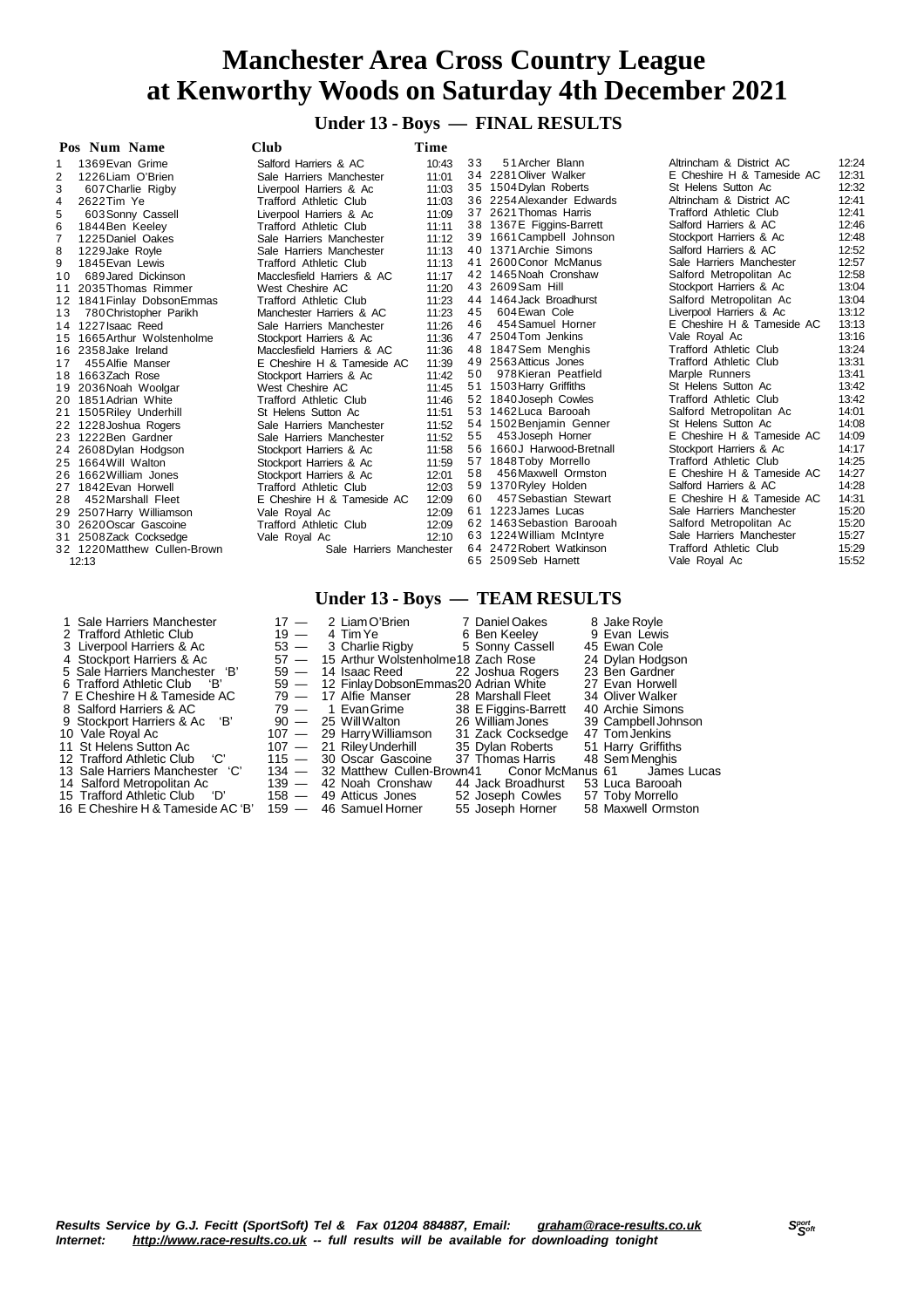**Under 13 - Boys — FINAL RESULTS**

| Pos Num Name                        | <b>Club</b>                    | Time  |    |                           |                               |       |  |  |  |  |  |
|-------------------------------------|--------------------------------|-------|----|---------------------------|-------------------------------|-------|--|--|--|--|--|
| 1369 Evan Grime                     | Salford Harriers & AC          | 10:43 | 33 | 51 Archer Blann           | Altrincham & District AC      | 12:24 |  |  |  |  |  |
| $\overline{2}$<br>1226 Liam O'Brien | Sale Harriers Manchester       | 11:01 |    | 34 2281 Oliver Walker     | E Cheshire H & Tameside AC    | 12:31 |  |  |  |  |  |
| 3<br>607 Charlie Rigby              | Liverpool Harriers & Ac        | 11:03 |    | 35 1504 Dylan Roberts     | St Helens Sutton Ac           | 12:32 |  |  |  |  |  |
| 2622Tim Ye<br>4                     | <b>Trafford Athletic Club</b>  | 11:03 |    | 36 2254 Alexander Edwards | Altrincham & District AC      | 12:41 |  |  |  |  |  |
| 5<br>603 Sonny Cassell              | Liverpool Harriers & Ac        | 11:09 |    | 37 2621 Thomas Harris     | <b>Trafford Athletic Club</b> | 12:41 |  |  |  |  |  |
| 1844 Ben Keeley<br>6                | <b>Trafford Athletic Club</b>  | 11:11 |    | 38 1367E Figgins-Barrett  | Salford Harriers & AC         | 12:46 |  |  |  |  |  |
| $\overline{7}$<br>1225 Daniel Oakes | Sale Harriers Manchester       | 11:12 |    | 39 1661 Campbell Johnson  | Stockport Harriers & Ac       | 12:48 |  |  |  |  |  |
| 8<br>1229 Jake Royle                | Sale Harriers Manchester       | 11:13 |    | 40 1371 Archie Simons     | Salford Harriers & AC         | 12:52 |  |  |  |  |  |
| 1845 Evan Lewis<br>9                | <b>Trafford Athletic Club</b>  | 11:13 | 41 | 2600 Conor McManus        | Sale Harriers Manchester      | 12:57 |  |  |  |  |  |
| 689 Jared Dickinson<br>10           | Macclesfield Harriers & AC     | 11:17 |    | 42 1465 Noah Cronshaw     | Salford Metropolitan Ac       | 12:58 |  |  |  |  |  |
| 2035 Thomas Rimmer<br>11            | West Cheshire AC               | 11:20 |    | 43 2609Sam Hill           | Stockport Harriers & Ac       | 13:04 |  |  |  |  |  |
| 12 1841 Finlay Dobson Emmas         | <b>Trafford Athletic Club</b>  | 11:23 |    | 44 1464 Jack Broadhurst   | Salford Metropolitan Ac       | 13:04 |  |  |  |  |  |
| 780 Christopher Parikh<br>13        | Manchester Harriers & AC       | 11:23 | 45 | 604 Ewan Cole             | Liverpool Harriers & Ac       | 13:12 |  |  |  |  |  |
| 14 1227 Isaac Reed                  | Sale Harriers Manchester       | 11:26 | 46 | 454 Samuel Horner         | E Cheshire H & Tameside AC    | 13:13 |  |  |  |  |  |
| 15 1665 Arthur Wolstenholme         | Stockport Harriers & Ac        | 11:36 |    | 47 2504 Tom Jenkins       | Vale Royal Ac                 | 13:16 |  |  |  |  |  |
| 2358 Jake Ireland<br>16             | Macclesfield Harriers & AC     | 11:36 |    | 48 1847 Sem Menghis       | <b>Trafford Athletic Club</b> | 13:24 |  |  |  |  |  |
| 455 Alfie Manser<br>17              | E Cheshire H & Tameside AC     | 11:39 |    | 49 2563 Atticus Jones     | <b>Trafford Athletic Club</b> | 13:31 |  |  |  |  |  |
| 1663Zach Rose<br>18.                | Stockport Harriers & Ac        | 11:42 | 50 | 978 Kieran Peatfield      | Marple Runners                | 13:41 |  |  |  |  |  |
| 2036 Noah Woolgar<br>19             | West Cheshire AC               | 11:45 |    | 51 1503 Harry Griffiths   | St Helens Sutton Ac           | 13:42 |  |  |  |  |  |
| 20 1851 Adrian White                | <b>Trafford Athletic Club</b>  | 11:46 |    | 52 1840 Joseph Cowles     | <b>Trafford Athletic Club</b> | 13:42 |  |  |  |  |  |
| 1505 Riley Underhill<br>21          | St Helens Sutton Ac            | 11:51 |    | 53 1462 Luca Barooah      | Salford Metropolitan Ac       | 14:01 |  |  |  |  |  |
| 22 1228 Joshua Rogers               | Sale Harriers Manchester       | 11:52 |    | 54 1502 Benjamin Genner   | St Helens Sutton Ac           | 14:08 |  |  |  |  |  |
| 23 1222 Ben Gardner                 | Sale Harriers Manchester       | 11:52 | 55 | 453 Joseph Horner         | E Cheshire H & Tameside AC    | 14:09 |  |  |  |  |  |
| 2608 Dylan Hodgson<br>24            | Stockport Harriers & Ac        | 11:58 |    | 56 1660J Harwood-Bretnall | Stockport Harriers & Ac       | 14:17 |  |  |  |  |  |
| 25 1664 Will Walton                 | Stockport Harriers & Ac        | 11:59 |    | 57 1848 Toby Morrello     | <b>Trafford Athletic Club</b> | 14:25 |  |  |  |  |  |
| 26 1662 William Jones               | Stockport Harriers & Ac        | 12:01 | 58 | 456 Maxwell Ormston       | E Cheshire H & Tameside AC    | 14:27 |  |  |  |  |  |
| 27 1842 Evan Horwell                | <b>Trafford Athletic Club</b>  | 12:03 |    | 59 1370 Ryley Holden      | Salford Harriers & AC         | 14:28 |  |  |  |  |  |
| 28<br>452 Marshall Fleet            | E Cheshire H & Tameside AC     | 12:09 | 60 | 457 Sebastian Stewart     | E Cheshire H & Tameside AC    | 14:31 |  |  |  |  |  |
| 2507 Harry Williamson<br>29         | Vale Royal Ac                  | 12:09 |    | 61 1223 James Lucas       | Sale Harriers Manchester      | 15:20 |  |  |  |  |  |
| 30 2620 Oscar Gascoine              | <b>Trafford Athletic Club</b>  | 12:09 |    | 62 1463 Sebastion Barooah | Salford Metropolitan Ac       | 15:20 |  |  |  |  |  |
| 2508 Zack Cocksedge<br>31           | Vale Royal Ac                  | 12:10 |    | 63 1224 William McIntyre  | Sale Harriers Manchester      | 15:27 |  |  |  |  |  |
| 32 1220 Matthew Cullen-Brown        | Sale Harriers Manchester       |       |    | 64 2472 Robert Watkinson  | <b>Trafford Athletic Club</b> | 15:29 |  |  |  |  |  |
| 12:13                               |                                |       |    | 65 2509Seb Harnett        | Vale Royal Ac                 | 15:52 |  |  |  |  |  |
|                                     | Under 13 - Boys — TEAM RESULTS |       |    |                           |                               |       |  |  |  |  |  |

- 
- 
- 
- 
- 
- 
- 
- 
- 
- 
- 
- 
- 
- 
- 15 Trafford Athletic Club 'D' 158 49 Atticus Jones 52 Joseph Cowles 57 Toby Morrello<br>16 E Cheshire H & Tameside AC 'B' 159 46 Samuel Horner 55 Joseph Horner 58 Maxwell Ormston

1 Sale Harriers Manchester 17 - 2 Liam O'Brien 7 Daniel Oakes 8 Jake Royle<br>
2 Trafford Athletic Club 19 - 4 Tim Ye 6 Ben Keeley 9 Evan Lewis<br>
3 Liverpool Harriers & Ac 53 - 3 Charlie Rigby 5 Sonny Cassell 45 Ewan Cole<br>
4 S Trafford Athletic Club 19 — 4 TimYe 6 Ben Keeley 9 Evan Lewis 3 Liverpool Harriers & Ac 53 — 3 Charlie Rigby 5 Sonny Cassell 45 Ewan Cole Stockport Harriers & Ac 57 — 15 Arthur Wolstenholme18 Zach Rose 24 Dylan Hodgson Sale Harriers Manchester 'B' 59 — 14 Isaac Reed 22 Joshua Rogers 23 Ben Gardner 6 Trafford Athletic Club 'B' 59 — 12 FinlayDobsonEmmas20 Adrian White 27 Evan Horwell 4 Stockport Harriers & Ac  $\begin{array}{r} 7 = \text{Stel} & 18 & 40000 \\ 7 = \text{Stel} & 59 & -12 & \text{Firlary DobsonEmmas20} \\ 8 = \text{Hartries Manchester} & 59 & -12 & \text{Firlary DobsonEmmas20} \\ 9 = \text{Stel} & 74 & \text{Oiver Wall} \\ 19 = \text{Stel} & 34 & \text{Oiver Walker} \\ 14 = \text{Stel} & 34 & \text{Oiver Walker} \\ 15 = \text{Stel} & 34 & \text{Oiver Walker} \\ 16 = \text$ 8 Salford Harriers & AC 79 — 1 EvanGrime 38 E Figgins-Barrett 40 Archie Simons Stockport Harriers & Ac 'B' 90 — 25 WillWalton 26 WilliamJones 39 CampbellJohnson 10 Vale Royal Ac 107 — 29 HarryWilliamson 31 Zack Cocksedge 47 TomJenkins

- 
- 
- 
- 

 St Helens Sutton Ac 107 — 21 RileyUnderhill 35 Dylan Roberts 51 Harry Griffiths 12 Trafford Athletic Club 'C' 115 — 30 Oscar Gascoine 37 Thomas Harris 48 SemMenghis 10 Vale Royal Ac 107 — 29 Harry Williamson 21 Zack Cocksedge 47 Tom Jenkins<br>
11 St Helens Sutton Ac 107 — 21 Riley Underhill 35 Dylan Roberts 51 Harry Griffiths<br>
12 Trafford Athletic Club C' 115 — 30 Oscar Gascoine 37 Thom 14 Salford Metropolitan Ac 139 — 42 Noah Cronshaw 44 Jack Broadhurst 53 Luca Barooah Trafford Athletic Club 'D' 158 — 49 Atticus Jones 52 Joseph Cowles 57 Toby Morrello

- 
- -
	-
	-
	-
	-
	-
	-
	-
	-
	-
	-
	-

Results Service by G.J. Fecitt (SportSoft) Tel & Fax 01204 884887, Email: [graham@race-results.co.uk](mailto:graham@race-results.co.uk)<br>Internet: http://www.race-results.co.uk -- full results will be available for downloading topight *Internet: <http://www.race-results.co.uk> -- full results will be available for downloading tonight*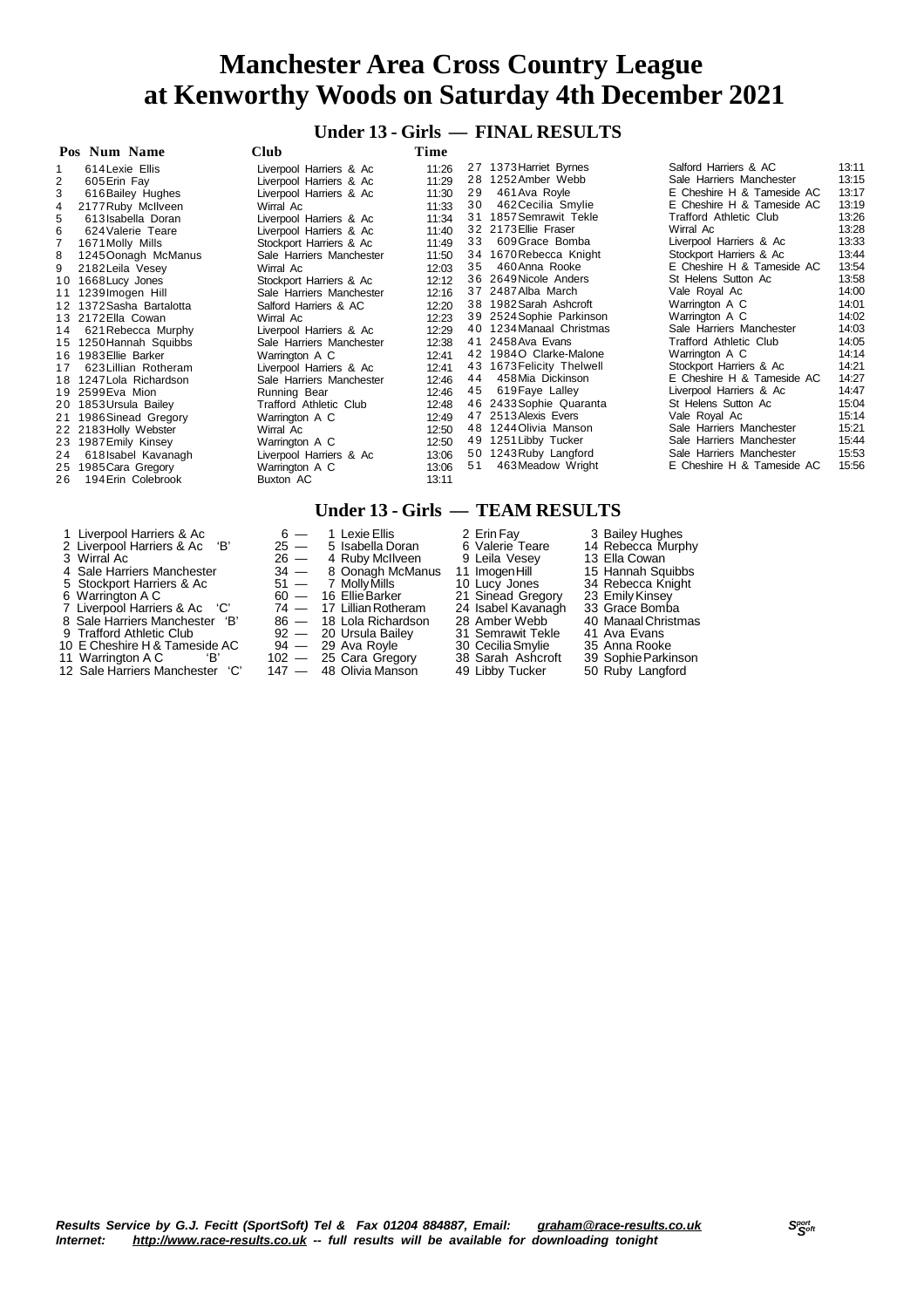#### **Under 13 - Girls — FINAL RESULTS**

|    | Pos Num Name          | Club                     | Time  |    |                           |                               |       |
|----|-----------------------|--------------------------|-------|----|---------------------------|-------------------------------|-------|
|    | 614 Lexie Ellis       | Liverpool Harriers & Ac  | 11:26 |    | 27 1373 Harriet Byrnes    | Salford Harriers & AC         | 13:11 |
| 2  | 605 Erin Fay          | Liverpool Harriers & Ac  | 11:29 |    | 28 1252 Amber Webb        | Sale Harriers Manchester      | 13:15 |
| 3  | 616 Bailey Hughes     | Liverpool Harriers & Ac  | 11:30 | 29 | 461 Ava Royle             | E Cheshire H & Tameside AC    | 13:17 |
| 4  | 2177 Ruby McIlveen    | Wirral Ac                | 11:33 | 30 | 462 Cecilia Smylie        | E Cheshire H & Tameside AC    | 13:19 |
| 5  | 613 Isabella Doran    | Liverpool Harriers & Ac  | 11:34 | 31 | 1857 Semrawit Tekle       | <b>Trafford Athletic Club</b> | 13:26 |
| 6  | 624 Valerie Teare     | Liverpool Harriers & Ac  | 11:40 |    | 32 2173 Ellie Fraser      | Wirral Ac                     | 13:28 |
|    | 1671 Molly Mills      | Stockport Harriers & Ac  | 11:49 | 33 | 609 Grace Bomba           | Liverpool Harriers & Ac       | 13:33 |
| 8  | 1245 Oonagh McManus   | Sale Harriers Manchester | 11:50 |    | 34 1670 Rebecca Knight    | Stockport Harriers & Ac       | 13:44 |
| 9  | 2182 Leila Vesey      | Wirral Ac                | 12:03 | 35 | 460 Anna Rooke            | E Cheshire H & Tameside AC    | 13:54 |
| 10 | 1668 Lucy Jones       | Stockport Harriers & Ac  | 12:12 |    | 36 2649 Nicole Anders     | St Helens Sutton Ac           | 13:58 |
| 11 | 1239 Imogen Hill      | Sale Harriers Manchester | 12:16 |    | 37 2487 Alba March        | Vale Royal Ac                 | 14:00 |
| 12 | 1372 Sasha Bartalotta | Salford Harriers & AC    | 12:20 |    | 38 1982 Sarah Ashcroft    | Warrington A C                | 14:01 |
|    | 13 2172 Ella Cowan    | Wirral Ac                | 12:23 |    | 39 2524 Sophie Parkinson  | Warrington A C                | 14:02 |
| 14 | 621 Rebecca Murphy    | Liverpool Harriers & Ac  | 12:29 |    | 40 1234 Manaal Christmas  | Sale Harriers Manchester      | 14:03 |
| 15 | 1250 Hannah Squibbs   | Sale Harriers Manchester | 12:38 | 41 | 2458 Ava Evans            | <b>Trafford Athletic Club</b> | 14:05 |
|    | 16 1983 Ellie Barker  | Warrington A C           | 12:41 |    | 42 1984O Clarke-Malone    | Warrington A C                | 14:14 |
| 17 | 623 Lillian Rotheram  | Liverpool Harriers & Ac  | 12:41 |    | 43 1673 Felicity Thelwell | Stockport Harriers & Ac       | 14:21 |
| 18 | 1247 Lola Richardson  | Sale Harriers Manchester | 12:46 | 44 | 458 Mia Dickinson         | E Cheshire H & Tameside AC    | 14:27 |
|    | 19 2599 Eva Mion      | Running Bear             | 12:46 | 45 | 619 Faye Lalley           | Liverpool Harriers & Ac       | 14:47 |
|    | 20 1853 Ursula Bailey | Trafford Athletic Club   | 12:48 |    | 46 2433 Sophie Quaranta   | St Helens Sutton Ac           | 15:04 |
|    | 1986 Sinead Gregory   | Warrington A C           | 12:49 | 47 | 2513 Alexis Evers         | Vale Royal Ac                 | 15:14 |
|    | 22 2183 Holly Webster | Wirral Ac                | 12:50 |    | 48 1244 Olivia Manson     | Sale Harriers Manchester      | 15:21 |
|    | 23 1987 Emily Kinsey  | Warrington A C           | 12:50 |    | 49 1251 Libby Tucker      | Sale Harriers Manchester      | 15:44 |
| 24 | 618 Isabel Kavanagh   | Liverpool Harriers & Ac  | 13:06 |    | 50 1243 Ruby Langford     | Sale Harriers Manchester      | 15:53 |
|    | 25 1985 Cara Gregory  | Warrington A C           | 13:06 | 51 | 463Meadow Wright          | E Cheshire H & Tameside AC    | 15:56 |
| 26 | 194 Erin Colebrook    | Buxton AC                | 13:11 |    |                           |                               |       |
|    |                       |                          |       |    |                           |                               |       |

#### **Under 13 - Girls — TEAM RESULTS**

| 1 Liverpool Harriers & Ac            | $6 -$  | 1 Lexie Ellis            | 2 Erin Fay         | 3 Bailey Hughes     |
|--------------------------------------|--------|--------------------------|--------------------|---------------------|
| 2 Liverpool Harriers & Ac 'B'        | $25 -$ | 5 Isabella Doran         | 6 Valerie Teare    | 14 Rebecca Murphy   |
| 3 Wirral Ac                          |        | 26 - 4 Ruby McIlveen     | 9 Leila Vesev      | 13 Ella Cowan       |
| 4 Sale Harriers Manchester           | $34 -$ | 8 Oonagh McManus         | 11 Imogen Hill     | 15 Hannah Squibbs   |
| 5 Stockport Harriers & Ac            |        | $51 - 7$ Molly Mills     | 10 Lucy Jones      | 34 Rebecca Knight   |
| 6 Warrington A C                     |        | $60 - 16$ Ellie Barker   | 21 Sinead Gregory  | 23 Emily Kinsey     |
| 7 Liverpool Harriers & Ac 'C'        |        | 74 — 17 Lillian Rotheram | 24 Isabel Kavanagh | 33 Grace Bomba      |
| 8 Sale Harriers Manchester 'B'       |        | 86 - 18 Lola Richardson  | 28 Amber Webb      | 40 Manaal Christmas |
| 9 Trafford Athletic Club             |        | 92 - 20 Ursula Bailey    | 31 Semrawit Tekle  | 41 Ava Evans        |
| 10 E Cheshire H & Tameside AC        |        | 94 — 29 Ava Royle        | 30 Cecilia Smylie  | 35 Anna Rooke       |
| 11 Warrington A C<br>$\overline{B'}$ |        | $102 - 25$ Cara Gregory  | 38 Sarah Ashcroft  | 39 Sophie Parkinson |
| 12 Sale Harriers Manchester 'C'      |        | 147 — 48 Olivia Manson   | 49 Libby Tucker    | 50 Ruby Langford    |

- 1 Liverpool Harriers & Ac
- 
- 4 Sale Harriers Mancheste
- 
- 
- 
- 
- 
- 10 E Cheshire H & Tamesic
- 

- 
-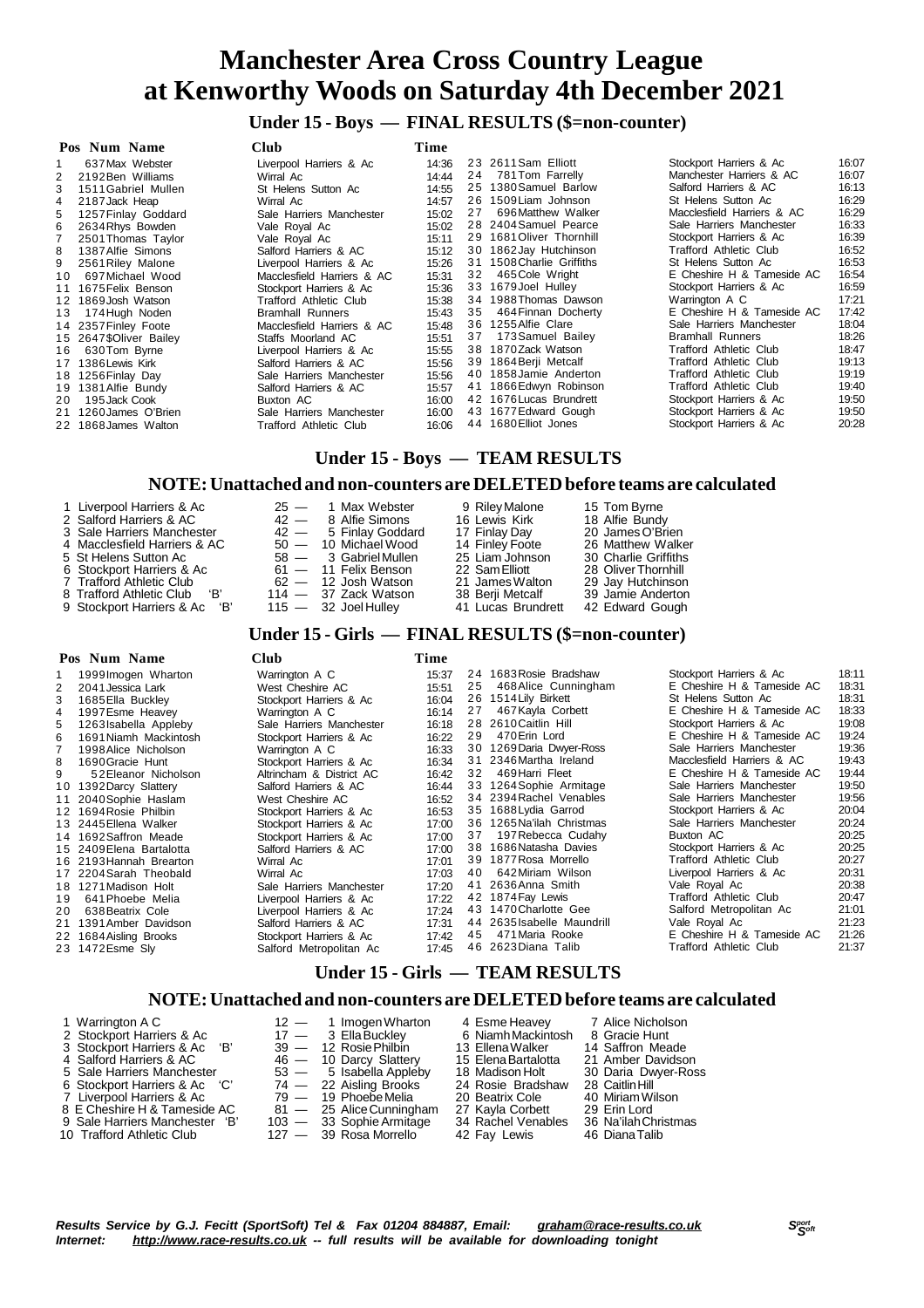**Under 15 - Boys — FINAL RESULTS (\$=non-counter)**

|     | Pos Num Name            | <b>Club</b>                   | Time  |    |                           |                               |       |
|-----|-------------------------|-------------------------------|-------|----|---------------------------|-------------------------------|-------|
|     | 637 Max Webster         | Liverpool Harriers & Ac       | 14:36 |    | 23 2611 Sam Elliott       | Stockport Harriers & Ac       | 16:07 |
|     | 2192Ben Williams        | Wirral Ac                     | 14:44 | 24 | 781 Tom Farrelly          | Manchester Harriers & AC      | 16:07 |
| 3   | 1511 Gabriel Mullen     | St Helens Sutton Ac           | 14:55 |    | 25 1380 Samuel Barlow     | Salford Harriers & AC         | 16:13 |
| 4   | 2187 Jack Heap          | Wirral Ac                     | 14:57 |    | 26 1509 Liam Johnson      | St Helens Sutton Ac           | 16:29 |
| 5   | 1257 Finlay Goddard     | Sale Harriers Manchester      | 15:02 | 27 | 696 Matthew Walker        | Macclesfield Harriers & AC    | 16:29 |
| 6   | 2634 Rhys Bowden        | Vale Royal Ac                 | 15:02 |    | 28 2404 Samuel Pearce     | Sale Harriers Manchester      | 16:33 |
|     | 2501 Thomas Taylor      | Vale Royal Ac                 | 15:11 |    | 29 1681 Oliver Thornhill  | Stockport Harriers & Ac       | 16:39 |
| 8   | 1387 Alfie Simons       | Salford Harriers & AC         | 15:12 |    | 30 1862 Jay Hutchinson    | Trafford Athletic Club        | 16:52 |
| 9   | 2561 Riley Malone       | Liverpool Harriers & Ac       | 15:26 |    | 31 1508 Charlie Griffiths | St Helens Sutton Ac           | 16:53 |
| 10  | 697 Michael Wood        | Macclesfield Harriers & AC    | 15:31 | 32 | 465 Cole Wright           | E Cheshire H & Tameside AC    | 16:54 |
| 11  | 1675 Felix Benson       | Stockport Harriers & Ac       | 15:36 |    | 33 1679 Joel Hulley       | Stockport Harriers & Ac       | 16:59 |
| 12. | 1869 Josh Watson        | Trafford Athletic Club        | 15:38 |    | 34 1988 Thomas Dawson     | Warrington A C                | 17:21 |
| 13  | 174 Hugh Noden          | <b>Bramhall Runners</b>       | 15:43 | 35 | 464 Finnan Docherty       | E Cheshire H & Tameside AC    | 17:42 |
|     | 14 2357 Finley Foote    | Macclesfield Harriers & AC    | 15:48 |    | 36 1255 Alfie Clare       | Sale Harriers Manchester      | 18:04 |
|     | 15 2647 \$Oliver Bailey | Staffs Moorland AC            | 15:51 | 37 | 173 Samuel Bailey         | <b>Bramhall Runners</b>       | 18:26 |
| 16  | 630Tom Byrne            | Liverpool Harriers & Ac       | 15:55 |    | 38 1870 Zack Watson       | <b>Trafford Athletic Club</b> | 18:47 |
| 17  | 1386 Lewis Kirk         | Salford Harriers & AC         | 15:56 |    | 39 1864 Berji Metcalf     | <b>Trafford Athletic Club</b> | 19:13 |
| 18  | 1256 Finlay Day         | Sale Harriers Manchester      | 15:56 |    | 40 1858 Jamie Anderton    | <b>Trafford Athletic Club</b> | 19:19 |
| 19  | 1381 Alfie Bundy        | Salford Harriers & AC         | 15:57 |    | 41 1866 Edwyn Robinson    | <b>Trafford Athletic Club</b> | 19:40 |
| 20  | 195 Jack Cook           | Buxton AC                     | 16:00 |    | 42 1676 Lucas Brundrett   | Stockport Harriers & Ac       | 19:50 |
| 21  | 1260 James O'Brien      | Sale Harriers Manchester      | 16:00 |    | 43 1677 Edward Gough      | Stockport Harriers & Ac       | 19:50 |
|     | 22 1868 James Walton    | <b>Trafford Athletic Club</b> | 16:06 |    | 44 1680 Elliot Jones      | Stockport Harriers & Ac       | 20:28 |

#### **Under 15 - Boys — TEAM RESULTS**

#### **NOTE:Unattached and non-counters are DELETEDbefore teams are calculated**

| 1 Liverpool Harriers & Ac     | 25 - 1 Max Webster     | 9 Rilev Malone     | 15 Tom Byrne         |
|-------------------------------|------------------------|--------------------|----------------------|
| 2 Salford Harriers & AC       | $42 - 8$ Alfie Simons  | 16 Lewis Kirk      | 18 Alfie Bundy       |
| 3 Sale Harriers Manchester    | 42 - 5 Finlay Goddard  | 17 Finlay Day      | 20 James O'Brien     |
| 4 Macclesfield Harriers & AC  | 50 - 10 Michael Wood   | 14 Finley Foote    | 26 Matthew Walker    |
| 5 St Helens Sutton Ac         | 58 - 3 Gabriel Mullen  | 25 Liam Johnson    | 30 Charlie Griffiths |
| 6 Stockport Harriers & Ac     | $61 - 11$ Felix Benson | 22 Sam Elliott     | 28 Oliver Thornhill  |
| 7 Trafford Athletic Club      | $62 - 12$ Josh Watson  | 21 James Walton    | 29 Jay Hutchinson    |
| 8 Trafford Athletic Club 'B'  | $114 - 37$ Zack Watson | 38 Berji Metcalf   | 39 Jamie Anderton    |
| 9 Stockport Harriers & Ac 'B' | $115 - 32$ Joel Hullev | 41 Lucas Brundrett | 42 Edward Gough      |

#### **Under 15 - Girls — FINAL RESULTS (\$=non-counter)**

|                | Pos Num Name             | <b>Club</b>              | Time  |    |                            |                               |       |
|----------------|--------------------------|--------------------------|-------|----|----------------------------|-------------------------------|-------|
|                | 1999 Imogen Wharton      | Warrington A C           | 15:37 |    | 24 1683 Rosie Bradshaw     | Stockport Harriers & Ac       | 18:11 |
| $\overline{2}$ | 2041 Jessica Lark        | West Cheshire AC         | 15:51 | 25 | 468 Alice Cunningham       | E Cheshire H & Tameside AC    | 18:31 |
| 3              | 1685 Ella Buckley        | Stockport Harriers & Ac  | 16:04 |    | 26 1514 Lily Birkett       | St Helens Sutton Ac           | 18:31 |
| 4              | 1997 Esme Heavey         | Warrington A C           | 16:14 | 27 | 467 Kayla Corbett          | E Cheshire H & Tameside AC    | 18:33 |
| 5              | 1263 Isabella Appleby    | Sale Harriers Manchester | 16:18 |    | 28 2610 Caitlin Hill       | Stockport Harriers & Ac       | 19:08 |
| 6              | 1691 Niamh Mackintosh    | Stockport Harriers & Ac  | 16:22 | 29 | 470 Erin Lord              | E Cheshire H & Tameside AC    | 19:24 |
|                | 1998 Alice Nicholson     | Warrington A C           | 16:33 |    | 30 1269 Daria Dwyer-Ross   | Sale Harriers Manchester      | 19:36 |
| 8              | 1690 Gracie Hunt         | Stockport Harriers & Ac  | 16:34 |    | 31 2346 Martha Ireland     | Macclesfield Harriers & AC    | 19:43 |
|                | 52 Eleanor Nicholson     | Altrincham & District AC | 16:42 | 32 | 469 Harri Fleet            | E Cheshire H & Tameside AC    | 19:44 |
| 10             | 1392 Darcy Slattery      | Salford Harriers & AC    | 16:44 |    | 33 1264 Sophie Armitage    | Sale Harriers Manchester      | 19:50 |
| 11             | 2040 Sophie Haslam       | West Cheshire AC         | 16:52 |    | 34 2394 Rachel Venables    | Sale Harriers Manchester      | 19:56 |
| 12             | 1694 Rosie Philbin       | Stockport Harriers & Ac  | 16:53 |    | 35 1688 Lydia Garrod       | Stockport Harriers & Ac       | 20:04 |
|                | 13 2445 Ellena Walker    | Stockport Harriers & Ac  | 17:00 |    | 36 1265 Na'ilah Christmas  | Sale Harriers Manchester      | 20:24 |
|                | 14 1692 Saffron Meade    | Stockport Harriers & Ac  | 17:00 | 37 | 197 Rebecca Cudahy         | Buxton AC                     | 20:25 |
|                | 15 2409 Elena Bartalotta | Salford Harriers & AC    | 17:00 |    | 38 1686 Natasha Davies     | Stockport Harriers & Ac       | 20:25 |
|                | 16 2193 Hannah Brearton  | Wirral Ac                | 17:01 |    | 39 1877 Rosa Morrello      | <b>Trafford Athletic Club</b> | 20:27 |
|                | 17 2204 Sarah Theobald   | Wirral Ac                | 17:03 | 40 | 642 Miriam Wilson          | Liverpool Harriers & Ac       | 20:31 |
| 18             | 1271 Madison Holt        | Sale Harriers Manchester | 17:20 |    | 41 2636 Anna Smith         | Vale Royal Ac                 | 20:38 |
| 19             | 641 Phoebe Melia         | Liverpool Harriers & Ac  | 17:22 |    | 42 1874 Fay Lewis          | <b>Trafford Athletic Club</b> | 20:47 |
| 20             | 638 Beatrix Cole         | Liverpool Harriers & Ac  | 17:24 |    | 43 1470 Charlotte Gee      | Salford Metropolitan Ac       | 21:01 |
| 21             | 1391 Amber Davidson      | Salford Harriers & AC    | 17:31 |    | 44 2635 Isabelle Maundrill | Vale Royal Ac                 | 21:23 |
| 22             | 1684 Aisling Brooks      | Stockport Harriers & Ac  | 17:42 | 45 | 471 Maria Rooke            | E Cheshire H & Tameside AC    | 21:26 |
|                | 23 1472 Esme Sly         | Salford Metropolitan Ac  | 17:45 |    | 46 2623 Diana Talib        | <b>Trafford Athletic Club</b> | 21:37 |
|                |                          |                          |       |    |                            |                               |       |

#### **Under 15 - Girls — TEAM RESULTS**

| 1 Warrington A C               | $12 - 1$ Imogen Wharton   | 4 Esme Heavey                    | 7 Alice Nicholson    |
|--------------------------------|---------------------------|----------------------------------|----------------------|
| 2 Stockport Harriers & Ac      | 17 — 3 Ella Bucklev       | 6 Niamh Mackintosh 8 Gracie Hunt |                      |
| 3 Stockport Harriers & Ac 'B'  | $39 - 12$ Rosie Philbin   | 13 Ellena Walker                 | 14 Saffron Meade     |
| 4 Salford Harriers & AC        | 46 - 10 Darcy Slattery    | 15 Elena Bartalotta              | 21 Amber Davidson    |
| 5 Sale Harriers Manchester     | $53 - 5$ Isabella Appleby | 18 Madison Holt                  | 30 Daria Dwyer-Ross  |
| 6 Stockport Harriers & Ac 'C'  | 74 — 22 Aisling Brooks    | 24 Rosie Bradshaw                | 28 Caitlin Hill      |
| 7 Liverpool Harriers & Ac      | 79 — 19 Phoebe Melia      | 20 Beatrix Cole                  | 40 Miriam Wilson     |
| 8 E Cheshire H & Tameside AC   | 81 - 25 Alice Cunningham  | 27 Kayla Corbett                 | 29 Erin Lord         |
| 9 Sale Harriers Manchester 'B' | 103 - 33 Sophie Armitage  | 34 Rachel Venables               | 36 Na'ilah Christmas |
| 10 Trafford Athletic Club      | 127 — 39 Rosa Morrello    | 42 Fay Lewis                     | 46 Diana Talib       |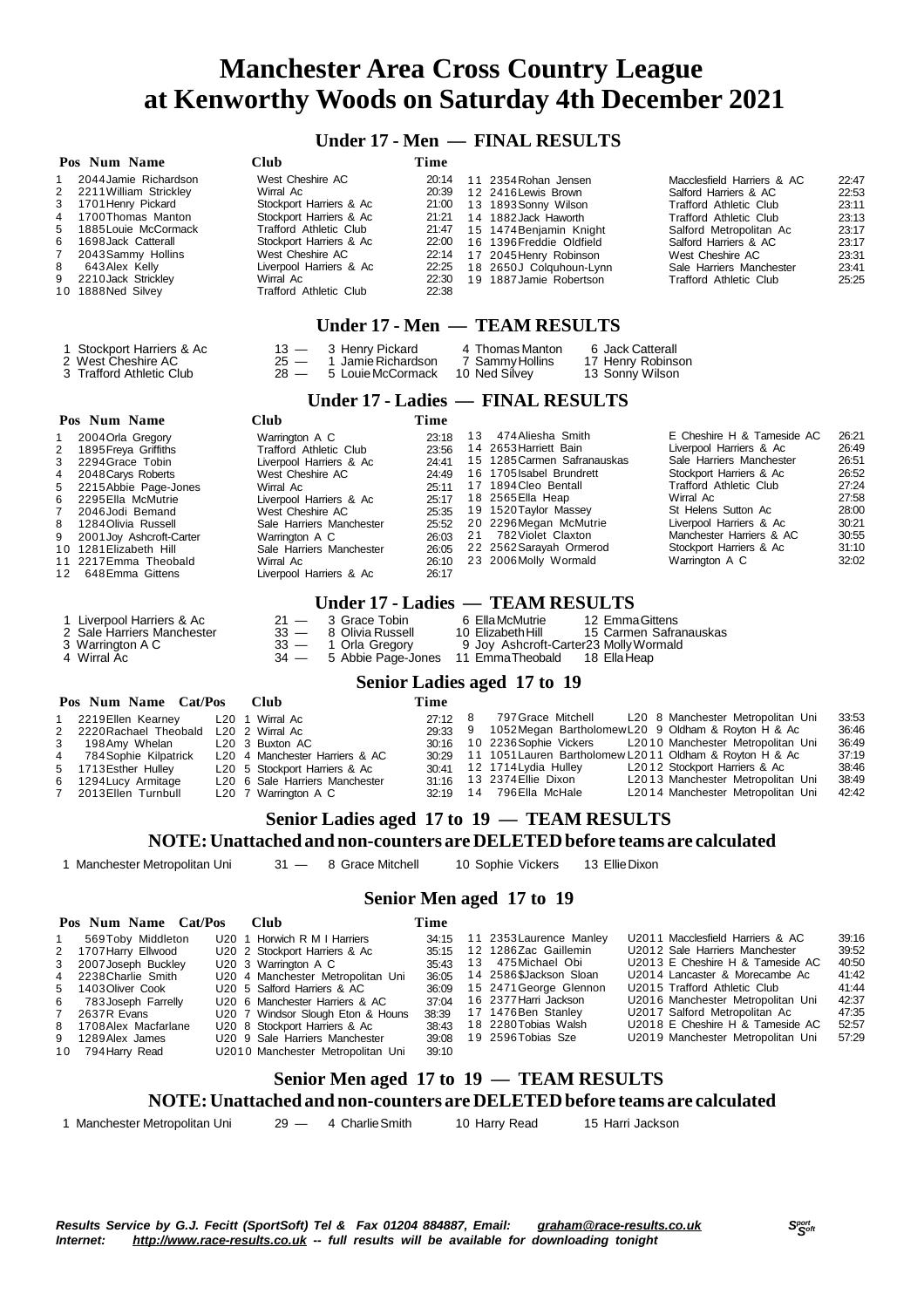## **Under 17 - Men — FINAL RESULTS**

| Pos Num Name                                                                                                                                                                                                                                                                                                                                    | Club                                                                                                                                                                                                                                                                         | Time                                                                                                                                                                                                                                                                                                                                                                                                                                                                                                                                                                                                                                                                                          |                                                                                                 |  |  |  |  |  |  |  |  |  |
|-------------------------------------------------------------------------------------------------------------------------------------------------------------------------------------------------------------------------------------------------------------------------------------------------------------------------------------------------|------------------------------------------------------------------------------------------------------------------------------------------------------------------------------------------------------------------------------------------------------------------------------|-----------------------------------------------------------------------------------------------------------------------------------------------------------------------------------------------------------------------------------------------------------------------------------------------------------------------------------------------------------------------------------------------------------------------------------------------------------------------------------------------------------------------------------------------------------------------------------------------------------------------------------------------------------------------------------------------|-------------------------------------------------------------------------------------------------|--|--|--|--|--|--|--|--|--|
| 2044 Jamie Richardson<br>$\mathbf{1}$<br>$\overline{2}$<br>2211 William Strickley<br>3<br>1701 Henry Pickard<br>1700 Thomas Manton<br>4<br>5<br>1885 Louie McCormack<br>1698 Jack Catterall<br>6<br>$\overline{7}$<br>2043 Sammy Hollins<br>8<br>643 Alex Kelly<br>9<br>2210 Jack Strickley<br>10 1888Ned Silvey                                | West Cheshire AC<br>Wirral Ac<br>Stockport Harriers & Ac<br>Stockport Harriers & Ac<br><b>Trafford Athletic Club</b><br>Stockport Harriers & Ac<br>West Cheshire AC<br>Liverpool Harriers & Ac<br>Wirral Ac<br><b>Trafford Athletic Club</b>                                 | 20:14<br>11 2354 Rohan Jensen<br>Macclesfield Harriers & AC<br>20:39<br>12 2416 Lewis Brown<br>Salford Harriers & AC<br>21:00<br><b>Trafford Athletic Club</b><br>13 1893 Sonny Wilson<br>21:21<br>14 1882 Jack Haworth<br><b>Trafford Athletic Club</b><br>21:47<br>15 1474 Benjamin Knight<br>Salford Metropolitan Ac<br>22:00<br>16 1396 Freddie Oldfield<br>Salford Harriers & AC<br>22:14<br>17 2045 Henry Robinson<br>West Cheshire AC<br>22:25<br>18 2650J Colquhoun-Lynn<br>Sale Harriers Manchester<br>22:30<br>19 1887 Jamie Robertson<br><b>Trafford Athletic Club</b><br>22:38                                                                                                    | 22:47<br>22:53<br>23:11<br>23:13<br>23:17<br>23:17<br>23:31<br>23:41<br>25:25                   |  |  |  |  |  |  |  |  |  |
| Under 17 - Men — TEAM RESULTS                                                                                                                                                                                                                                                                                                                   |                                                                                                                                                                                                                                                                              |                                                                                                                                                                                                                                                                                                                                                                                                                                                                                                                                                                                                                                                                                               |                                                                                                 |  |  |  |  |  |  |  |  |  |
| Stockport Harriers & Ac<br>3 Henry Pickard<br>4 Thomas Manton<br>6 Jack Catterall<br>$13 -$<br>2 West Cheshire AC<br>$25 -$<br>1 Jamie Richardson<br>7 Sammy Hollins<br>17 Henry Robinson<br>3 Trafford Athletic Club<br>$28 -$<br>5 Louie McCormack<br>10 Ned Silvey<br>13 Sonny Wilson                                                        |                                                                                                                                                                                                                                                                              |                                                                                                                                                                                                                                                                                                                                                                                                                                                                                                                                                                                                                                                                                               |                                                                                                 |  |  |  |  |  |  |  |  |  |
|                                                                                                                                                                                                                                                                                                                                                 |                                                                                                                                                                                                                                                                              | Under 17 - Ladies - FINAL RESULTS                                                                                                                                                                                                                                                                                                                                                                                                                                                                                                                                                                                                                                                             |                                                                                                 |  |  |  |  |  |  |  |  |  |
| Pos Num Name                                                                                                                                                                                                                                                                                                                                    | Club                                                                                                                                                                                                                                                                         | <b>Time</b>                                                                                                                                                                                                                                                                                                                                                                                                                                                                                                                                                                                                                                                                                   |                                                                                                 |  |  |  |  |  |  |  |  |  |
| 2004 Orla Gregory<br>1<br>2<br>1895 Freya Griffiths<br>3<br>2294 Grace Tobin<br>4<br>2048 Carys Roberts<br>5<br>2215 Abbie Page-Jones<br>6<br>2295 Ella McMutrie<br>$\overline{7}$<br>2046Jodi Bemand<br>1284 Olivia Russell<br>8<br>9<br>2001 Joy Ashcroft-Carter<br>10 1281 Elizabeth Hill<br>11 2217 Emma Theobald<br>648 Emma Gittens<br>12 | Warrington A C<br><b>Trafford Athletic Club</b><br>Liverpool Harriers & Ac<br>West Cheshire AC<br>Wirral Ac<br>Liverpool Harriers & Ac<br>West Cheshire AC<br>Sale Harriers Manchester<br>Warrington A C<br>Sale Harriers Manchester<br>Wirral Ac<br>Liverpool Harriers & Ac | 474 Aliesha Smith<br>E Cheshire H & Tameside AC<br>13<br>23:18<br>14 2653 Harriett Bain<br>Liverpool Harriers & Ac<br>23:56<br>15 1285 Carmen Safranauskas<br>Sale Harriers Manchester<br>24:41<br>16 1705 Isabel Brundrett<br>Stockport Harriers & Ac<br>24:49<br><b>Trafford Athletic Club</b><br>17 1894 Cleo Bentall<br>25:11<br>18 2565 Ella Heap<br>Wirral Ac<br>25:17<br>19 1520 Taylor Massey<br>St Helens Sutton Ac<br>25:35<br>20 2296 Megan McMutrie<br>Liverpool Harriers & Ac<br>25:52<br>21 782 Violet Claxton<br>Manchester Harriers & AC<br>26:03<br>Stockport Harriers & Ac<br>22 2562 Sarayah Ormerod<br>26:05<br>23 2006 Molly Wormald<br>Warrington A C<br>26:10<br>26:17 | 26:21<br>26:49<br>26:51<br>26:52<br>27:24<br>27:58<br>28:00<br>30:21<br>30:55<br>31:10<br>32:02 |  |  |  |  |  |  |  |  |  |
|                                                                                                                                                                                                                                                                                                                                                 |                                                                                                                                                                                                                                                                              | <b>Under 17 - Ladies — TEAM RESULTS</b>                                                                                                                                                                                                                                                                                                                                                                                                                                                                                                                                                                                                                                                       |                                                                                                 |  |  |  |  |  |  |  |  |  |
| 1 Liverpool Harriers & Ac<br>2 Sale Harriers Manchester<br>3 Warrington A C<br>4 Wirral Ac                                                                                                                                                                                                                                                      | 3 Grace Tobin<br>$21 -$<br>$33 -$<br>8 Olivia Russell<br>$33 -$<br>1 Orla Gregory<br>$34 -$                                                                                                                                                                                  | 6 Ella McMutrie<br>12 Emma Gittens<br>15 Carmen Safranauskas<br>10 Elizabeth Hill<br>9 Joy Ashcroft-Carter23 Molly Wormald<br>5 Abbie Page-Jones 11 Emma Theobald<br>18 Ella Heap                                                                                                                                                                                                                                                                                                                                                                                                                                                                                                             |                                                                                                 |  |  |  |  |  |  |  |  |  |
|                                                                                                                                                                                                                                                                                                                                                 |                                                                                                                                                                                                                                                                              | Senior Ladies aged 17 to 19                                                                                                                                                                                                                                                                                                                                                                                                                                                                                                                                                                                                                                                                   |                                                                                                 |  |  |  |  |  |  |  |  |  |
| Pos Num Name Cat/Pos                                                                                                                                                                                                                                                                                                                            | <b>Club</b>                                                                                                                                                                                                                                                                  | Time                                                                                                                                                                                                                                                                                                                                                                                                                                                                                                                                                                                                                                                                                          |                                                                                                 |  |  |  |  |  |  |  |  |  |
| 2219 Ellen Kearney<br>1<br>2220 Rachael Theobald L20 2 Wirral Ac<br>2<br>198 Amy Whelan<br>3<br>$\overline{4}$<br>784 Sophie Kilpatrick<br>5<br>1713 Esther Hulley<br>6<br>1294 Lucy Armitage<br>$\overline{7}$<br>2013 Ellen Turnbull                                                                                                          | L20 1 Wirral Ac<br>L20 3 Buxton AC<br>L20 4 Manchester Harriers & AC<br>L20 5 Stockport Harriers & Ac<br>L20 6 Sale Harriers Manchester<br>L20 7 Warrington A C                                                                                                              | 8<br>797 Grace Mitchell<br>L20 8 Manchester Metropolitan Uni<br>27:12<br>1052Megan BartholomewL20 9 Oldham & Royton H & Ac<br>9<br>29:33<br>10 2236 Sophie Vickers<br>L2010 Manchester Metropolitan Uni<br>30:16<br>11 1051 Lauren Bartholomew L2011 Oldham & Royton H & Ac<br>30:29<br>12 1714 Lydia Hulley<br>L2012 Stockport Harriers & Ac<br>30:41<br>13 2374 Ellie Dixon<br>L2013 Manchester Metropolitan Uni<br>31:16<br>796 Ella McHale<br>L2014 Manchester Metropolitan Uni<br>14<br>32:19                                                                                                                                                                                            | 33:53<br>36:46<br>36:49<br>37:19<br>38:46<br>38:49<br>42:42                                     |  |  |  |  |  |  |  |  |  |
|                                                                                                                                                                                                                                                                                                                                                 |                                                                                                                                                                                                                                                                              | Senior Ladies aged 17 to 19 - TEAM RESULTS                                                                                                                                                                                                                                                                                                                                                                                                                                                                                                                                                                                                                                                    |                                                                                                 |  |  |  |  |  |  |  |  |  |
|                                                                                                                                                                                                                                                                                                                                                 |                                                                                                                                                                                                                                                                              | NOTE: Unattached and non-counters are DELETED before teams are calculated                                                                                                                                                                                                                                                                                                                                                                                                                                                                                                                                                                                                                     |                                                                                                 |  |  |  |  |  |  |  |  |  |
| 1 Manchester Metropolitan Uni                                                                                                                                                                                                                                                                                                                   | $31 -$<br>8 Grace Mitchell                                                                                                                                                                                                                                                   | 10 Sophie Vickers<br>13 Ellie Dixon                                                                                                                                                                                                                                                                                                                                                                                                                                                                                                                                                                                                                                                           |                                                                                                 |  |  |  |  |  |  |  |  |  |

#### **Senior Men aged 17 to 19**

|   | Pos Num Name Cat/Pos  | <b>Club</b>                       | Time  |                         |                                   |       |
|---|-----------------------|-----------------------------------|-------|-------------------------|-----------------------------------|-------|
|   | 569Toby Middleton     | U20 1 Horwich R M I Harriers      | 34.15 | 11 2353 Laurence Manley | U2011 Macclesfield Harriers & AC  | 39:16 |
|   | 2 1707 Harry Ellwood  | U20 2 Stockport Harriers & Ac     | 35:15 | 12 1286Zac Gaillemin    | U2012 Sale Harriers Manchester    | 39:52 |
|   | 3 2007 Joseph Buckley | U20 3 Warrington A C              | 35.43 | 13 475 Michael Obi      | U2013 E Cheshire H & Tameside AC  | 40:50 |
|   | 4 2238 Charlie Smith  | U20 4 Manchester Metropolitan Uni | 36:05 | 14 2586\$Jackson Sloan  | U2014 Lancaster & Morecambe Ac    | 41:42 |
|   | 5 1403 Oliver Cook    | U20 5 Salford Harriers & AC       | 36:09 | 15 2471 George Glennon  | U2015 Trafford Athletic Club      | 41:44 |
| 6 | 783 Joseph Farrelly   | U20 6 Manchester Harriers & AC    | 37:04 | 16 2377 Harri Jackson   | U2016 Manchester Metropolitan Uni | 42:37 |
|   | 7 2637R Evans         | U20 7 Windsor Slough Eton & Houns | 38:39 | 17 1476 Ben Stanley     | U2017 Salford Metropolitan Ac     | 47:35 |
| 8 | 1708 Alex Macfarlane  | U20 8 Stockport Harriers & Ac     | 38:43 | 18 2280Tobias Walsh     | U2018 E Cheshire H & Tameside AC  | 52:57 |
|   | 9 1289 Alex James     | U20 9 Sale Harriers Manchester    | 39:08 | 19 2596Tobias Sze       | U2019 Manchester Metropolitan Uni | 57:29 |
|   | 10 794 Harry Read     | U2010 Manchester Metropolitan Uni | 39:10 |                         |                                   |       |

#### **Senior Men aged 17 to 19 — TEAM RESULTS**

#### **NOTE:Unattached and non-counters are DELETEDbefore teams are calculated**

1 Manchester Metropolitan Uni 29 - 4 Charlie Smith 10 Harry Read 15 Harri Jackson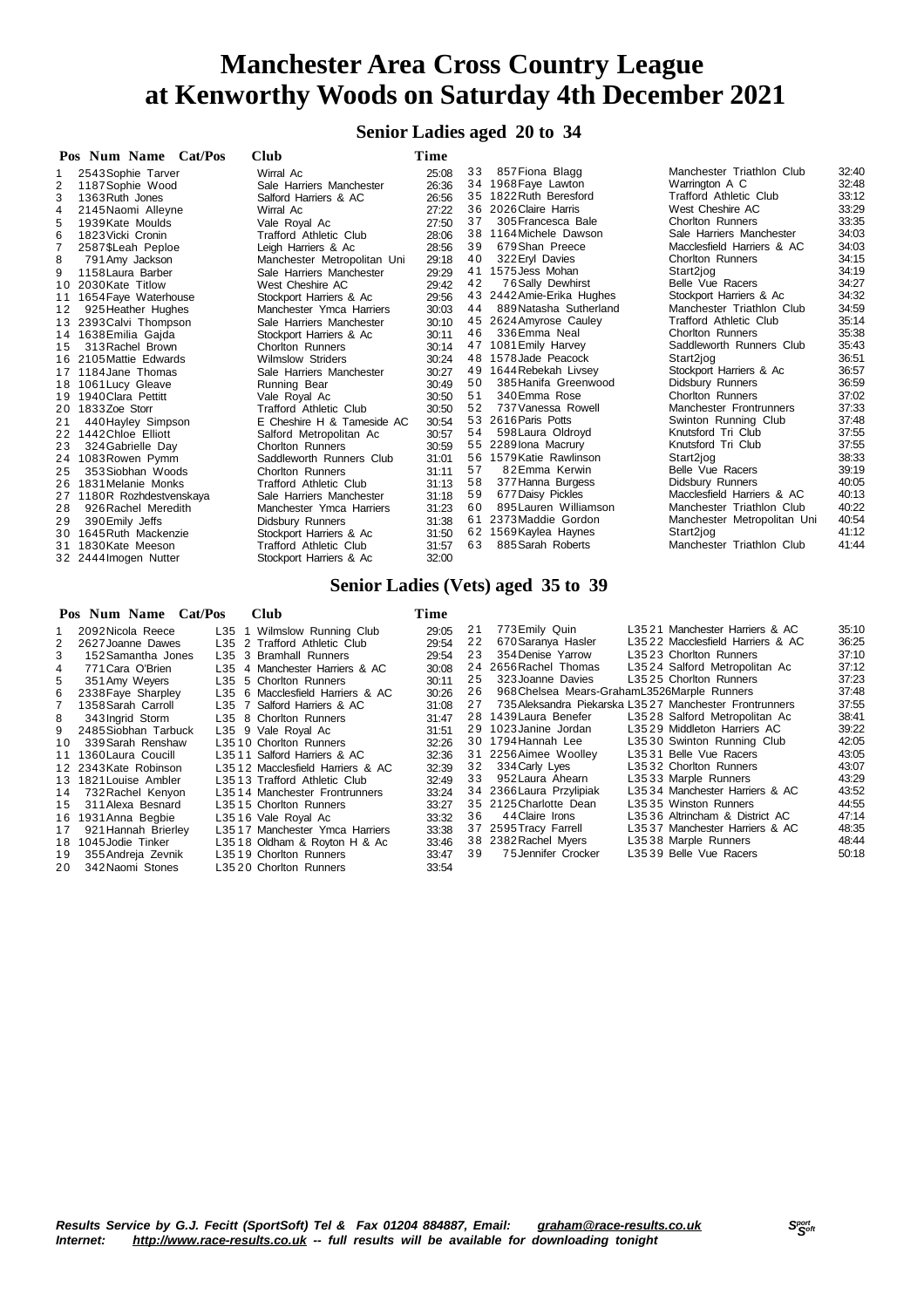#### **Senior Ladies aged 20 to 34**

| Pos Num Name Cat/Pos               | Club                          | Time  |    |                           |                               |       |
|------------------------------------|-------------------------------|-------|----|---------------------------|-------------------------------|-------|
| 2543 Sophie Tarver                 | Wirral Ac                     | 25:08 | 33 | 857 Fiona Blagg           | Manchester Triathlon Club     | 32:40 |
| $\overline{2}$<br>1187 Sophie Wood | Sale Harriers Manchester      | 26:36 |    | 34 1968 Faye Lawton       | Warrington A C                | 32:48 |
| 1363 Ruth Jones                    | Salford Harriers & AC         | 26:56 |    | 35 1822 Ruth Beresford    | <b>Trafford Athletic Club</b> | 33:12 |
| 4<br>2145 Naomi Alleyne            | Wirral Ac                     | 27:22 |    | 36 2026 Claire Harris     | West Cheshire AC              | 33:29 |
| 5<br>1939 Kate Moulds              | Vale Royal Ac                 | 27:50 | 37 | 305 Francesca Bale        | Chorlton Runners              | 33:35 |
| 6<br>1823 Vicki Cronin             | <b>Trafford Athletic Club</b> | 28:06 |    | 38 1164 Michele Dawson    | Sale Harriers Manchester      | 34:03 |
| 2587\$Leah Peploe                  | Leigh Harriers & Ac           | 28:56 | 39 | 679Shan Preece            | Macclesfield Harriers & AC    | 34:03 |
| 8<br>791 Amy Jackson               | Manchester Metropolitan Uni   | 29:18 | 40 | 322 Eryl Davies           | Chorlton Runners              | 34:15 |
| 9<br>1158 Laura Barber             | Sale Harriers Manchester      | 29:29 | 41 | 1575 Jess Mohan           | Start2jog                     | 34:19 |
| 2030 Kate Titlow<br>10             | West Cheshire AC              | 29:42 | 42 | 76 Sally Dewhirst         | Belle Vue Racers              | 34:27 |
| 1654 Faye Waterhouse<br>11         | Stockport Harriers & Ac       | 29:56 |    | 43 2442 Amie-Erika Hughes | Stockport Harriers & Ac       | 34:32 |
| 925 Heather Hughes<br>12           | Manchester Ymca Harriers      | 30:03 | 44 | 889 Natasha Sutherland    | Manchester Triathlon Club     | 34:59 |
| 13 2393 Calvi Thompson             | Sale Harriers Manchester      | 30:10 |    | 45 2624 Amyrose Cauley    | <b>Trafford Athletic Club</b> | 35:14 |
| 14 1638 Emilia Gaida               | Stockport Harriers & Ac       | 30:11 | 46 | 336 Emma Neal             | <b>Chorlton Runners</b>       | 35:38 |
| 313 Rachel Brown<br>15             | Chorlton Runners              | 30:14 |    | 47 1081 Emily Harvey      | Saddleworth Runners Club      | 35:43 |
| 2105 Mattie Edwards<br>16.         | <b>Wilmslow Striders</b>      | 30:24 |    | 48 1578 Jade Peacock      | Start2jog                     | 36:51 |
| 17 1184 Jane Thomas                | Sale Harriers Manchester      | 30:27 |    | 49 1644 Rebekah Livsey    | Stockport Harriers & Ac       | 36:57 |
| 1061 Lucy Gleave<br>18             | Running Bear                  | 30:49 | 50 | 385 Hanifa Greenwood      | Didsbury Runners              | 36:59 |
| 1940 Clara Pettitt                 | Vale Royal Ac                 | 30:50 | 51 | 340 Emma Rose             | Chorlton Runners              | 37:02 |
| 1833Zoe Storr<br>20                | Trafford Athletic Club        | 30:50 | 52 | 737 Vanessa Rowell        | Manchester Frontrunners       | 37:33 |
| 21<br>440 Hayley Simpson           | E Cheshire H & Tameside AC    | 30:54 |    | 53 2616 Paris Potts       | Swinton Running Club          | 37:48 |
| 22 1442 Chloe Elliott              | Salford Metropolitan Ac       | 30:57 | 54 | 598 Laura Oldroyd         | Knutsford Tri Club            | 37:55 |
| 324 Gabrielle Day<br>23            | Chorlton Runners              | 30:59 |    | 55 2289 lona Macrury      | Knutsford Tri Club            | 37:55 |
| 1083 Rowen Pymm<br>24              | Saddleworth Runners Club      | 31:01 |    | 56 1579 Katie Rawlinson   | Start2jog                     | 38:33 |
| 353 Siobhan Woods<br>25            | <b>Chorlton Runners</b>       | 31:11 | 57 | 82Emma Kerwin             | Belle Vue Racers              | 39:19 |
| 1831 Melanie Monks<br>26           | Trafford Athletic Club        | 31:13 | 58 | 377 Hanna Burgess         | Didsbury Runners              | 40:05 |
| 1180R Rozhdestvenskaya<br>27       | Sale Harriers Manchester      | 31:18 | 59 | 677 Daisy Pickles         | Macclesfield Harriers & AC    | 40:13 |
| 926 Rachel Meredith<br>28          | Manchester Ymca Harriers      | 31:23 | 60 | 895 Lauren Williamson     | Manchester Triathlon Club     | 40:22 |
| 29<br>390 Emily Jeffs              | Didsbury Runners              | 31:38 | 61 | 2373 Maddie Gordon        | Manchester Metropolitan Uni   | 40:54 |
| 1645 Ruth Mackenzie<br>30          | Stockport Harriers & Ac       | 31:50 |    | 62 1569 Kaylea Haynes     | Start2jog                     | 41:12 |
| 1830 Kate Meeson<br>31             | <b>Trafford Athletic Club</b> | 31:57 | 63 | 885 Sarah Roberts         | Manchester Triathlon Club     | 41:44 |
| 2444 Imogen Nutter<br>32           | Stockport Harriers & Ac       | 32:00 |    |                           |                               |       |
|                                    |                               |       |    |                           |                               |       |

#### **Senior Ladies (Vets) aged 35 to 39**

#### **Pos Num Name Cat/Pos Club Time** 1 2092Nicola Reece L35 1 Wilmslow Running Club 29:05 2 2627 Joanne Dawes L35 2 Trafford Athletic Club 3 152 Samantha Jones L35 3 Bramhall Runners 29:54<br>4 771 Cara O'Brien L35 4 Manchester Harriers & AC 30:08 4 771 Cara O'Brien L35 4 Manchester Harriers & AC 30:08<br>5 351 Amy Wevers L35 5 Chorlton Runners 30:11 351 Amy Weyers L35 5 Chorlton Runners 30:11<br>2338 Faye Sharpley L35 6 Macclesfield Harriers & AC 30:26 6 2338Faye Sharpley L35 6 Macclesfield Harriers & AC 30:26 7 1358Sarah Carroll L35 7 Salford Harriers & AC 31:08 L35 8 Chorlton Runners 9 2485Siobhan Tarbuck L35 9 Vale Royal Ac 31:51 1 0 339Sarah Renshaw L35 1 0 Chorlton Runners 32:26 11 1360 Laura Coucill 15511 Salford Harriers & AC 32:36<br>12 2343 Kate Robinson 1.3512 Macclesfield Harriers & AC 32:39 12 2343Kate Robinson L35 12 Macclesfield Harriers & AC 32:39<br>13 1821 Louise Ambler L35 13 Trafford Athletic Club 32:49 13 1821 Louise Ambler L35 13 Trafford Athletic Club 32:49<br>14 732 Rachel Kenyon L35 14 Manchester Frontrunners 33:24 1 4 732Rachel Kenyon L35 1 4 Manchester Frontrunners 33:24 15 311 Alexa Besnard L35 1 5 Chorlton Runners 33:27<br>16  1931 Anna Begbie L35 1 6 Vale Royal Ac 33:32 17 921 Hannah Brierley L35 17 Manchester Ymca Harriers 33:38<br>18 1045 Jodie Tinker L35 18 Oldham & Rovton H & Ac 33:46 1 8 1045Jodie Tinker L35 1 8 Oldham & Royton H & Ac 33:46 19 355 Andreja Zevnik L35 19 Chorlton Runners 33:47<br>20 342 Naomi Stones L35 20 Chorlton Runners 33:54 L35 20 Chorlton Runners 21 773 Emily Quin L35 21 Manchester Harriers & AC 35:10<br>22 670 Saranya Hasler L35 22 Macclesfield Harriers & AC 36:25 22 670 Saranya Hasler L35 22 Macclesfield Harriers & AC 36:25<br>23 354 Denise Yarrow L35 23 Chorlton Runners 37:10 23 354Denise Yarrow L3523 Chorlton Runners 37:10<br>24 2656Rachel Thomas L3524 Salford Metropolitan Ac 37:10 2 4 2656Rachel Thomas L35 2 4 Salford Metropolitan Ac 37:12 2 5 323Joanne Davies L35 2 5 Chorlton Runners 37:23 2 6 968Chelsea Mears-GrahamL3526Marple Runners 37:48 2 7 735Aleksandra Piekarska L35 2 7 Manchester Frontrunners 37:55 2 8 1439Laura Benefer L35 2 8 Salford Metropolitan Ac 38:41 2 9 1023Janine Jordan L35 2 9 Middleton Harriers AC 39:22 30 1794 Hannah Lee L35 30 Swinton Running Club 42:05<br>31 2256 Aimee Woolley L35 31 Belle Vue Racers 43:05 31 2256Aimee Woolley L35 31 Belle Vue Racers 43:05<br>32 334 Carly Lyes L35 32 Choriton Runners 43:07 3 2 334Carly Lyes L35 3 2 Chorlton Runners 43:07 33 952Laura Ahearn L3533 Marple Runners<br>34 2366Laura Przylipiak L3534 Manchester Harri<br>35 2125Charlotte Dean L3535 Winston Runners 3 4 2366Laura Przylipiak L35 3 4 Manchester Harriers & AC 43:52 35 2125Charlotte Dean L35 35 Winston Runners 44:55<br>36 44Claire Irons L35 36 Minston Runners 44:55 3 6 4 4Claire Irons L35 3 6 Altrincham & District AC 47:14 37 2595Tracy Farrell L3537 Manchester Harriers & AC 48:35<br>38 2382Rachel Myers L3538 Marple Runners 48:44 3 8 2382Rachel Myers L35 3 8 Marple Runners 48:44 L3539 Belle Vue Racers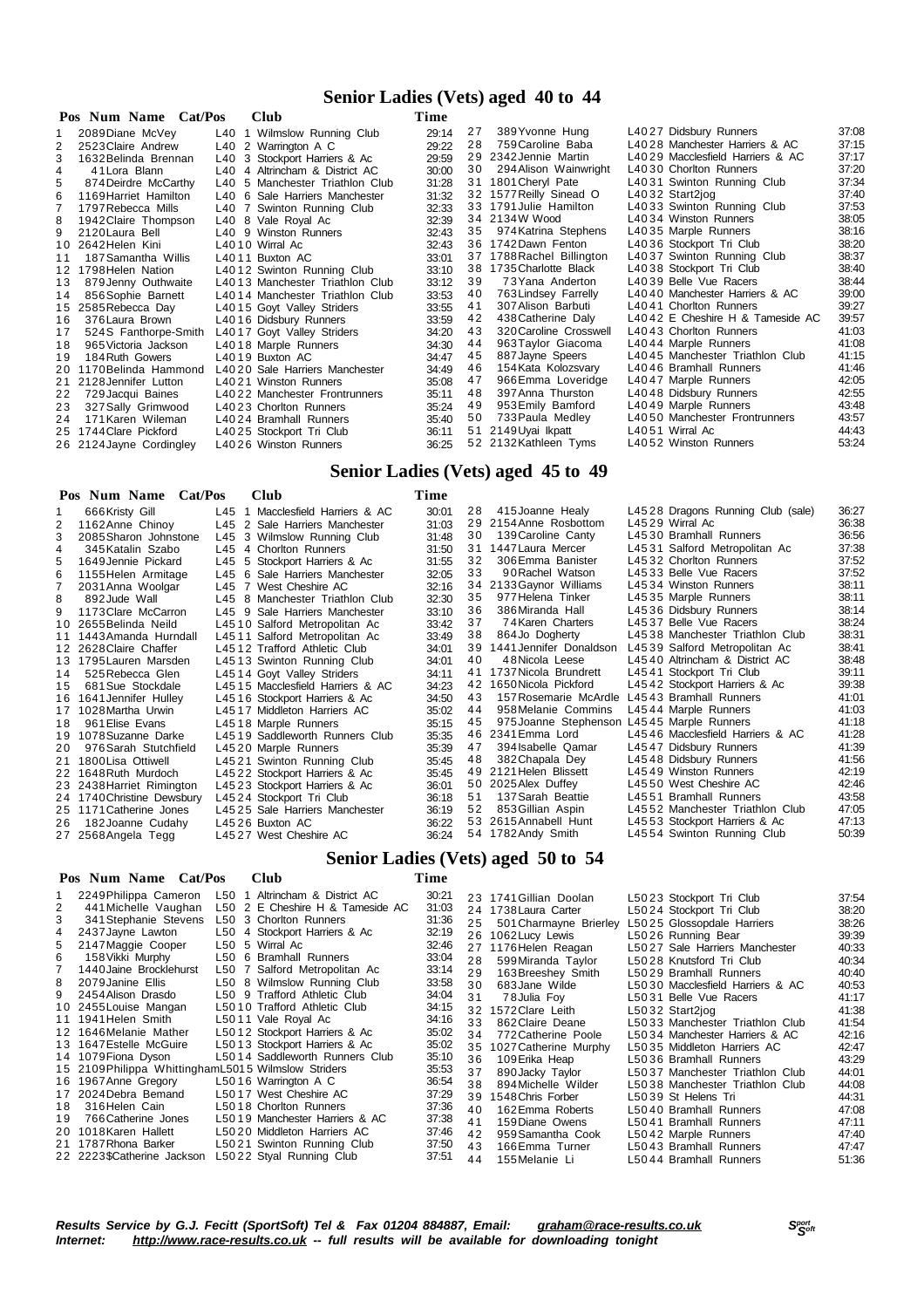## **Senior Ladies (Vets) aged 40 to 44**

|    | Pos Num Name Cat/Pos     | <b>Club</b>                     | Time  |    |                           |                                  |       |
|----|--------------------------|---------------------------------|-------|----|---------------------------|----------------------------------|-------|
|    | 2089Diane McVey          | L40 1 Wilmslow Running Club     | 29:14 | 27 | 389 Yvonne Hung           | L4027 Didsbury Runners           | 37:08 |
| 2  | 2523 Claire Andrew       | L40 2 Warrington A C            | 29:22 | 28 | 759 Caroline Baba         | L4028 Manchester Harriers & AC   | 37:15 |
| 3  | 1632 Belinda Brennan     | L40 3 Stockport Harriers & Ac   | 29:59 |    | 29 2342 Jennie Martin     | L4029 Macclesfield Harriers & AC | 37:17 |
| 4  | 41 Lora Blann            | L40 4 Altrincham & District AC  | 30:00 | 30 | 294 Alison Wainwright     | L4030 Chorlton Runners           | 37:20 |
| 5  | 874 Deirdre McCarthy     | L40 5 Manchester Triathlon Club | 31:28 |    | 31 1801 Cheryl Pate       | L4031 Swinton Running Club       | 37:34 |
| 6  | 1169 Harriet Hamilton    | L40 6 Sale Harriers Manchester  | 31:32 |    | 32 1577 Reilly Sinead O   | L4032 Start2jog                  | 37:40 |
| 7  | 1797 Rebecca Mills       | L40 7 Swinton Running Club      | 32:33 |    | 33 1791 Julie Hamilton    | L4033 Swinton Running Club       | 37:53 |
| 8  | 1942 Claire Thompson     | L40 8 Vale Royal Ac             | 32:39 |    | 34 2134W Wood             | L4034 Winston Runners            | 38:05 |
| 9  | 2120 Laura Bell          | L40 9 Winston Runners           | 32:43 | 35 | 974 Katrina Stephens      | L4035 Marple Runners             | 38:16 |
|    | 10 2642 Helen Kini       | L4010 Wirral Ac                 | 32:43 |    | 36 1742 Dawn Fenton       | L4036 Stockport Tri Club         | 38:20 |
| 11 | 187 Samantha Willis      | L4011 Buxton AC                 | 33:01 |    | 37 1788 Rachel Billington | L4037 Swinton Running Club       | 38:37 |
|    | 12 1798 Helen Nation     | L4012 Swinton Running Club      | 33:10 |    | 38 1735 Charlotte Black   | L4038 Stockport Tri Club         | 38:40 |
| 13 | 879 Jenny Outhwaite      | L4013 Manchester Triathlon Club | 33:12 | 39 | 73 Yana Anderton          | L4039 Belle Vue Racers           | 38:44 |
| 14 | 856 Sophie Barnett       | L4014 Manchester Triathlon Club | 33:53 | 40 | 763 Lindsey Farrelly      | L4040 Manchester Harriers & AC   | 39:00 |
|    | 15 2585 Rebecca Day      | L4015 Goyt Valley Striders      | 33:55 | 41 | 307 Alison Barbuti        | L4041 Chorlton Runners           | 39:27 |
| 16 | 376 Laura Brown          | L4016 Didsbury Runners          | 33:59 | 42 | 438 Catherine Daly        | L4042 E Cheshire H & Tameside AC | 39:57 |
| 17 | 524S Fanthorpe-Smith     | L4017 Goyt Valley Striders      | 34:20 | 43 | 320 Caroline Crosswell    | L4043 Chorlton Runners           | 41:03 |
| 18 | 965 Victoria Jackson     | L4018 Marple Runners            | 34:30 | 44 | 963 Taylor Giacoma        | L4044 Marple Runners             | 41:08 |
| 19 | 184 Ruth Gowers          | L4019 Buxton AC                 | 34:47 | 45 | 887 Jayne Speers          | L4045 Manchester Triathlon Club  | 41:15 |
|    | 20 1170 Belinda Hammond  | L4020 Sale Harriers Manchester  | 34:49 | 46 | 154 Kata Kolozsvary       | L4046 Bramhall Runners           | 41:46 |
|    | 21 2128 Jennifer Lutton  | L4021 Winston Runners           | 35:08 | 47 | 966Emma Loveridge         | L4047 Marple Runners             | 42:05 |
| 22 | 729 Jacqui Baines        | L4022 Manchester Frontrunners   | 35:11 | 48 | 397 Anna Thurston         | L4048 Didsbury Runners           | 42:55 |
| 23 | 327 Sally Grimwood       | L4023 Chorlton Runners          | 35:24 | 49 | 953 Emily Bamford         | L4049 Marple Runners             | 43:48 |
| 24 | 171 Karen Wileman        | L4024 Bramhall Runners          | 35:40 | 50 | 733 Paula Medley          | L4050 Manchester Frontrunners    | 43:57 |
|    | 25 1744 Clare Pickford   | L4025 Stockport Tri Club        | 36:11 |    | 51 2149 Uyai Ikpatt       | L4051 Wirral Ac                  | 44:43 |
|    | 26 2124 Jayne Cordingley | L4026 Winston Runners           | 36:25 |    | 52 2132 Kathleen Tyms     | L4052 Winston Runners            | 53:24 |

#### **Senior Ladies (Vets) aged 45 to 49**

|    | Pos Num Name Cat/Pos       |     | <b>Club</b>                      | Time  |    |                                            |                                   |       |
|----|----------------------------|-----|----------------------------------|-------|----|--------------------------------------------|-----------------------------------|-------|
|    | 666 Kristy Gill            | L45 | 1 Macclesfield Harriers & AC     | 30:01 | 28 | 415 Joanne Healy                           | L4528 Dragons Running Club (sale) | 36:27 |
| 2  | 1162 Anne Chinoy           |     | L45 2 Sale Harriers Manchester   | 31:03 |    | 29 2154 Anne Rosbottom                     | $L4529$ Wirral Ac                 | 36:38 |
|    | 2085 Sharon Johnstone      |     | L45 3 Wilmslow Running Club      | 31:48 | 30 | 139 Caroline Canty                         | L4530 Bramhall Runners            | 36:56 |
|    | 345 Katalin Szabo          |     | L45 4 Chorlton Runners           | 31:50 | 31 | 1447 Laura Mercer                          | L4531 Salford Metropolitan Ac     | 37:38 |
|    | 1649 Jennie Pickard        |     | L45 5 Stockport Harriers & Ac    | 31:55 | 32 | 306 Emma Banister                          | L4532 Chorlton Runners            | 37:52 |
| 6  | 1155 Helen Armitage        |     | L45 6 Sale Harriers Manchester   | 32:05 | 33 | 90 Rachel Watson                           | L4533 Belle Vue Racers            | 37:52 |
|    | 2031 Anna Woolgar          |     | L45 7 West Cheshire AC           | 32:16 |    | 34 2133 Gaynor Williams                    | L4534 Winston Runners             | 38:11 |
| 8  | 892 Jude Wall              |     | L45 8 Manchester Triathlon Club  | 32:30 | 35 | 977 Helena Tinker                          | L4535 Marple Runners              | 38:11 |
| 9  | 1173 Clare McCarron        |     | L45 9 Sale Harriers Manchester   | 33:10 | 36 | 386 Miranda Hall                           | L4536 Didsbury Runners            | 38:14 |
| 10 | 2655 Belinda Neild         |     | L4510 Salford Metropolitan Ac    | 33:42 | 37 | 74 Karen Charters                          | L4537 Belle Vue Racers            | 38:24 |
| 11 | 1443 Amanda Hurndall       |     | L4511 Salford Metropolitan Ac    | 33:49 | 38 | 864Jo Dogherty                             | L4538 Manchester Triathlon Club   | 38:31 |
|    | 12 2628 Claire Chaffer     |     | L4512 Trafford Athletic Club     | 34:01 | 39 | 1441 Jennifer Donaldson                    | L4539 Salford Metropolitan Ac     | 38:41 |
| 13 | 1795 Lauren Marsden        |     | L4513 Swinton Running Club       | 34:01 | 40 | 48 Nicola Leese                            | L4540 Altrincham & District AC    | 38:48 |
| 14 | 525 Rebecca Glen           |     | L4514 Goyt Valley Striders       | 34:11 | 41 | 1737 Nicola Brundrett                      | L4541 Stockport Tri Club          | 39:11 |
| 15 | 681 Sue Stockdale          |     | L4515 Macclesfield Harriers & AC | 34:23 | 42 | 1650 Nicola Pickford                       | L4542 Stockport Harriers & Ac     | 39:38 |
| 16 | 1641 Jennifer Hulley       |     | L4516 Stockport Harriers & Ac    | 34:50 | 43 | 157 Rosemarie McArdle                      | L4543 Bramhall Runners            | 41:01 |
| 17 | 1028 Martha Urwin          |     | L4517 Middleton Harriers AC      | 35:02 | 44 | 958 Melanie Commins                        | L4544 Marple Runners              | 41:03 |
| 18 | 961 Elise Evans            |     | L4518 Marple Runners             | 35:15 | 45 | 975 Joanne Stephenson L4545 Marple Runners |                                   | 41:18 |
| 19 | 1078 Suzanne Darke         |     | L4519 Saddleworth Runners Club   | 35:35 |    | 46 2341 Emma Lord                          | L4546 Macclesfield Harriers & AC  | 41:28 |
| 20 | 976 Sarah Stutchfield      |     | L4520 Marple Runners             | 35:39 | 47 | 394 Isabelle Qamar                         | L4547 Didsbury Runners            | 41:39 |
| 21 | 1800 Lisa Ottiwell         |     | L4521 Swinton Running Club       | 35:45 | 48 | 382 Chapala Dey                            | L4548 Didsbury Runners            | 41:56 |
| 22 | 1648 Ruth Murdoch          |     | L4522 Stockport Harriers & Ac    | 35:45 |    | 49 2121 Helen Blissett                     | L4549 Winston Runners             | 42:19 |
|    | 23 2438 Harriet Rimington  |     | L4523 Stockport Harriers & Ac    | 36:01 |    | 50 2025 Alex Duffey                        | L4550 West Cheshire AC            | 42:46 |
|    | 24 1740 Christine Dewsbury |     | L4524 Stockport Tri Club         | 36:18 | 51 | 137 Sarah Beattie                          | L4551 Bramhall Runners            | 43:58 |
|    | 25 1171 Catherine Jones    |     | L4525 Sale Harriers Manchester   | 36:19 | 52 | 853 Gillian Aspin                          | L4552 Manchester Triathlon Club   | 47:05 |
| 26 | 182 Joanne Cudahy          |     | L4526 Buxton AC                  | 36:22 |    | 53 2615 Annabell Hunt                      | L4553 Stockport Harriers & Ac     | 47:13 |
|    | 27 2568 Angela Tegg        |     | L4527 West Cheshire AC           | 36:24 |    | 54 1782 Andy Smith                         | L4554 Swinton Running Club        | 50:39 |
|    |                            |     |                                  |       |    |                                            |                                   |       |

# **Senior Ladies (Vets) aged 50 to 54**

 **Pos Num Name Cat/Pos Club** 

| 5<br>6<br>9<br>18<br>19 | 2249 Philippa Cameron<br>441 Michelle Vaughan<br>341 Stephanie Stevens<br>2437 Jayne Lawton<br>2147 Maggie Cooper<br>158 Vikki Murphy<br>1440 Jaine Brocklehurst<br>2079 Janine Ellis<br>2454 Alison Drasdo<br>10 2455 Louise Mangan<br>11 1941 Helen Smith<br>12 1646 Melanie Mather<br>13 1647 Estelle McGuire<br>14 1079 Fiona Dyson<br>15 2109 Philippa Whitting ham L5015 Wilmslow Striders<br>16 1967 Anne Gregory<br>17 2024 Debra Bemand<br>316 Helen Cain<br>766 Catherine Jones<br>20 1018 Karen Hallett | L50 1 Altrincham & District AC<br>L50 2 E Cheshire H & Tameside AC<br>L50 3 Chorlton Runners<br>L50 4 Stockport Harriers & Ac<br>L50 5 Wirral Ac<br>L50 6 Bramhall Runners<br>L50 7 Salford Metropolitan Ac<br>L50 8 Wilmslow Running Club<br>L50 9 Trafford Athletic Club<br>L5010 Trafford Athletic Club<br>L5011 Vale Roval Ac<br>L5012 Stockport Harriers & Ac<br>L5013 Stockport Harriers & Ac<br>L5014 Saddleworth Runners Club<br>L5016 Warrington A C<br>L5017 West Cheshire AC<br>L5018 Chorlton Runners<br>L5019 Manchester Harriers & AC<br>L5020 Middleton Harriers AC | 30:21<br>31:03<br>31:36<br>32:19<br>32:46<br>33:04<br>33:14<br>33:58<br>34:04<br>34:15<br>34:16<br>35:02<br>35:02<br>35:10<br>35:53<br>36:54<br>37:29<br>37:36<br>37:38<br>37:46 | 25<br>28<br>29<br>30<br>31<br>32<br>33<br>34<br>36<br>37<br>38<br>39<br>40<br>41<br>42 | 23 1741 Gillian Doolan<br>24 1738 Laura Carter<br>501 Charmayne Brierley<br>26 1062 Lucy Lewis<br>27 1176 Helen Reagan<br>599 Miranda Taylor<br>163Breeshey Smith<br>683Jane Wilde<br>78Julia Fov<br>1572 Clare Leith<br>862 Claire Deane<br>772 Catherine Poole<br>35 1027 Catherine Murphy<br>109 Erika Heap<br>890 Jacky Taylor<br>894 Michelle Wilder<br>1548 Chris Forber<br>162 Emma Roberts<br>159 Diane Owens<br>959 Samantha Cook | L5023 Stockport Tri Club<br>L5024 Stockport Tri Club<br>L5025 Glossopdale Harriers<br>L5026 Running Bear<br>L5027 Sale Harriers Manchester<br>L5028 Knutsford Tri Club<br>L5029 Bramhall Runners<br>L5030 Macclesfield Harriers & AC<br>L5031 Belle Vue Racers<br>L5032 Start2jog<br>L5033 Manchester Triathlon Club<br>L5034 Manchester Harriers & AC<br>L5035 Middleton Harriers AC<br>L5036 Bramhall Runners<br>L5037 Manchester Triathlon Club<br>L5038 Manchester Triathlon Club<br>L5039 St Helens Tri<br>L5040 Bramhall Runners<br>L5041 Bramhall Runners | 37:54<br>38:20<br>38:26<br>39:39<br>40:33<br>40:34<br>40:40<br>40:53<br>41:17<br>41:38<br>41:54<br>42:16<br>42:47<br>43:29<br>44:01<br>44:08<br>44:31<br>47:08<br>47:11<br>47:40 |
|-------------------------|--------------------------------------------------------------------------------------------------------------------------------------------------------------------------------------------------------------------------------------------------------------------------------------------------------------------------------------------------------------------------------------------------------------------------------------------------------------------------------------------------------------------|------------------------------------------------------------------------------------------------------------------------------------------------------------------------------------------------------------------------------------------------------------------------------------------------------------------------------------------------------------------------------------------------------------------------------------------------------------------------------------------------------------------------------------------------------------------------------------|----------------------------------------------------------------------------------------------------------------------------------------------------------------------------------|----------------------------------------------------------------------------------------|--------------------------------------------------------------------------------------------------------------------------------------------------------------------------------------------------------------------------------------------------------------------------------------------------------------------------------------------------------------------------------------------------------------------------------------------|------------------------------------------------------------------------------------------------------------------------------------------------------------------------------------------------------------------------------------------------------------------------------------------------------------------------------------------------------------------------------------------------------------------------------------------------------------------------------------------------------------------------------------------------------------------|----------------------------------------------------------------------------------------------------------------------------------------------------------------------------------|
|                         |                                                                                                                                                                                                                                                                                                                                                                                                                                                                                                                    |                                                                                                                                                                                                                                                                                                                                                                                                                                                                                                                                                                                    |                                                                                                                                                                                  |                                                                                        |                                                                                                                                                                                                                                                                                                                                                                                                                                            |                                                                                                                                                                                                                                                                                                                                                                                                                                                                                                                                                                  |                                                                                                                                                                                  |
|                         |                                                                                                                                                                                                                                                                                                                                                                                                                                                                                                                    |                                                                                                                                                                                                                                                                                                                                                                                                                                                                                                                                                                                    |                                                                                                                                                                                  |                                                                                        |                                                                                                                                                                                                                                                                                                                                                                                                                                            | L5042 Marple Runners                                                                                                                                                                                                                                                                                                                                                                                                                                                                                                                                             |                                                                                                                                                                                  |
|                         | 21 1787 Rhona Barker                                                                                                                                                                                                                                                                                                                                                                                                                                                                                               | L5021 Swinton Running Club                                                                                                                                                                                                                                                                                                                                                                                                                                                                                                                                                         | 37:50                                                                                                                                                                            | 43                                                                                     | 166 Emma Turner                                                                                                                                                                                                                                                                                                                                                                                                                            | L5043 Bramhall Runners                                                                                                                                                                                                                                                                                                                                                                                                                                                                                                                                           | 47:47                                                                                                                                                                            |
|                         | 22 2223\$Catherine Jackson L5022 Styal Running Club                                                                                                                                                                                                                                                                                                                                                                                                                                                                |                                                                                                                                                                                                                                                                                                                                                                                                                                                                                                                                                                                    | 37:51                                                                                                                                                                            | 44                                                                                     | 155 Melanie Li                                                                                                                                                                                                                                                                                                                                                                                                                             | L5044 Bramhall Runners                                                                                                                                                                                                                                                                                                                                                                                                                                                                                                                                           | 51:36                                                                                                                                                                            |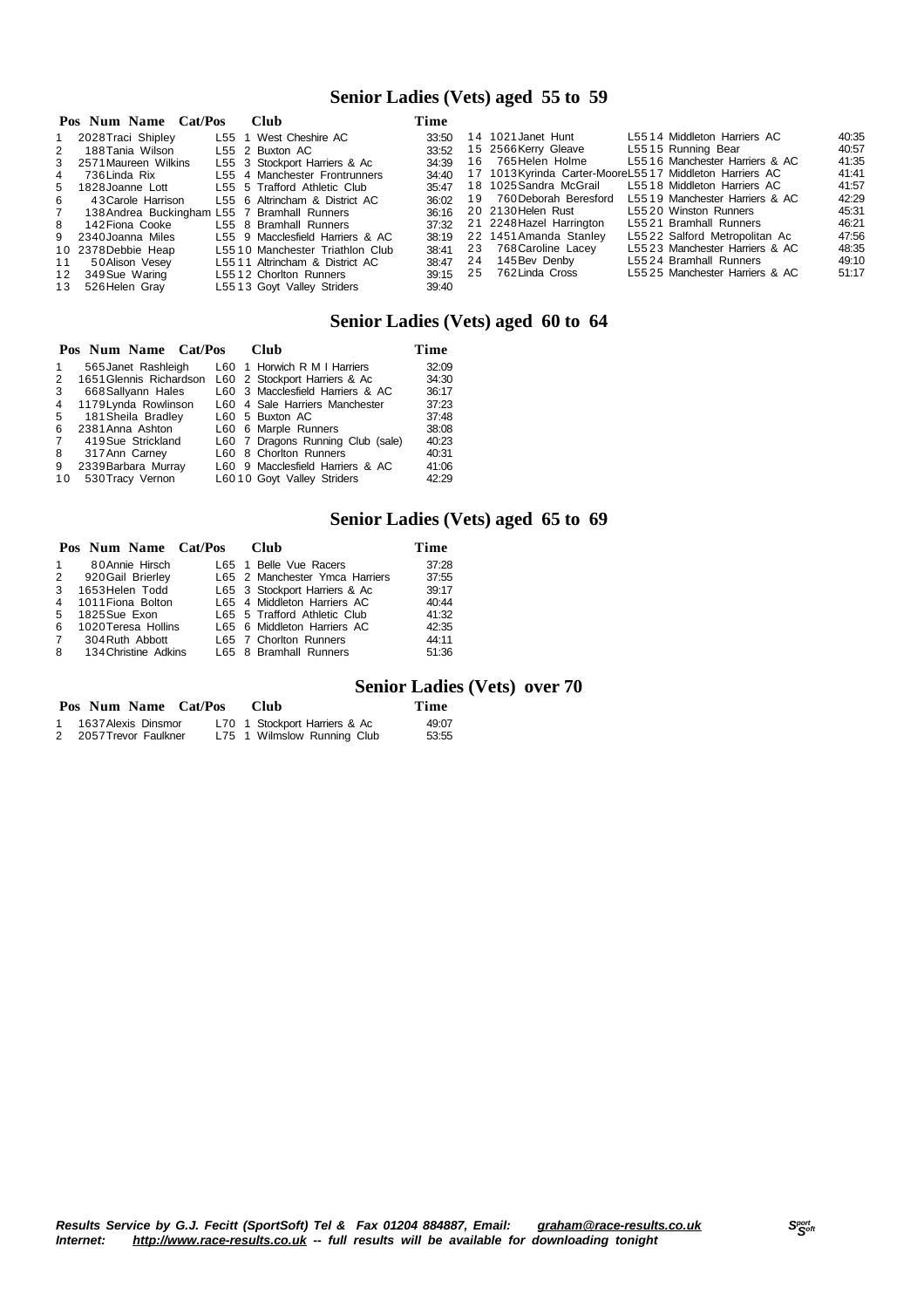## **Senior Ladies (Vets) aged 55 to 59**

|    | Pos Num Name Cat/Pos                         | <b>Club</b>                      | Time     |                                                         |                                |       |
|----|----------------------------------------------|----------------------------------|----------|---------------------------------------------------------|--------------------------------|-------|
|    | 1 2028 Traci Shipley                         | L55 1 West Cheshire AC           | 33:50    | 14 1021 Janet Hunt                                      | L5514 Middleton Harriers AC    | 40:35 |
| 2  | 188 Tania Wilson                             | L55 2 Buxton AC                  | 33:52    | 15 2566 Kerry Gleave                                    | L5515 Running Bear             | 40:57 |
|    | 3 2571 Maureen Wilkins                       | L55 3 Stockport Harriers & Ac    | 34:39    | 16 765 Helen Holme                                      | L5516 Manchester Harriers & AC | 41:35 |
| 4  | 736 Linda Rix                                | L55 4 Manchester Frontrunners    | 34:40    | 17 1013 Kyrinda Carter-MooreL5517 Middleton Harriers AC |                                | 41:41 |
|    | 5 1828 Joanne Lott                           | L55 5 Trafford Athletic Club     | 35:47    | 18 1025 Sandra McGrail                                  | L5518 Middleton Harriers AC    | 41:57 |
| 6  | 43 Carole Harrison                           | L55 6 Altrincham & District AC   | 36:02    | 19 760 Deborah Beresford                                | L5519 Manchester Harriers & AC | 42:29 |
| 7  | 138 Andrea Buckingham L55 7 Bramhall Runners |                                  | 36:16    | 20 2130 Helen Rust                                      | L5520 Winston Runners          | 45:31 |
| 8  | 142 Fiona Cooke                              | L55 8 Bramhall Runners           | 37:32    | 21 2248 Hazel Harrington                                | L5521 Bramhall Runners         | 46:21 |
|    | 9 2340 Joanna Miles                          | L55 9 Macclesfield Harriers & AC | 38:19    | 22 1451 Amanda Stanley                                  | L5522 Salford Metropolitan Ac  | 47:56 |
|    | 10 2378 Debbie Heap                          | L5510 Manchester Triathlon Club  | 38:41    | 23 768 Caroline Lacey                                   | L5523 Manchester Harriers & AC | 48:35 |
| 11 | 50Alison Vesey                               | L5511 Altrincham & District AC   | 38:47    | 24 145 Bev Denby                                        | L5524 Bramhall Runners         | 49:10 |
|    | 12 349 Sue Waring                            | L5512 Chorlton Runners           | 39:15 25 | 762 Linda Cross                                         | L5525 Manchester Harriers & AC | 51:17 |
| 13 | 526 Helen Gray                               | L5513 Goyt Valley Striders       | 39:40    |                                                         |                                |       |

#### **Senior Ladies (Vets) aged 60 to 64**

|   | Pos Num Name Cat/Pos |                         |  | Club                              | Time  |
|---|----------------------|-------------------------|--|-----------------------------------|-------|
| 1 |                      | 565 Janet Rashleigh     |  | L60 1 Horwich R M I Harriers      | 32:09 |
| 2 |                      | 1651 Glennis Richardson |  | L60 2 Stockport Harriers & Ac     | 34:30 |
| 3 | 668 Sallyann Hales   |                         |  | L60 3 Macclesfield Harriers & AC  | 36:17 |
| 4 |                      | 1179 Lynda Rowlinson    |  | L60 4 Sale Harriers Manchester    | 37:23 |
| 5 |                      | 181 Sheila Bradley      |  | L60 5 Buxton AC                   | 37:48 |
| 6 |                      | 2381 Anna Ashton        |  | L60 6 Marple Runners              | 38:08 |
|   | 7 419 Sue Strickland |                         |  | L60 7 Dragons Running Club (sale) | 40:23 |
| 8 |                      | 317 Ann Carney          |  | L60 8 Chorlton Runners            | 40:31 |
| 9 |                      | 2339 Barbara Murray     |  | L60 9 Macclesfield Harriers & AC  | 41:06 |
|   | 10 530 Tracy Vernon  |                         |  | L6010 Goyt Valley Striders        | 42:29 |

#### **Senior Ladies (Vets) aged 65 to 69**

|              | Pos Num Name Cat/Pos | Club                           | Time  |
|--------------|----------------------|--------------------------------|-------|
| $\mathbf{1}$ | 80 Annie Hirsch      | L65 1 Belle Vue Racers         | 37:28 |
| 2            | 920 Gail Brierley    | L65 2 Manchester Ymca Harriers | 37:55 |
| 3            | 1653 Helen Todd      | L65 3 Stockport Harriers & Ac  | 39:17 |
| 4            | 1011 Fiona Bolton    | L65 4 Middleton Harriers AC    | 40:44 |
| -5           | 1825Sue Exon         | L65 5 Trafford Athletic Club   | 41:32 |
| 6            | 1020 Teresa Hollins  | L65 6 Middleton Harriers AC    | 42:35 |
|              | 7 304 Ruth Abbott    | L65 7 Chorlton Runners         | 44:11 |
| 8            | 134 Christine Adkins | L65 8 Bramhall Runners         | 51:36 |

#### **Senior Ladies (Vets) over 70**

|                        | Pos Num Name Cat/Pos | <b>Club</b>                   | Time  |
|------------------------|----------------------|-------------------------------|-------|
| 1 1637 Alexis Dinsmor  |                      | L70 1 Stockport Harriers & Ac | 49:07 |
| 2 2057 Trevor Faulkner |                      | L75 1 Wilmslow Running Club   | 53:55 |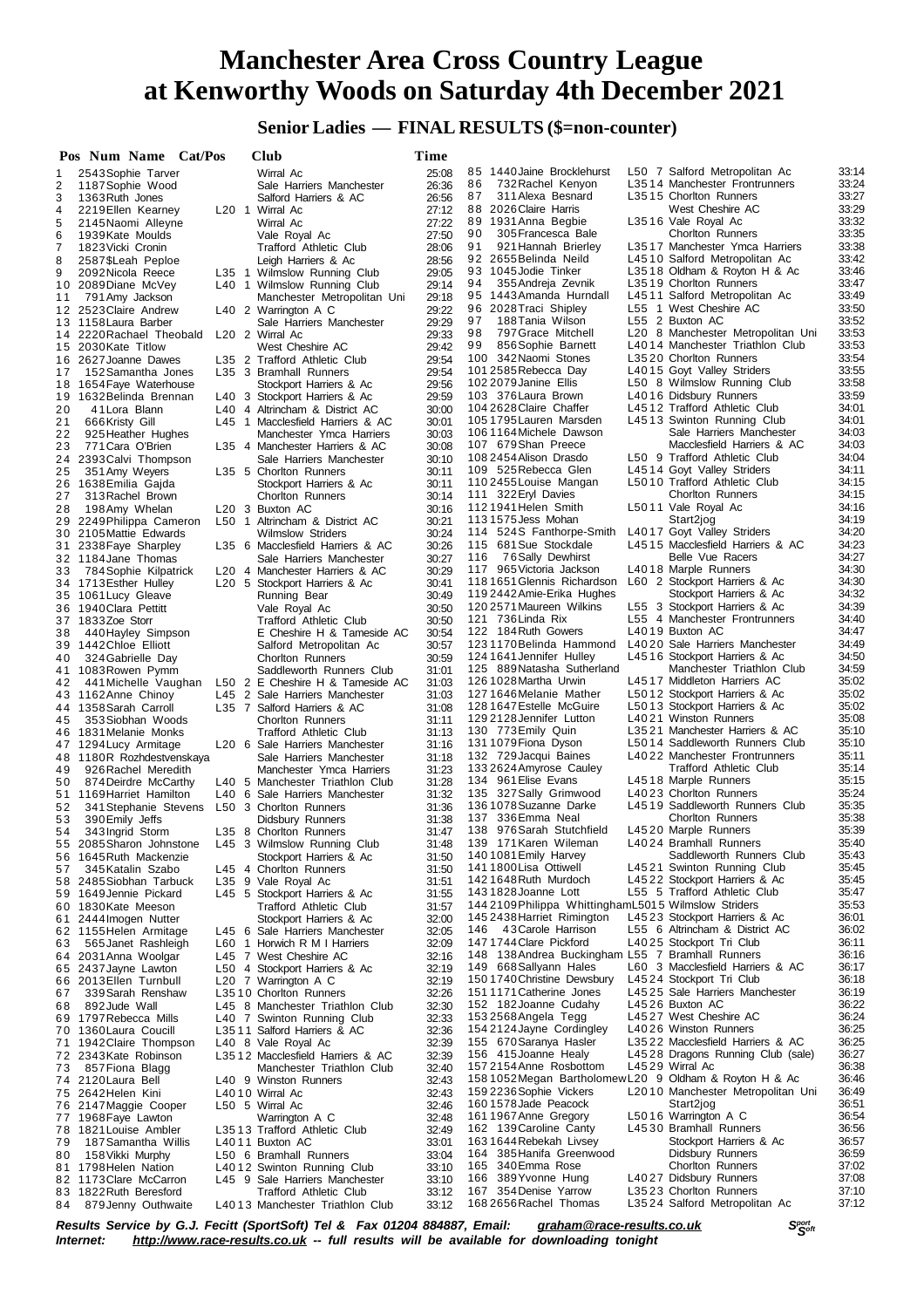**Senior Ladies — FINAL RESULTS (\$=non-counter)**

|    | Pos Num Name Cat/Pos                                 |       | Club                                                         | Time           |                                                                           |                                                                      |                |
|----|------------------------------------------------------|-------|--------------------------------------------------------------|----------------|---------------------------------------------------------------------------|----------------------------------------------------------------------|----------------|
| 1  | 2543 Sophie Tarver                                   |       | Wirral Ac                                                    | 25:08          | 85 1440 Jaine Brocklehurst                                                | L50 7 Salford Metropolitan Ac                                        | 33:14          |
| 2  | 1187 Sophie Wood                                     |       | Sale Harriers Manchester                                     | 26:36          | 732 Rachel Kenyon<br>86                                                   | L3514 Manchester Frontrunners                                        | 33:24          |
| 3  | 1363 Ruth Jones                                      |       | Salford Harriers & AC                                        | 26:56          | 87<br>311 Alexa Besnard                                                   | L3515 Chorlton Runners                                               | 33:27          |
| 4  | 2219 Ellen Kearney                                   |       | L <sub>20</sub> 1 Wirral Ac                                  | 27:12          | 88 2026 Claire Harris                                                     | West Cheshire AC                                                     | 33:29          |
| 5  | 2145 Naomi Alleyne                                   |       | Wirral Ac                                                    | 27:22          | 89 1931 Anna Begbie                                                       | L3516 Vale Royal Ac                                                  | 33:32          |
| 6  | 1939 Kate Moulds                                     |       | Vale Royal Ac                                                | 27:50          | 90<br>305 Francesca Bale                                                  | <b>Chorlton Runners</b>                                              | 33:35          |
| 7  | 1823 Vicki Cronin                                    |       | <b>Trafford Athletic Club</b>                                | 28:06          | 91<br>921 Hannah Brierley                                                 | L3517 Manchester Ymca Harriers                                       | 33:38          |
| 8  | 2587\$Leah Peploe                                    |       | Leigh Harriers & Ac                                          | 28:56          | 92 2655 Belinda Neild                                                     | L4510 Salford Metropolitan Ac                                        | 33:42          |
| 9  | 2092 Nicola Reece                                    |       | L35 1 Wilmslow Running Club                                  | 29:05          | 93 1045 Jodie Tinker                                                      | L3518 Oldham & Royton H & Ac                                         | 33:46          |
|    | 10 2089 Diane McVey                                  |       | L40 1 Wilmslow Running Club                                  | 29:14          | 94<br>355 Andreja Zevnik                                                  | L3519 Chorlton Runners                                               | 33:47          |
| 11 | 791 Amy Jackson                                      |       | Manchester Metropolitan Uni                                  | 29:18          | 95 1443 Amanda Hurndall                                                   | L4511 Salford Metropolitan Ac                                        | 33:49          |
|    | 12 2523 Claire Andrew                                |       | L40 2 Warrington $A \, C$                                    | 29:22          | 96 2028 Traci Shipley                                                     | L55 1 West Cheshire AC<br>L55 2 Buxton AC                            | 33:50          |
|    | 13 1158 Laura Barber                                 |       | Sale Harriers Manchester                                     | 29:29          | 97<br>188 Tania Wilson<br>98<br>797 Grace Mitchell                        |                                                                      | 33:52          |
|    | 14 2220 Rachael Theobald                             |       | L20 2 Wirral Ac                                              | 29:33          | 99<br>856 Sophie Barnett                                                  | L20 8 Manchester Metropolitan Uni<br>L4014 Manchester Triathlon Club | 33:53<br>33:53 |
|    | 15 2030 Kate Titlow                                  |       | West Cheshire AC                                             | 29:42          | 100 342 Naomi Stones                                                      | L3520 Chorlton Runners                                               | 33:54          |
|    | 16 2627 Joanne Dawes                                 |       | L35 2 Trafford Athletic Club<br>L35 3 Bramhall Runners       | 29:54          | 1012585 Rebecca Day                                                       | L4015 Goyt Valley Striders                                           | 33:55          |
| 17 | 152 Samantha Jones<br>18 1654 Faye Waterhouse        |       | Stockport Harriers & Ac                                      | 29:54<br>29:56 | 102 2079 Janine Ellis                                                     | L50 8 Wilmslow Running Club                                          | 33:58          |
|    | 19 1632 Belinda Brennan                              |       | L40 3 Stockport Harriers & Ac                                | 29:59          | 103 376 Laura Brown                                                       | L4016 Didsbury Runners                                               | 33:59          |
| 20 | 41 Lora Blann                                        |       | L40 4 Altrincham & District AC                               | 30:00          | 104 2628 Claire Chaffer                                                   | L4512 Trafford Athletic Club                                         | 34:01          |
| 21 | 666 Kristy Gill                                      |       | L45 1 Macclesfield Harriers & AC                             | 30:01          | 1051795 Lauren Marsden                                                    | L4513 Swinton Running Club                                           | 34:01          |
| 22 | 925 Heather Hughes                                   |       | Manchester Ymca Harriers                                     | 30:03          | 1061164 Michele Dawson                                                    | Sale Harriers Manchester                                             | 34:03          |
| 23 | 771 Cara O'Brien                                     |       | L35 4 Manchester Harriers & AC                               | 30:08          | 107 679 Shan Preece                                                       | Macclesfield Harriers & AC                                           | 34:03          |
|    | 24 2393 Calvi Thompson                               |       | Sale Harriers Manchester                                     | 30:10          | 108 2454 Alison Drasdo                                                    | L50 9 Trafford Athletic Club                                         | 34:04          |
| 25 | 351 Amy Weyers                                       |       | L35 5 Chorlton Runners                                       | 30:11          | 109 525 Rebecca Glen                                                      | L4514 Goyt Valley Striders                                           | 34:11          |
| 26 | 1638 Emilia Gajda                                    |       | Stockport Harriers & Ac                                      | 30:11          | 1102455 Louise Mangan                                                     | L5010 Trafford Athletic Club                                         | 34:15          |
| 27 | 313 Rachel Brown                                     |       | <b>Chorlton Runners</b>                                      | 30:14          | 111 322 Eryl Davies                                                       | Chorlton Runners                                                     | 34:15          |
| 28 | 198 Amy Whelan                                       |       | L20 3 Buxton AC                                              | 30:16          | 1121941 Helen Smith                                                       | L5011 Vale Royal Ac                                                  | 34:16          |
| 29 | 2249 Philippa Cameron                                |       | L50 1 Altrincham & District AC                               | 30:21          | 1131575 Jess Mohan                                                        | Start2jog                                                            | 34:19          |
|    | 30 2105 Mattie Edwards                               |       | <b>Wilmslow Striders</b>                                     | 30:24          | 114 524S Fanthorpe-Smith                                                  | L4017 Goyt Valley Striders                                           | 34:20          |
|    | 31 2338 Faye Sharpley                                |       | L35 6 Macclesfield Harriers & AC                             | 30:26          | 115 681 Sue Stockdale                                                     | L4515 Macclesfield Harriers & AC                                     | 34:23          |
|    | 32 1184 Jane Thomas                                  |       | Sale Harriers Manchester                                     | 30:27          | 116<br>76Sally Dewhirst                                                   | Belle Vue Racers                                                     | 34:27          |
| 33 | 784 Sophie Kilpatrick                                |       | L <sub>20</sub> 4 Manchester Harriers & AC                   | 30:29          | 117 965 Victoria Jackson                                                  | L4018 Marple Runners                                                 | 34:30          |
|    | 34 1713 Esther Hulley                                |       | L20 5 Stockport Harriers & Ac                                | 30:41          | 118 1651 Glennis Richardson                                               | L60 2 Stockport Harriers & Ac                                        | 34:30          |
|    | 35 1061 Lucy Gleave                                  |       | Running Bear                                                 | 30:49          | 119 2442 Amie-Erika Hughes                                                | Stockport Harriers & Ac                                              | 34:32          |
|    | 36 1940 Clara Pettitt                                |       | Vale Royal Ac                                                | 30:50          | 120 2571 Maureen Wilkins                                                  | L55 3 Stockport Harriers & Ac                                        | 34:39          |
|    | 37 1833Zoe Storr                                     |       | Trafford Athletic Club                                       | 30:50          | 121 736 Linda Rix                                                         | L55 4 Manchester Frontrunners                                        | 34:40          |
| 38 | 440 Hayley Simpson                                   |       | E Cheshire H & Tameside AC                                   | 30:54          | 122 184 Ruth Gowers                                                       | L4019 Buxton AC                                                      | 34:47<br>34:49 |
|    | 39 1442 Chloe Elliott                                |       | Salford Metropolitan Ac                                      | 30:57          | 1231170 Belinda Hammond<br>124 1641 Jennifer Hulley                       | L4020 Sale Harriers Manchester<br>L4516 Stockport Harriers & Ac      | 34:50          |
| 40 | 324 Gabrielle Day                                    |       | <b>Chorlton Runners</b>                                      | 30:59          | 125 889 Natasha Sutherland                                                | Manchester Triathlon Club                                            | 34:59          |
|    | 41 1083 Rowen Pymm                                   |       | Saddleworth Runners Club<br>L50 2 E Cheshire H & Tameside AC | 31:01<br>31:03 | 1261028 Martha Urwin                                                      | L4517 Middleton Harriers AC                                          | 35:02          |
| 42 | 441 Michelle Vaughan<br>43 1162 Anne Chinoy          |       | L45 2 Sale Harriers Manchester                               | 31:03          | 1271646Melanie Mather                                                     | L5012 Stockport Harriers & Ac                                        | 35:02          |
|    | 44 1358 Sarah Carroll                                |       | L35 7 Salford Harriers & AC                                  | 31:08          | 128 1647 Estelle McGuire                                                  | L5013 Stockport Harriers & Ac                                        | 35:02          |
| 45 | 353 Siobhan Woods                                    |       | <b>Chorlton Runners</b>                                      | 31:11          | 1292128 Jennifer Lutton                                                   | L4021 Winston Runners                                                | 35:08          |
|    | 46 1831 Melanie Monks                                |       | <b>Trafford Athletic Club</b>                                | 31:13          | 130 773 Emily Quin                                                        | L3521 Manchester Harriers & AC                                       | 35:10          |
|    | 47 1294 Lucy Armitage                                |       | L20 6 Sale Harriers Manchester                               | 31:16          | 1311079 Fiona Dyson                                                       | L5014 Saddleworth Runners Club                                       | 35:10          |
|    | 48 1180R Rozhdestvenskaya                            |       | Sale Harriers Manchester                                     | 31:18          | 132 729 Jacqui Baines                                                     | L4022 Manchester Frontrunners                                        | 35:11          |
| 49 | 926 Rachel Meredith                                  |       | Manchester Ymca Harriers                                     | 31:23          | 133 2624 Amyrose Cauley                                                   | <b>Trafford Athletic Club</b>                                        | 35:14          |
| 50 | 874 Deirdre McCarthy                                 |       | L40 5 Manchester Triathlon Club                              | 31:28          | 134 961 Elise Evans                                                       | L4518 Marple Runners                                                 | 35:15          |
|    | 51 1169 Harriet Hamilton                             |       | L40 6 Sale Harriers Manchester                               | 31:32          | 135 327 Sally Grimwood                                                    | L4023 Chorlton Runners                                               | 35:24          |
| 52 | 341 Stephanie Stevens                                |       | L50 3 Chorlton Runners                                       | 31:36          | 1361078 Suzanne Darke                                                     | L4519 Saddleworth Runners Club                                       | 35:35          |
| 53 | 390 Emily Jeffs                                      |       | Didsbury Runners                                             | 31:38          | 137 336 Emma Neal                                                         | <b>Chorlton Runners</b>                                              | 35:38          |
| 54 | 343 Ingrid Storm                                     |       | L35 8 Chorlton Runners                                       | 31:47          | 138 976 Sarah Stutchfield                                                 | L4520 Marple Runners                                                 | 35:39          |
|    | 55 2085 Sharon Johnstone L45 3 Wilmslow Running Club |       |                                                              | 31:48          | 139 171 Karen Wileman                                                     | L4024 Bramhall Runners                                               | 35:40          |
|    | 56 1645 Ruth Mackenzie                               |       | Stockport Harriers & Ac                                      | 31:50          | 140 1081 Emily Harvey                                                     | Saddleworth Runners Club                                             | 35:43          |
| 57 | 345 Katalin Szabo                                    | L45 4 | <b>Chorlton Runners</b>                                      | 31:50          | 1411800Lisa Ottiwell                                                      | L4521 Swinton Running Club                                           | 35:45          |
| 58 | 2485Siobhan Tarbuck                                  |       | L35 9 Vale Royal Ac                                          | 31.51          | 1421648 Ruth Murdoch                                                      | L4522 Stockport Harriers & Ac                                        | 35:45          |
|    | 59 1649 Jennie Pickard                               |       | L45 5 Stockport Harriers & Ac                                | 31:55          | 1431828 Joanne Lott<br>1442109Philippa WhittinghamL5015 Wilmslow Striders | L55 5 Trafford Athletic Club                                         | 35:47<br>35:53 |
|    | 60 1830 Kate Meeson                                  |       | Trafford Athletic Club                                       | 31:57          | 145 2438 Harriet Rimington                                                | L4523 Stockport Harriers & Ac                                        | 36:01          |
| 61 | 2444 Imogen Nutter                                   |       | Stockport Harriers & Ac<br>L45 6 Sale Harriers Manchester    | 32:00<br>32:05 | 146<br>43 Carole Harrison                                                 | L55 6 Altrincham & District AC                                       | 36:02          |
|    | 62 1155 Helen Armitage<br>565 Janet Rashleigh        |       | L60 1 Horwich R M I Harriers                                 | 32:09          | 1471744 Clare Pickford                                                    | L4025 Stockport Tri Club                                             | 36:11          |
| 63 | 64 2031 Anna Woolgar                                 |       | L45 7 West Cheshire AC                                       | 32:16          | 148 138 Andrea Buckingham L55 7 Bramhall Runners                          |                                                                      | 36:16          |
|    | 65 2437 Jayne Lawton                                 |       | L50 4 Stockport Harriers & Ac                                | 32:19          | 149 668 Sallyann Hales                                                    | L60 3 Macclesfield Harriers & AC                                     | 36:17          |
|    | 66 2013 Ellen Turnbull                               |       | L <sub>20</sub> 7 Warrington A C                             | 32:19          | 150 1740 Christine Dewsbury                                               | L4524 Stockport Tri Club                                             | 36:18          |
| 67 | 339 Sarah Renshaw                                    |       | L3510 Chorlton Runners                                       | 32:26          | 151 1171 Catherine Jones                                                  | L4525 Sale Harriers Manchester                                       | 36:19          |
| 68 | 892 Jude Wall                                        |       | L45 8 Manchester Triathlon Club                              | 32:30          | 152 182 Joanne Cudahy                                                     | L4526 Buxton AC                                                      | 36:22          |
|    | 69 1797 Rebecca Mills                                |       | L40 7 Swinton Running Club                                   | 32:33          | 1532568 Angela Tegg                                                       | L4527 West Cheshire AC                                               | 36:24          |
|    | 70 1360 Laura Coucill                                |       | L3511 Salford Harriers & AC                                  | 32:36          | 154 2124 Jayne Cordingley                                                 | L4026 Winston Runners                                                | 36:25          |
|    | 71 1942 Claire Thompson                              |       | L40 8 Vale Royal Ac                                          | 32:39          | 155 670 Saranya Hasler                                                    | L3522 Macclesfield Harriers & AC                                     | 36:25          |
|    | 72 2343 Kate Robinson                                |       | L3512 Macclesfield Harriers & AC                             | 32:39          | 156 415 Joanne Healy                                                      | L4528 Dragons Running Club (sale)                                    | 36:27          |
| 73 | 857 Fiona Blagg                                      |       | Manchester Triathlon Club                                    | 32:40          | 157 2154 Anne Rosbottom                                                   | L4529 Wirral Ac                                                      | 36:38          |
|    | 74 2120 Laura Bell                                   |       | L40 9 Winston Runners                                        | 32:43          | 1581052Megan Bartholomew L20 9 Oldham & Royton H & Ac                     |                                                                      | 36:46          |
|    | 75 2642Helen Kini                                    |       | L4010 Wirral Ac                                              | 32:43          | 159 2236 Sophie Vickers                                                   | L2010 Manchester Metropolitan Uni                                    | 36:49          |
|    | 76 2147 Maggie Cooper                                |       | L50 5 Wirral Ac                                              | 32:46          | 1601578 Jade Peacock                                                      | Start2jog                                                            | 36:51          |
|    | 77 1968 Faye Lawton                                  |       | Warrington A C                                               | 32:48          | 1611967 Anne Gregory                                                      | L5016 Warrington A C                                                 | 36:54          |
|    | 78 1821 Louise Ambler                                |       | L3513 Trafford Athletic Club                                 | 32:49          | 162 139 Caroline Canty                                                    | L4530 Bramhall Runners                                               | 36:56          |
| 79 | 187 Samantha Willis                                  |       | L4011 Buxton AC                                              | 33:01          | 163 1644 Rebekah Livsey                                                   | Stockport Harriers & Ac                                              | 36:57          |
| 80 | 158 Vikki Murphy                                     |       | L50 6 Bramhall Runners                                       | 33:04          | 164 385 Hanifa Greenwood                                                  | Didsbury Runners                                                     | 36:59          |
|    | 81 1798 Helen Nation                                 |       | L4012 Swinton Running Club                                   | 33:10          | 165 340 Emma Rose                                                         | <b>Chorlton Runners</b>                                              | 37:02          |
|    | 82 1173 Clare McCarron                               |       | L45 9 Sale Harriers Manchester                               | 33:10          | 166 389 Yvonne Hung                                                       | L4027 Didsbury Runners                                               | 37:08          |
|    | 83 1822 Ruth Beresford                               |       | <b>Trafford Athletic Club</b>                                | 33:12          | 167 354 Denise Yarrow                                                     | L3523 Chorlton Runners                                               | 37:10          |
| 84 | 879 Jenny Outhwaite                                  |       | L4013 Manchester Triathlon Club                              | 33:12          | 168 2656 Rachel Thomas                                                    | L3524 Salford Metropolitan Ac                                        | 37:12          |

Results Service by G.J. Fecitt (SportSoft) Tel & Fax 01204 884887, Email: <u>[graham@race-results.co.uk](mailto:graham@race-results.co.uk)</u> S<sup>oon</sup><br>Internet: <u><http://www.race-results.co.uk></u> -- full results will be available for downloading tonight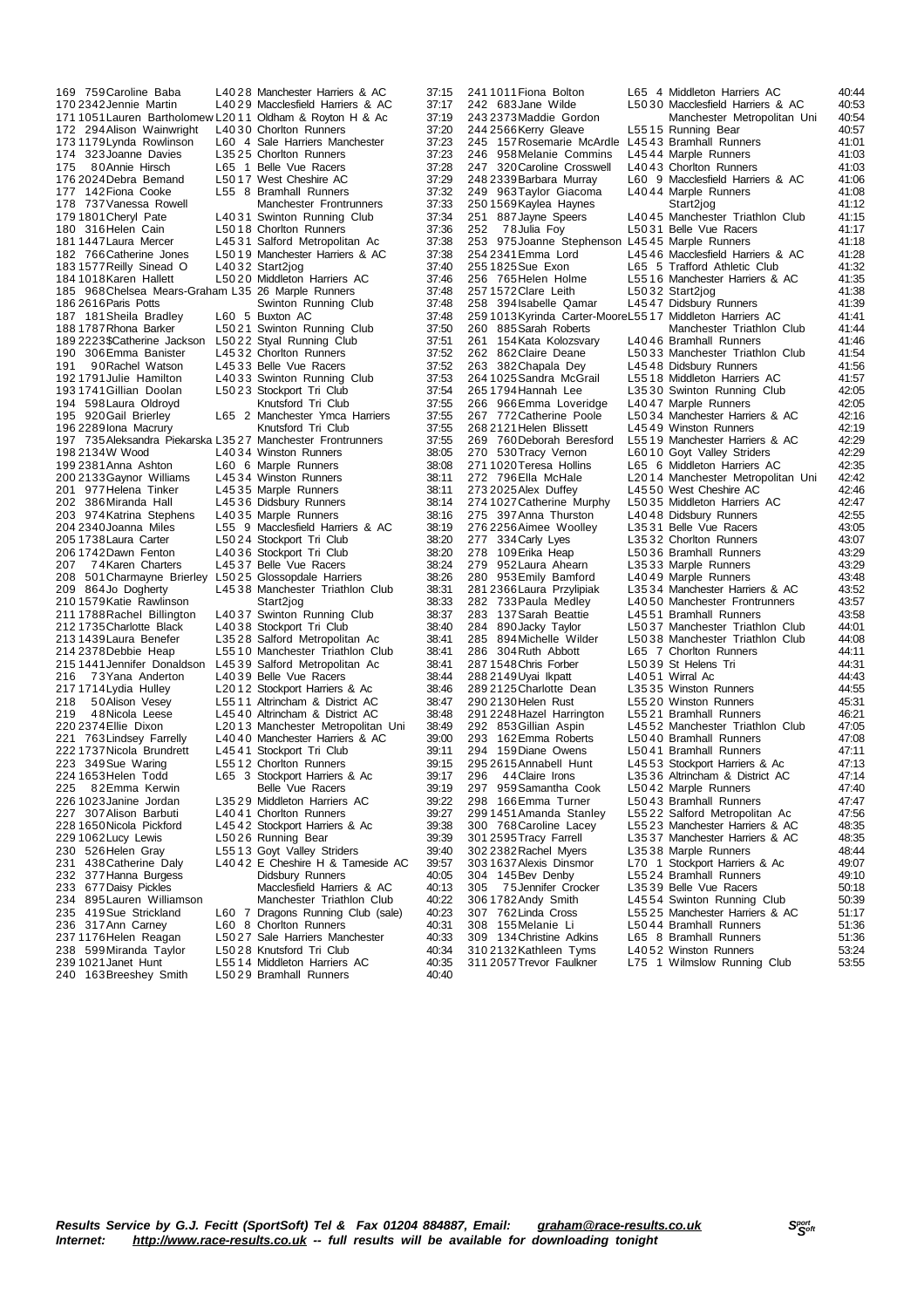193 1741 Gillian Doolan L50 23 Stockport Tri Club<br>194 598 Laura Oldroyd Knutsford Tri Club<br>195 920 Gail Brierley L65 2 Manchester Ymca

169 759 Caroline Baba L40 28 Manchester Harriers & AC 37:15<br>170 234 2 Jennie Martin L40 29 Macclesfield Harriers & AC 37:17 170 L40 29 Macclesfield Harriers & AC 37:17<br>1710 20 11 Oldham & Royton H & Ac 37:19 171 1051Lauren Bartholomew L20 1 1 Oldham & Royton H & Ac 37:19 172 294 Alison Wainwright L40 30 Chorlton Runners 37:20<br>173 1179 Lynda Rowlinson L60 4 Sale Harriers Manchester 37:23 173 1179Lynda Rowlinson L60 4 Sale Harriers Manchester 37:23 174 323Joanne Davies L35 2 5 Chorlton Runners 37:23 175 80 Annie Hirsch L65 1 Belle Vue Racers 37:28<br>176 2024 Debra Bemand L50 17 West Cheshire AC 37:29 176 2024Debra Bemand L50 1 7 West Cheshire AC 37:29 8 Bramhall Runners 37:32<br>Manchester Frontrunners 37:33 178 737 Vanessa Rowell Manchester Frontrunners 37:33<br>179 1801 Cheryl Pate L40 31 Swinton Running Club 37:34 179 1801 Cheryl Pate L40 31 Swinton Running Club 37:34<br>180 316 Helen Cain L50 18 Chorlton Runners 37:36 L50 18 Chorlton Runners 181 1447 Laura Mercer L45 31 Salford Metropolitan Ac 37:38<br>182 766 Catherine Jones L50 19 Manchester Harriers & AC 37:38 182 766Catherine Jones L50 1 9 Manchester Harriers & AC 37:38 183 1577 Reilly Sinead O L40 32 Start2jog 37:40<br>184 1018 Karen Hallett L50 20 Middleton Harriers AC 37:46 L50 20 Middleton Harriers AC 185 968 Chelsea Mears-Graham L35 26 Marple Runners 37:48<br>186 2616 Paris Potts 37:48 Swinton Running Club 37:48 187:48 Swinton Running Club 37:48<br>187:48 L60 5 Buxton AC 187 181 Sheila Bradley L60 5 Buxton AC 37:48<br>188 1787 Rhona Barker L50 21 Swinton Running Club 37:50 188 1787Rhona Barker L50 2 1 Swinton Running Club 37:50 189 2223\$Catherine Jackson L50 2 2 Styal Running Club 37:51 190 306Emma Banister 145 32 Chorlton Runners 190 306Emma Banister 145 32 Chorlton Runners 37:52<br>191 90 Rachel Watson 145 33 Belle Vue Racers 37:52 191 90 Rachel Watson L45 33 Belle Vue Racers 37:52<br>1921 791 Julie Hamilton L40 33 Swinton Running Club 37:53 192 1791 Julie Hamilton L40 33 Swinton Running Club 37:53<br>193 1741 Gillian Doolan L50 23 Stockport Tri Club 37:54 194 598Laura Oldroyd Knutsford Tri Club 37:55 195 920Gail Brierley L65 2 Manchester Ymca Harriers 37:55 196 2289 Iona Macrury Knutsford Tri Club 37:55<br>197 735 Aleksandra Piekarska L35 27 Manchester Frontrunners 37:55 197 735 Aleksandra Piekarska L35 27 Manchester Frontrunners 37:55<br>198 2134 W Wood 1 L40 34 Winston Runners 38:05 198 2134 W Wood L40 34 Winston Runners 38:05<br>199 2381 Anna Ashton L60 6 Marple Runners 38:08 L60 6 Marple Runners 200 21 33 Gaynor Williams L45 34 Winston Runners 38:11<br>201 977 Helena Tinker L45 35 Marple Runners 38:11 200 21 33 Gaynor Williams Lunders (1981)<br>1201 977 Helena Tinker Lunders (1985 Marple Runners (1981)<br>1202 386 Miranda Hall Lunders (1986 Didsbury Runners (1981) 202 28:14 L45 36 Didsbury Runners 38:14<br>1202 135 Marple Runners 38:16 203 974 Katrina Stephens L40 35 Marple Runners 38:16<br>204 234 0 Joanna Miles L55 9 Macclesfield Harriers & AC 38:19 204 2340Joanna Miles L55 9 Macclesfield Harriers & AC 38:19 205 1738Laura Carter L50 2 4 Stockport Tri Club 38:20 206 1742Dawn Fenton L40 3 6 Stockport Tri Club 38:20 207 7 4Karen Charters L45 3 7 Belle Vue Racers 38:24 208 501 Charmayne Brierley L50 25 Glossopdale Harriers 38:26<br>209 864 Jo Dogherty L45 38 Manchester Triathlon Club 38:31 209 209 201 L45 38 Manchester Triathlon Club<br>Start2jog 38:33 210 1579 Katie Rawlinson Start2jog 38:33<br>2111788 Rachel Billington L40 37 Swinton Running Club 38:33 211 1788Rachel Billington L40 3 7 Swinton Running Club 38:37 212 1735 Charlotte Black L40 38 Stockport Tri Club 38:40<br>213 1439 Laura Benefer 135 28 Salford Metropolitan Ac 38:41 213 1439 Laura Benefer L35 28 Salford Metropolitan Ac 38:41<br>214 2378 Debbie Heap L55 10 Manchester Triathlon Club 38:41 1.55.1.0 Manchester Triathlon Club 215 1441 Jennifer Donaldson L45 39 Salford Metropolitan Ac 38:41<br>216 73 Yana Anderton L40 39 Belle Vue Racers 38:44 216 73Yana Anderton L40 39 Belle Vue Racers 38:44<br>217 1714 Lydia Hulley L20 12 Stockport Harriers & Ac 38:46 217 1714 Lydia Hulley L2012 Stockport Harriers & Ac 38:46<br>218 50 Alison Vesey L5511 Altrincham & District AC 38:47 218 5 0 Alison Vesey L55 11 Altrincham & District AC 38:47<br>219 14 8 Nicola Leese L145 40 Altrincham & District AC 38:48 219 4 8 Nicola Leese L45 4 0 Altrincham & District AC 38:48<br>220 2374 Ellie Dixon L20 1 3 Manchester Metropolitan Uni 38:49 L20 13 Manchester Metropolitan Uni 221 1634 L4040 Manchester Harriers & AC 39:00<br>29:11 L4541 Stockport Tri Club 221 763 Lindsey Farrelly L4040 Manchester Harriers & AC 39:00<br>222 1737 Nicola Brundrett L45 4 1 Stockport Tri Club 39:11<br>223 349 Sue Waring L55 12 Chortton Runners 39:15 223 349 Sue Waring L55 12 Chorlton Runners 39:15<br>224 1653 Helen Todd L65 3 Stockport Harriers & Ac 39:15 224 1653Helen Todd L65 3 Stockport Harriers & Ac 39:17 225 8 2Emma Kerwin Belle Vue Racers 39:19 L35 29 Middleton Harriers AC 227 307 Alison Barbuti L40 41 Chorlton Runners 39:27<br>228 1650 Nicola Pickford L45 42 Stockport Harriers & Ac 39:38 228 1650 Nicola Pickford L45 4 2 Stockport Harriers & Ac 39:38<br>228 1650 Nicola Pickford L45 4 2 Stockport Harriers & Ac 39:38 229 1062Lucy Lewis L50 2 6 Running Bear 39:39 230 526Helen Gray L55 1 3 Goyt Valley Striders 39:40 231 438Catherine Daly L40 4 2 E Cheshire H & Tameside AC 39:57 232 377Hanna Burgess Didsbury Runners 40:05 233 677Daisy Pickles Macclesfield Harriers & AC 40:13 234 895Lauren Williamson Manchester Triathlon Club 40:22 235 419Sue Strickland L60 7 Dragons Running Club (sale) 40:23<br>236 317Ann Carney L60 8 Chorlton Runners 40:31 236 317Ann Carney L60 8 Chorlton Runners 40:31 Example 27 Sale Harriers Manchester 40:33<br>L50 28 Knutsford Tri Club 40:34 238 599 Miranda Taylor L50 28 Knutsford Tri Club 40:34<br>239 1021 Janet Hunt L55 14 Middleton Harriers AC 40:35 239 1021Janet Hunt L55 1 4 Middleton Harriers AC 40:35 240 163Breeshey Smith L50 2 9 Bramhall Runners 40:40

241 1011Fiona Bolton L65 4 Middleton Harriers AC 40:44 242 683Jane Wilde L50 30 Macclesfield Harriers & AC 40:53<br>243 2373 Maddie Gordon Manchester Metropolitan Uni 40:54 243 Manchester Metropolitan Uni<br>240:57 L5515 Running Bear 40:57 244 2566 Kerry Gleave L5515 Running Bear 157 245 157 Rosemarie McArdle L4543 Bramhall Runners 41:01 245 157Rosemarie McArdle L45 4 3 Bramhall Runners 41:01 246 958Melanie Commins L45 4 4 Marple Runners 41:03 247 320 Caroline Crosswell L40 43 Chorlton Runners 41:03<br>248 2339 Barbara Murray L60 9 Macclesfield Harriers & AC 41:06 248 2339Barbara Murray L60 9 Macclesfield Harriers & AC 41:06 249 963Taylor Giacoma L40 4 4 Marple Runners 41:08 250 1569 Kaylea Haynes Start2jog 41:12<br>251 887 Jayne Speers L4045 Manchester Triathlon Club 41:15 251 887Jayne Speers L4045 Manchester Triathlon Club 41:15<br>252 78Julia Fov L5031 Belle Vue Racers 41:17 L50 31 Belle Vue Racers 253 975Joanne Stephenson L45 4 5 Marple Runners 41:18 254 2341Emma Lord L45 4 6 Macclesfield Harriers & AC 41:28 255 1825Sue Exon L65 5 Trafford Athletic Club 41:32 256 765Helen Holme L55 16 Manchester Harriers & AC<br>257 1572 Clare Leith L50 32 Start2jog 257 1572Clare Leith L50 3 2 Start2jog 41:38 258 394Isabelle Qamar L45 4 7 Didsbury Runners 41:39 259 1013Kyrinda Carter-MooreL55 1 7 Middleton Harriers AC 41:41 260 885Sarah Roberts Manchester Triathlon Club 41:44 261 154Kata Kolozsvary L4046 Bramhall Runners 41:46<br>262 862 Claire Deane L5033 Manchester Triathlon Club 41:54 262 862Claire Deane L50 3 3 Manchester Triathlon Club 41:54 263 382Chapala Dey L4548 Didsbury Runners 1988 41:56<br>264 1025 Sandra McGrail L5518 Middleton Harriers AC 41:57 264 1025Sandra McGrail L55 1 8 Middleton Harriers AC 41:57 265 1794 Hannah Lee L35 30 Swinton Running Club<br>266 966 Emma Loveridge L40 47 Marple Runners<br>267 772 Catherine Poole L50 34 Manchester Harriers & / 266 966Emma Loveridge L40 4 7 Marple Runners 42:05 267 772Catherine Poole L50 3 4 Manchester Harriers & AC 42:16 268 2121 Helen Blissett L45 4 9 Winston Runners 42:19<br>269 760 Deborah Beresford L55 1 9 Manchester Harriers & AC 42:29 269 760 Deborah Beresford L55 19 Manchester Harriers & AC 42:29<br>270 530 Tracy Vernon L60 10 Goyt Valley Striders 42:29 270 530Tracy Vernon L6010 Goyt Valley Striders 42:29<br>2711020Teresa Hollins L65 6 Middleton Harriers AC 42:35 271 1020 Teresa Hollins L65 6 Middleton Harriers AC<br>272 796 Ella McHale L2014 Manchester Metropolit<br>273 2025 Alex Duffey L4550 West Cheshire AC 272 796Ella McHale L20 1 4 Manchester Metropolitan Uni 42:42 273 2025Alex Duffey L45 5 0 West Cheshire AC 42:46 274 1027 Catherine Murphy L50 35 Middleton Harriers AC 42:47<br>275 397 Anna Thurston L40 48 Didsbury Runners 42:55 275 397 Anna Thurston L40 48 Didsbury Runners 42:55<br>276 2256 Aimee Woolley L35 31 Belle Vue Racers 43:05 276 2256 Aimee Woolley L35 31 Belle Vue Racers 43:05<br>277 334 Carly Lyes L35 32 Choriton Runners 43:07 277 334Carly Lyes (277 277 278 109 Erika Heap (278 109 Erika Heap (278 109 Erika Heap (278 109 278 109 278 10 L5036 Bramhall Runners 279 952Laura Ahearn L35 3 3 Marple Runners 43:29 280 953 Emily Bamford L4049 Marple Runners 43:48<br>281 2366 Laura Przylipiak L3534 Manchester Harriers & AC 43:52 281 2366 Laura Przylipiak L35 34 Manchester Harriers & AC 43:52<br>282 733 Paula Medley L40 50 Manchester Frontrunners 43:57 282 733 Paula Medley L40 50 Manchester Frontrunners 43:57<br>283 137 Sarah Beattie L45 51 Bramhall Runners 43:58 283 137Sarah Beattie L45 51 Bramhall Runners 43:58<br>284 890Jacky Taylor L50 37 Manchester Triathlon Club 44:01<br>285 894 Michelle Wilder L50 38 Manchester Triathlon Club 44:08 L5037 Manchester Triathlon Club 44:01<br>L5038 Manchester Triathlon Club 44:08 285 894Michelle Wilder L50 3 8 Manchester Triathlon Club 44:08 L65 7 Chorlton Runners<br>15039 St Helens Tri 287 1548 Chris Forber 1990 1990 1991 1288 2149 Units At 288 2149 Units At 288 2149 Units At 24:43<br>14:43 288 2149 Units At 289 214:43 288 2149Uyai Ikpatt L40 5 1 Wirral Ac 44:43 289 2125Charlotte Dean L35 3 5 Winston Runners 44:55 290 2130 2130 2130 2145:31<br>155 21 Bramhall Runners 46:21 291 2248 Hazel Harrington L55 21 Bramhall Runners 46:21<br>292 853 Gillian Aspin L45 52 Manchester Triathlon Club 47:05 292 853Gillian Aspin L4552 Manchester Triathlon Club<br>293 162 Emma Roberts L5040 Bramhall Runners 293 162Emma Roberts 19708 L5040 Bramhall Runners 17:08<br>294 159 Diane Owens 19708 L5041 Bramhall Runners 17:11 294 159Diane Owens L5041 Bramhall Runners 47:11<br>295 2615 Annabell Hunt L4553 Stockport Harriers & Ac 47:13 295 2615Annabell Hunt L45 5 3 Stockport Harriers & Ac 47:13 296 266 Altrincham & District AC 47:14<br>1961 1296 247:14<br>47:40 47:40 297 959 Samantha Cook L5042 Marple Runners 47:40<br>298 166 Emma Turner L5043 Bramhall Runners 47:47 L50 43 Bramhall Runners 299 1451Amanda Stanley L55 2 2 Salford Metropolitan Ac 47:56 300 768Caroline Lacey L55 2 3 Manchester Harriers & AC 48:35 301 2595Tracy Farrell L35 3 7 Manchester Harriers & AC 48:35 302 2382Rachel Myers L35 3 8 Marple Runners 48:44 303 1637Alexis Dinsmor L70 1 Stockport Harriers & Ac 49:07 304 145Bev Denby L5524 Bramhall Runners<br>305 75Jennifer Crocker L3539 Belle Vue Racers<br>3061782Andy Smith L4554 Swinton Running<br>307 762Linda Cross L5525 Manchester Harriers L35 39 Belle Vue Racers 50:18 306 1782Andy Smith L45 5 4 Swinton Running Club 50:39 307 762 Linda Cross L55 25 Manchester Harriers & AC 51:17<br>308 155 Melanie Li L5044 Bramhall Runners 51:36 308 155Melanie Li L50 4 4 Bramhall Runners 51:36 309 134Christine Adkins L65 8 Bramhall Runners 51:36 310 2132Kathleen Tyms L40 5 2 Winston Runners 53:24 L75 1 Wilmslow Running Club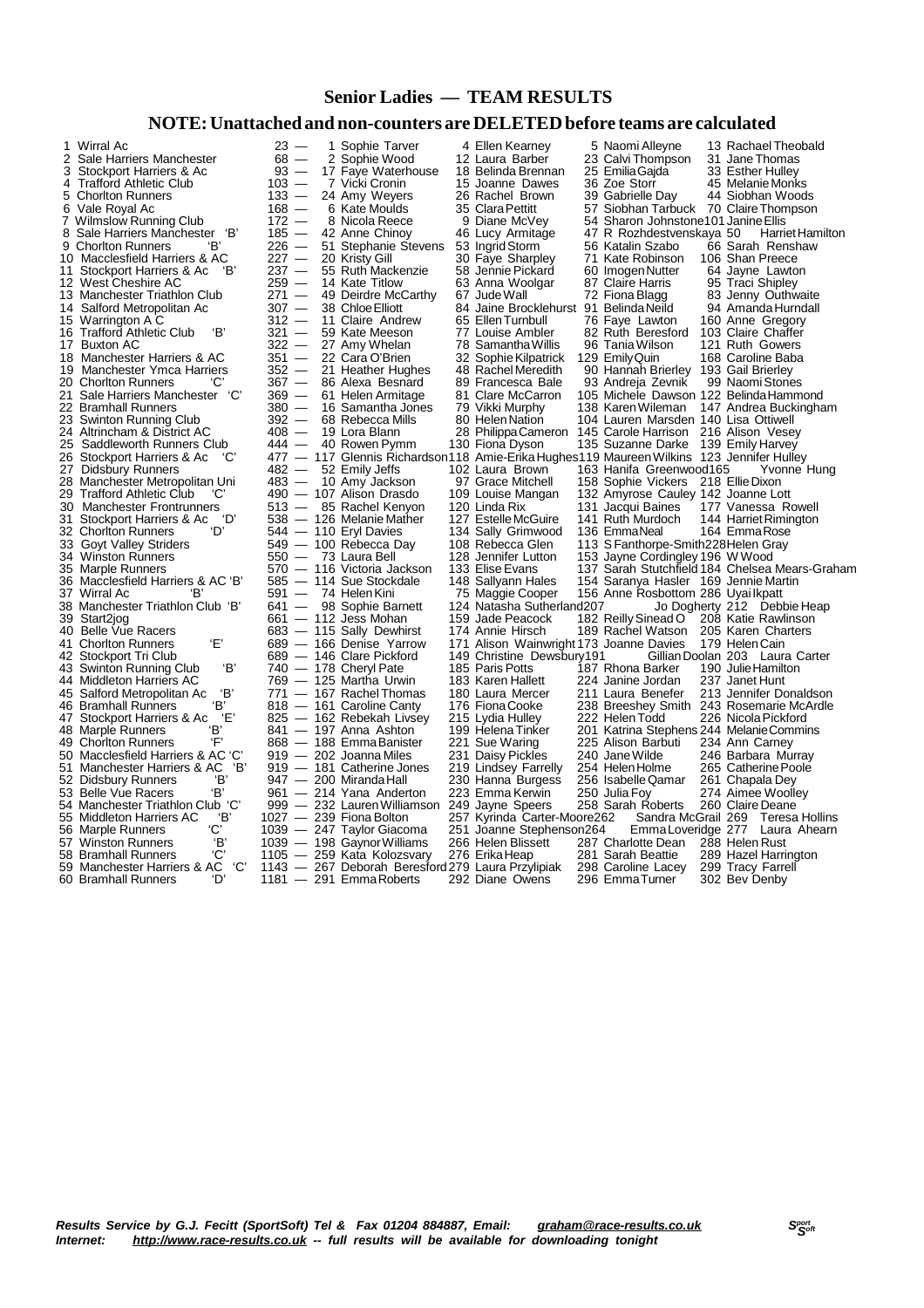#### **Senior Ladies — TEAM RESULTS**

|    | 1 Wirral Ac                       | $23 -$  | 1 Sophie Tarver                                                                            | 4 Ellen Kearney                                          | 5 Naomi Alleyne                         | 13 Rachael Theobald                            |
|----|-----------------------------------|---------|--------------------------------------------------------------------------------------------|----------------------------------------------------------|-----------------------------------------|------------------------------------------------|
| 2  | Sale Harriers Manchester          | $68 -$  | 2 Sophie Wood                                                                              | 12 Laura Barber                                          | 23 Calvi Thompson                       | 31 Jane Thomas                                 |
| 3  | Stockport Harriers & Ac           | $93 -$  | 17 Faye Waterhouse                                                                         | 18 Belinda Brennan                                       | 25 Emilia Gajda                         | 33 Esther Hulley                               |
| 4  | <b>Trafford Athletic Club</b>     | $103 -$ | 7 Vicki Cronin                                                                             | 15 Joanne Dawes                                          | 36 Zoe Storr                            | 45 Melanie Monks                               |
|    | 5 Chorlton Runners                | $133 -$ | 24 Amy Weyers                                                                              | 26 Rachel Brown                                          | 39 Gabrielle Day                        | 44 Siobhan Woods                               |
|    | 6 Vale Royal Ac                   | $168 -$ | 6 Kate Moulds                                                                              | 35 Clara Pettitt                                         |                                         | 57 Siobhan Tarbuck 70 Claire Thompson          |
|    | 7 Wilmslow Running Club           | $172 -$ | 8 Nicola Reece                                                                             | 9 Diane McVey                                            | 54 Sharon Johnstone 101 Janine Ellis    |                                                |
|    | 8 Sale Harriers Manchester 'B'    | $185 -$ | 42 Anne Chinoy                                                                             | 46 Lucy Armitage                                         | 47 R Rozhdestvenskaya 50                | Harriet Hamilton                               |
|    | 9 Chorlton Runners<br>'В'         | $226 -$ | 51 Stephanie Stevens 53 Ingrid Storm                                                       |                                                          | 56 Katalin Szabo                        | 66 Sarah Renshaw                               |
|    | 10 Macclesfield Harriers & AC     | $227 -$ | 20 Kristy Gill                                                                             | 30 Faye Sharpley                                         | 71 Kate Robinson                        | 106 Shan Preece                                |
|    | 11 Stockport Harriers & Ac<br>ʻВ' | $237 -$ | 55 Ruth Mackenzie                                                                          | 58 Jennie Pickard                                        | 60 Imogen Nutter                        | 64 Jayne Lawton                                |
|    | 12 West Cheshire AC               | $259 -$ | 14 Kate Titlow                                                                             | 63 Anna Woolgar                                          | 87 Claire Harris                        | 95 Traci Shipley                               |
|    | 13 Manchester Triathlon Club      | $271 -$ | 49 Deirdre McCarthy                                                                        | 67 Jude Wall                                             |                                         |                                                |
|    |                                   | $307 -$ | 38 Chloe Elliott                                                                           | 84 Jaine Brocklehurst 91 Belinda Neild                   | 72 Fiona Blagg                          | 83 Jenny Outhwaite<br>94 Amanda Hurndall       |
|    | 14 Salford Metropolitan Ac        |         |                                                                                            |                                                          |                                         |                                                |
|    | 15 Warrington A C                 | $312 -$ | 11 Claire Andrew                                                                           | 65 Ellen Turnbull                                        | 76 Faye Lawton                          | 160 Anne Gregory                               |
|    | 16 Trafford Athletic Club<br>'B'  | $321 -$ | 59 Kate Meeson                                                                             | 77 Louise Ambler                                         | 82 Ruth Beresford                       | 103 Claire Chaffer                             |
|    | 17 Buxton AC                      | $322 -$ | 27 Amy Whelan                                                                              | 78 Samantha Willis                                       | 96 Tania Wilson                         | 121 Ruth Gowers                                |
|    | 18 Manchester Harriers & AC       | $351 -$ | 22 Cara O'Brien                                                                            | 32 Sophie Kilpatrick                                     | 129 Emily Quin                          | 168 Caroline Baba                              |
|    | 19 Manchester Ymca Harriers       | $352 -$ | 21 Heather Hughes                                                                          | 48 Rachel Meredith                                       | 90 Hannah Brierley 193 Gail Brierley    |                                                |
|    | 20 Chorlton Runners<br>'С'        | $367 -$ | 86 Alexa Besnard                                                                           | 89 Francesca Bale                                        | 93 Andreja Zevnik                       | 99 Naomi Stones                                |
|    | 21 Sale Harriers Manchester 'C'   | $369 -$ | 61 Helen Armitage                                                                          | 81 Clare McCarron                                        |                                         | 105 Michele Dawson 122 Belinda Hammond         |
|    | 22 Bramhall Runners               | $380 -$ | 16 Samantha Jones                                                                          | 79 Vikki Murphy                                          |                                         | 138 Karen Wileman 147 Andrea Buckingham        |
|    | 23 Swinton Running Club           | $392 -$ | 68 Rebecca Mills                                                                           | 80 Helen Nation                                          | 104 Lauren Marsden 140 Lisa Ottiwell    |                                                |
|    | 24 Altrincham & District AC       | $408 -$ | 19 Lora Blann                                                                              | 28 Philippa Cameron 145 Carole Harrison 216 Alison Vesey |                                         |                                                |
|    | 25 Saddleworth Runners Club       | $444 -$ | 40 Rowen Pymm                                                                              | 130 Fiona Dyson                                          | 135 Suzanne Darke 139 Emily Harvey      |                                                |
|    | 26 Stockport Harriers & Ac<br>'C' |         | 477 - 117 Glennis Richardson 118 Amie-Erika Hughes 119 Maureen Wilkins 123 Jennifer Hulley |                                                          |                                         |                                                |
|    | 27 Didsbury Runners               | $482 -$ | 52 Emily Jeffs                                                                             | 102 Laura Brown                                          | 163 Hanifa Greenwood165                 | Yvonne Hung                                    |
|    | 28 Manchester Metropolitan Uni    |         | 483 - 10 Amy Jackson                                                                       | 97 Grace Mitchell                                        | 158 Sophie Vickers 218 Ellie Dixon      |                                                |
|    | 29 Trafford Athletic Club<br>'C'  |         | 490 - 107 Alison Drasdo                                                                    | 109 Louise Mangan                                        | 132 Amyrose Cauley 142 Joanne Lott      |                                                |
|    | 30 Manchester Frontrunners        |         | 513 - 85 Rachel Kenyon                                                                     | 120 Linda Rix                                            | 131 Jacqui Baines                       | 177 Vanessa Rowell                             |
|    | 31 Stockport Harriers & Ac<br>'D' |         | 538 - 126 Melanie Mather                                                                   | 127 Estelle McGuire                                      | 141 Ruth Murdoch                        | 144 Harriet Rimington                          |
|    | 'D'<br>32 Chorlton Runners        |         | 544 - 110 Eryl Davies                                                                      | 134 Sally Grimwood                                       | 136 EmmaNeal                            | 164 Emma Rose                                  |
|    | 33 Goyt Valley Striders           |         | 549 - 100 Rebecca Day                                                                      | 108 Rebecca Glen                                         | 113 S Fanthorpe-Smith 228 Helen Gray    |                                                |
|    | 34 Winston Runners                |         | 550 - 73 Laura Bell                                                                        | 128 Jennifer Lutton                                      | 153 Jayne Cordingley 196 W Wood         |                                                |
|    | 35 Marple Runners                 |         | 570 - 116 Victoria Jackson                                                                 | 133 Elise Evans                                          |                                         | 137 Sarah Stutchfield 184 Chelsea Mears-Graham |
|    | 36 Macclesfield Harriers & AC 'B' |         | 585 - 114 Sue Stockdale                                                                    | 148 Sallyann Hales                                       | 154 Saranya Hasler 169 Jennie Martin    |                                                |
|    | 'B'<br>37 Wirral Ac               |         | 591 - 74 Helen Kini                                                                        | 75 Maggie Cooper                                         | 156 Anne Rosbottom 286 Uyailkpatt       |                                                |
|    | 38 Manchester Triathlon Club 'B'  |         | 641 - 98 Sophie Barnett                                                                    | 124 Natasha Sutherland207                                |                                         | Jo Dogherty 212 Debbie Heap                    |
| 39 | Start2jog                         |         | $661 - 112$ Jess Mohan                                                                     | 159 Jade Peacock                                         | 182 Reilly Sinead O 208 Katie Rawlinson |                                                |
|    | 40 Belle Vue Racers               |         | 683 - 115 Sally Dewhirst                                                                   | 174 Annie Hirsch                                         | 189 Rachel Watson 205 Karen Charters    |                                                |
|    | Έ'                                |         |                                                                                            |                                                          |                                         |                                                |
|    | 41 Chorlton Runners               |         | 689 - 166 Denise Yarrow                                                                    | 171 Alison Wainwright 173 Joanne Davies                  |                                         | 179 Helen Cain                                 |
|    | 42 Stockport Tri Club             |         | 689 - 146 Clare Pickford                                                                   | 149 Christine Dewsbury191                                |                                         | Gillian Doolan 203 Laura Carter                |
|    | 'В'<br>43 Swinton Running Club    |         | 740 - 178 Cheryl Pate                                                                      | 185 Paris Potts                                          | 187 Rhona Barker                        | 190 Julie Hamilton                             |
|    | 44 Middleton Harriers AC          |         | 769 - 125 Martha Urwin                                                                     | 183 Karen Hallett                                        | 224 Janine Jordan                       | 237 Janet Hunt                                 |
|    | 'В'<br>45 Salford Metropolitan Ac |         | 771 - 167 Rachel Thomas                                                                    | 180 Laura Mercer                                         | 211 Laura Benefer                       | 213 Jennifer Donaldson                         |
|    | 'В'<br>46 Bramhall Runners        |         | 818 - 161 Caroline Canty                                                                   | 176 Fiona Cooke                                          |                                         | 238 Breeshey Smith 243 Rosemarie McArdle       |
|    | 'Е'<br>47 Stockport Harriers & Ac |         | 825 - 162 Rebekah Livsey                                                                   | 215 Lydia Hulley                                         | 222 Helen Todd                          | 226 Nicola Pickford                            |
|    | 48 Marple Runners<br>'B'          |         | 841 - 197 Anna Ashton                                                                      | 199 Helena Tinker                                        |                                         | 201 Katrina Stephens 244 Melanie Commins       |
|    | ʻF'<br>49 Chorlton Runners        |         | 868 - 188 Emma Banister                                                                    | 221 Sue Waring                                           | 225 Alison Barbuti                      | 234 Ann Carney                                 |
|    | 50 Macclesfield Harriers & AC 'C' |         | 919 - 202 Joanna Miles                                                                     | 231 Daisy Pickles                                        | 240 Jane Wilde                          | 246 Barbara Murray                             |
|    | 51 Manchester Harriers & AC 'B'   |         | 919 - 181 Catherine Jones                                                                  | 219 Lindsey Farrelly                                     | 254 Helen Holme                         | 265 Catherine Poole                            |
|    | 52 Didsbury Runners<br>'В'        |         | 947 - 200 Miranda Hall                                                                     | 230 Hanna Burgess                                        | 256 Isabelle Qamar                      | 261 Chapala Dey                                |
|    | 53 Belle Vue Racers<br>'В'        |         | 961 - 214 Yana Anderton                                                                    | 223 Emma Kerwin                                          | 250 Julia Foy                           | 274 Aimee Woolley                              |
|    | 54 Manchester Triathlon Club 'C'  |         | 999 - 232 Lauren Williamson 249 Jayne Speers                                               |                                                          | 258 Sarah Roberts                       | 260 Claire Deane                               |
|    | 'В'<br>55 Middleton Harriers AC   |         | 1027 - 239 Fiona Bolton                                                                    | 257 Kyrinda Carter-Moore262                              |                                         | Sandra McGrail 269 Teresa Hollins              |
|    | 'C'<br>56 Marple Runners          |         | 1039 - 247 Taylor Giacoma                                                                  | 251 Joanne Stephenson264                                 |                                         | Emma Loveridge 277 Laura Ahearn                |
|    | 'В'<br>57 Winston Runners         |         | 1039 - 198 Gaynor Williams                                                                 | 266 Helen Blissett                                       | 287 Charlotte Dean                      | 288 Helen Rust                                 |
|    | 'С'<br>58 Bramhall Runners        |         | 1105 — 259 Kata Kolozsvary                                                                 | 276 Erika Heap                                           | 281 Sarah Beattie                       | 289 Hazel Harrington                           |
|    | 59 Manchester Harriers & AC 'C'   |         | 1143 - 267 Deborah Beresford 279 Laura Przylipiak                                          |                                                          | 298 Caroline Lacey                      | 299 Tracy Farrell                              |
|    | ם'<br>60 Bramhall Runners         |         | 1181 - 291 EmmaRoberts                                                                     | 292 Diane Owens                                          | 296 EmmaTurner                          | 302 Bev Denby                                  |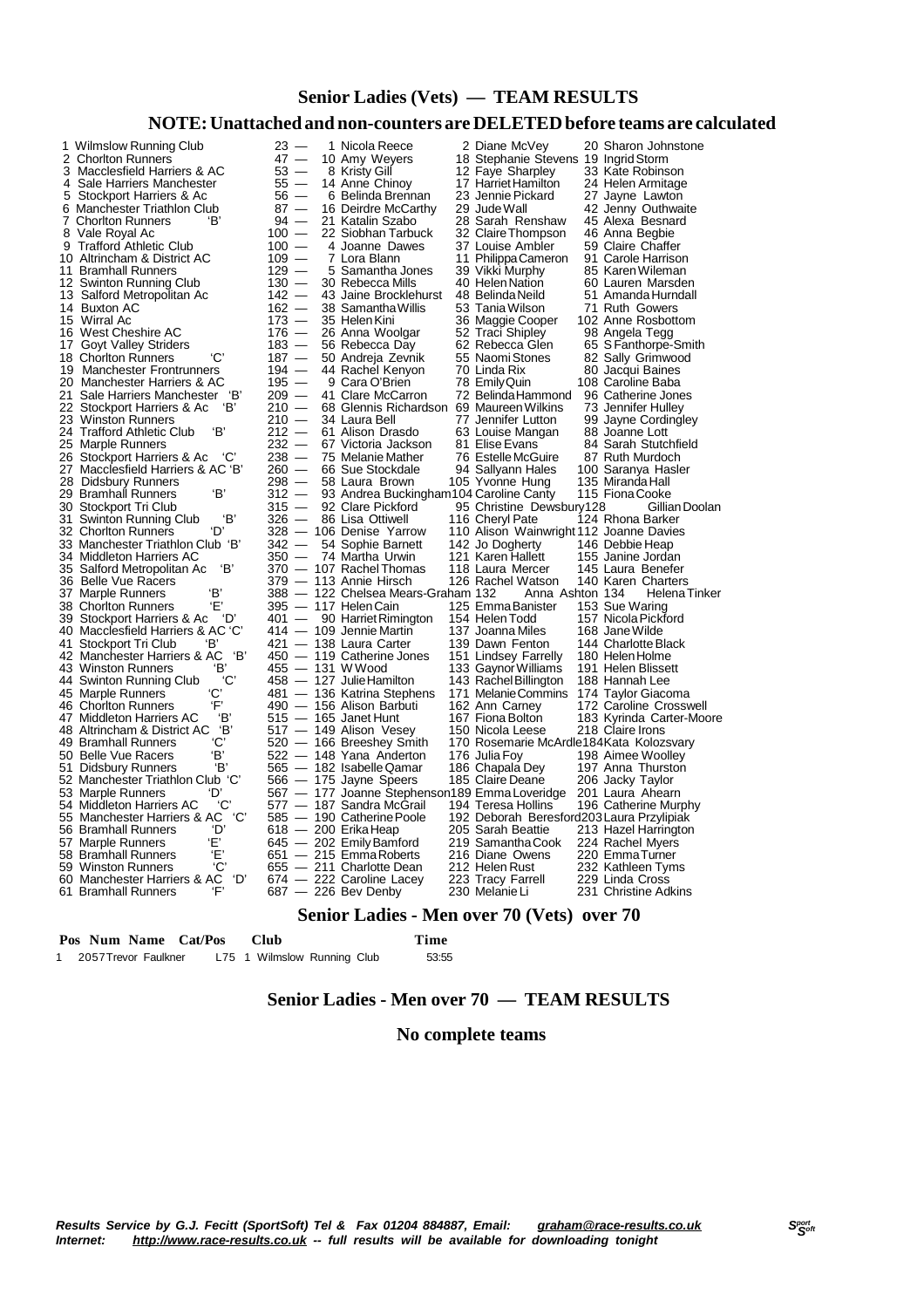#### **Senior Ladies (Vets) — TEAM RESULTS**

#### **NOTE:Unattached and non-counters are DELETEDbefore teams are calculated**

#### **Senior Ladies - Men over 70 (Vets) over 70**

#### **Pos Num Name Cat/Pos Club Time** 1 2057Trevor Faulkner L75 1 Wilmslow Running Club 53:55

#### **Senior Ladies - Men over 70 — TEAM RESULTS**

#### **No complete teams**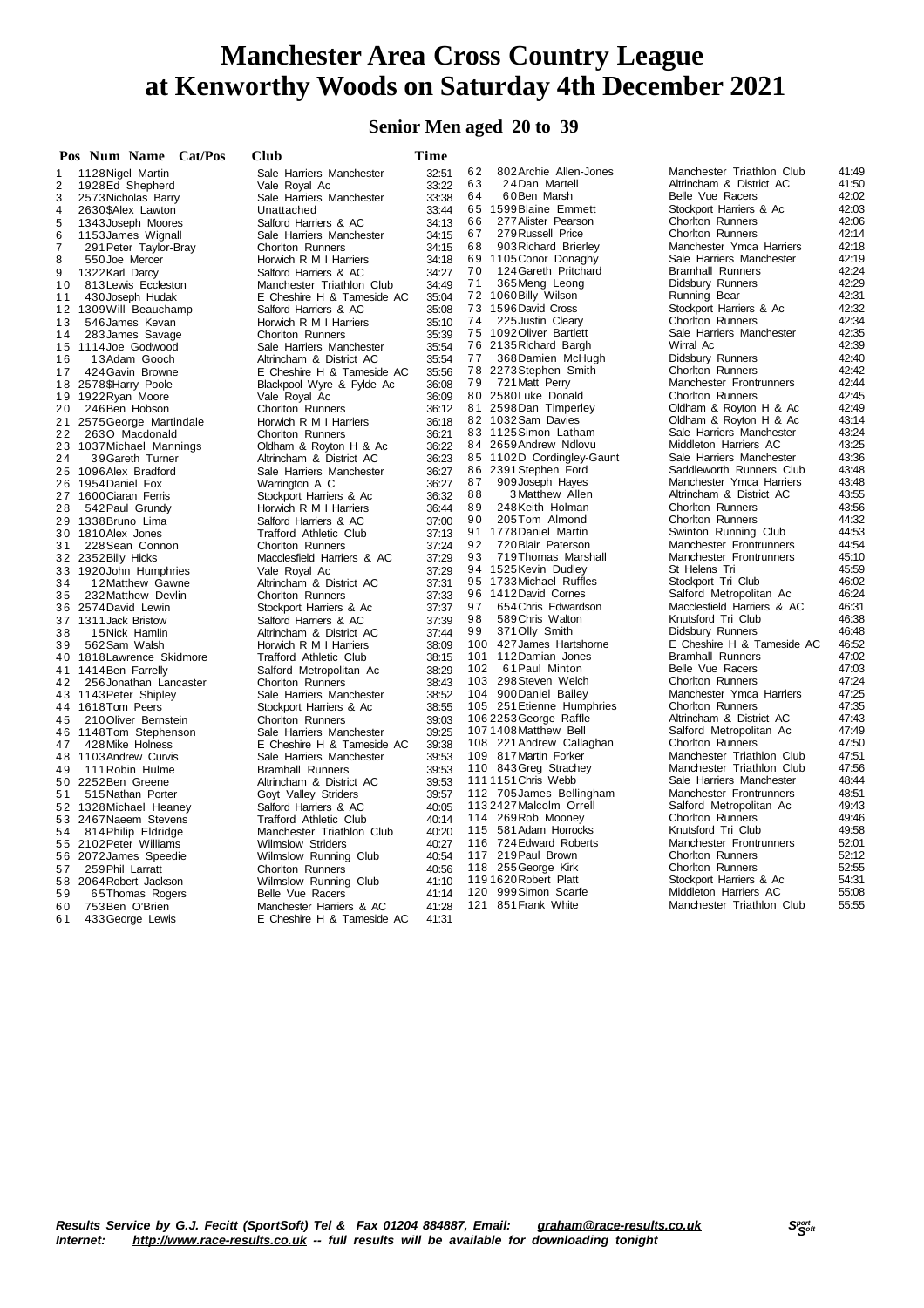#### **Senior Men aged 20 to 39**

#### **Pos Num Name Cat/Pos Club Time**

Sale Harriers Manchester 32:51 Vale Royal Ac 33:22<br>Sale Harriers Manchester 33:38 Sale Harriers Manchester 33:38<br>Unattached 33:44 Unattached Salford Harriers & AC 34:13<br>Sale Harriers Manchester 34:15 Sale Harriers Manchester 34:15<br>Chorlton Runners 34:15 24:15<br>
Horwich R M I Harriers 34:18 Horwich R M I Harriers 9 134:27 Salford Harriers & AC 34:27<br>Manchester Triathlon Club 34:49 Manchester Triathlon Club<br>E Cheshire H & Tameside AC 35:04 E Cheshire H & Tameside AC 35:04<br>Salford Harriers & AC 35:08 1 2 2 1309<br>Horwich R M I Harriers 35:08 1 Horwich R M I Harriers 35:10<br>Chorlton Runners 35:39 1 1 Chorlton Runners<br>1 35:39<br>Sale Harriers Manchester 35:54 1 Sale Harriers Manchester 35:54<br>Altrincham & District AC 35:54 Altrincham & District AC E Cheshire H & Tameside AC 35:56<br>Blackpool Wyre & Eylde Ac 36:08 E Shoot in a Transactor Research Blackpool Wyre & Fylde Ac 36:08<br>Vale Roval Ac 36:09 Vale Royal Ac 26:12<br>26:12 Hopwich R M I Harriers 36:18 26.18 Horwich R M I Harriers 36.18<br>Chorlton Runners 36:21 Chorlton Runners Oldham & Royton H & Ac 36:22 Altrincham & District AC 36:23<br>
Sale Harriers Manchester 36:27 2 Sale Harriers Manchester 36:27<br>Warrington A C 36:27 Warrington A C 26:32 Stockport Harriers & Ac 36:32<br>
Horwich R M I Harriers 36:44 Horwich R M I Harriers Salford Harriers & AC 37:00 Trafford Athletic Club 37:13<br>Chorlton Runners 37:24 Chorlton Runners 37:24<br>Macclesfield Harriers & AC 37:29 Macclesfield Harriers & AC 37:29<br>Vale Royal Ac 37:29 Vale Royal Ac 37:29<br>Altrincham & District AC 37:31 Altrincham & District AC Chorlton Runners 37:33 Stockport Harriers & Ac 37:37<br>Salford Harriers & AC 37:39 Salford Harriers & AC 37:39<br>Altrincham & District AC 37:44 Altrincham & District AC 37:44<br>Horwich R M I Harriers 38:09 Horwich R M I Harriers 38:09<br>Trafford Athletic Club 38:15 Trafford Athletic Club 38:15<br>Salford Metropolitan Ac 38:29 Salford Metropolitan Ac Chorlton Runners 38:43 Sale Harriers Manchester 38:52<br>Stockport Harriers & Ac 38:55 Stockport Harriers & Ac 38:55<br>Chorlton Runners 39:03 29:03 Chorlton Runners<br>Sale Harriers Manchester 39:25 Sale Harriers Manchester 39:25<br>E Cheshire H & Tameside AC 39:38 E Cheshire H & Tameside AC 39:38<br>Sale Harriers Manchester 39:53 Sale Harriers Manchester 39:53<br>Bramhall Runners 39:53 **Bramhall Runners** Altrincham & District AC 39:53<br>Govt Valley Striders 39:57 Goyt Valley Striders 39:57<br>Salford Harriers & AC 40:05 5 2 1328Michael Heaney Salford Harriers & AC 40:05 Trafford Athletic Club Manchester Triathlon Club 40:20<br>Wilmslow Striders 40:27 Wilmslow Striders 40:27<br>Wilmslow Running Club 40:54 Wilmslow Running Club 56 Chorlton Runners 40:56<br>Wilmslow Running Club 41:10 Wilmslow Running Club 41:10<br>Belle Vue Racers 41:14 Example Vue Racers<br>
Manchester Harriers & AC 41:28 Manchester Harriers & AC F Cheshire H & Tameside AC 41:31

1733 Michael Ruffles 589Chris Walton Mutsford Tri Club<br>371 Olly Smith Club Didsbury Runners 113 2427 Malcolm Orrell

6 2 802Archie Allen-Jones Manchester Triathlon Club 41:49 6 22 4Dan Martell **Altrincham & District AC** 41:50<br>64 60 Ben Marsh Belle Vue Racers 42:02 Belle Vue Racers 6 5 1599Blaine Emmett Stockport Harriers & Ac 42:03 6 6 277Alister Pearson Chorlton Runners 42:06 6 7 2:14<br>Manchester Ymca Harriers 42:18 6 8 903Richard Brierley Manchester Ymca Harriers 42:18 69 1105Conor Donaghy Sale Harriers Manchester 42:19<br>70 124Gareth Pritchard Bramhall Runners 42:24 7 0 124Gareth Pritchard Bramhall Runners 42:24 7 1 365Meng Leong Didsbury Runners 42:29 7 2 1060Billy Wilson Running Bear 42:31 7 3 1596 David Cross Stockport Harriers & Ac 42:32<br>74 225 Justin Cleary Chorlton Runners 42:34<br>75 1092 Oliver Bartlett Sale Harriers Manchester 42:35 225 Justin Cleary **Chorlton Runners** 42:34<br>1092 Oliver Bartlett **Charles Sale Harriers Manchester** 42:35 7 5 1092Oliver Bartlett Sale Harriers Manchester 42:35 76 2135 Richard Bargh Mirral Ac 42:39 Wirral Ac 42:39<br>17 368 Damien McHugh Didsbury Runners 42:40 7 7 368Damien McHugh Didsbury Runners 42:40 7 8 2273Stephen Smith Chorlton Runners 42:42 7 9 721Matt Perry Manchester Frontrunners 42:44 8 0 2580Luke Donald Chorlton Runners 42:45 81 2598Dan Timperley Coldham & Royton H & Ac 42:49<br>82 1032Sam Davies Coldham & Royton H & Ac 43:14 8 2 1032Sam Davies Oldham & Royton H & Ac 43:14 8 3 1125Simon Latham Sale Harriers Manchester 43:24 84 2659Andrew Ndlovu Middleton Harriers AC 43:25<br>85 1102D Cordingley-Gaunt Sale Harriers Manchester 43:36 85 1102D Cordingley-Gaunt Sale Harriers Manchester 43:36<br>86 2391 Stephen Ford Saddleworth Runners Club 43:48 8 6 2391Stephen Ford Saddleworth Runners Club 43:48 87 909 Joseph Hayes **Manchester Ymca Harriers** 43:48 88 3 Matthew Allen **Altrincham & District AC** 43:55 8 9248 Keith Holman Chorlton Runners 43:56<br>90 205 Tom Almond Chorlton Runners 44:32 Po 205Tom Almond Chorlton Runners 44:32<br>
91 1778 Daniel Martin Swinton Running Club 44:53 91 1778Daniel Martin Swinton Running Club 44:53<br>92 720 Blair Paterson Manchester Frontrunners 44:54 9 2 720Blair Paterson Manchester Frontrunners 44:54 93 719Thomas Marshall Manchester Frontrunners 45:10<br>94 1525 Kevin Dudlev St Helens Tri 45:59 94 1525 Kevin Dudley St Helens Tri 45:59<br>95 1733 Michael Ruffles Stockport Tri Club 46:02 96 1412David Cornes Salford Metropolitan Ac 46:24<br>97 654Chris Edwardson Macclesfield Harriers & AC 46:31 9 7 654 Chris Edwardson Macclesfield Harriers & AC 46:31<br>98 589 Chris Walton Knutsford Tri Club 46:38 9 9 371Olly Smith Didsbury Runners 46:48 100 427James Hartshorne E Cheshire H & Tameside AC 46:52 101 112Damian Jones Bramhall Runners 47:02 102 61 Paul Minton Belle Vue Racers 47:03<br>103 298 Steven Welch Chorlton Runners 47:24 103 298 Steven Welch Chorlton Runners 47:24<br>104 900 Daniel Bailey Manchester Ymca Harriers 47:25 104 900Daniel Bailey Manchester Ymca Harriers 47:25 105 251Etienne Humphries Chorlton Runners 47:35 106 2253 George Raffle **Altrincham & District AC** 47:43<br>107 1408 Matthew Bell **Access Salford Metropolitan Ac** 47:49 Salford Metropolitan Ac 108 221 Andrew Callaghan Chorlton Runners 47:50<br>109 817 Martin Forker Manchester Triathlon Club 47:51 109 817 Martin Forker Manchester Triathlon Club 47:51<br>110 843 Greg Strachey Manchester Triathlon Club 47:56 110 843Greg Strachey Manchester Triathlon Club 47:56 111 1151 Chris Webb Sale Harriers Manchester 48:44<br>112 705 James Bellingham Manchester Frontrunners 48:51 Manchester Frontrunners 48:51<br>Salford Metropolitan Ac 49:43 114 269Rob Mooney Chorlton Runners 49:46 115 581Adam Horrocks Knutsford Tri Club 49:58 116 724Edward Roberts Manchester Frontrunners 52:01 117 219Paul Brown Chorlton Runners 52:12 118 255 George Kirk Chorlton Runners 52:55<br>119 1620 Robert Platt Stockport Harriers & Ac 54:31 119 1620 Stockport Harriers & Ac 54:31<br>Middleton Harriers AC 55:08 120 999 Simon Scarfe Middleton Harriers AC 55:08<br>121 851 Frank White Manchester Triathlon Club 55:55 Manchester Triathlon Club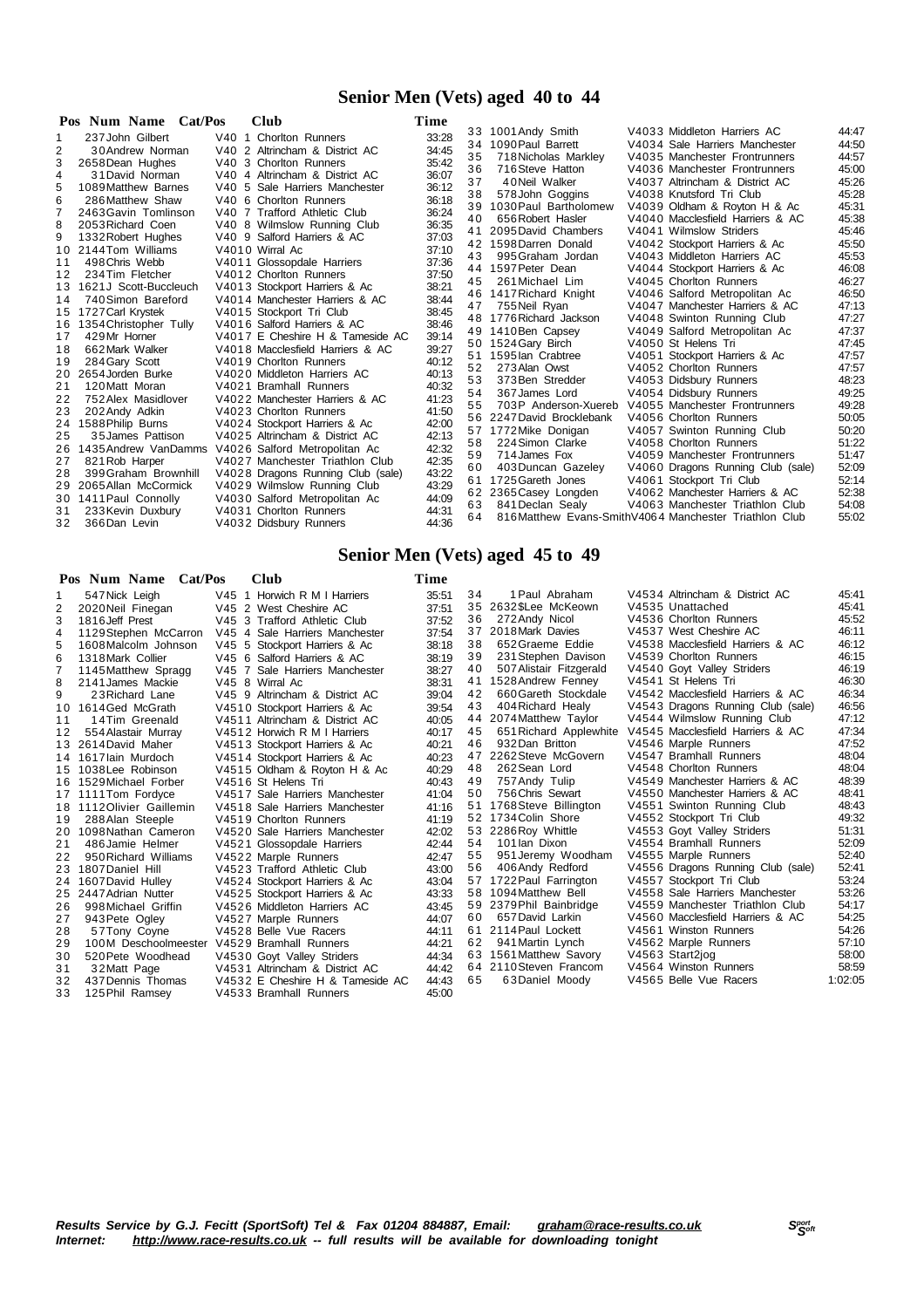## **Senior Men (Vets) aged 40 to 44**

| 44:47<br>33 1001 Andy Smith<br>V4033 Middleton Harriers AC<br>33:28<br>V40 1 Chorlton Runners<br>237 John Gilbert<br>1090 Paul Barrett<br>44:50<br>34<br>V4034 Sale Harriers Manchester<br>V40 2 Altrincham & District AC<br>34:45<br>30Andrew Norman<br>44:57<br>35<br>718 Nicholas Markley<br>V4035 Manchester Frontrunners<br>35:42<br>2658 Dean Hughes<br>V40 3 Chorlton Runners<br>45:00<br>36<br>716 Steve Hatton<br>V4036 Manchester Frontrunners<br>36:07<br>31 David Norman<br>V40 4 Altrincham & District AC<br>$\overline{4}$<br>37<br>45:26<br>40Neil Walker<br>V4037 Altrincham & District AC<br>36:12<br>1089 Matthew Barnes<br>V40 5 Sale Harriers Manchester<br>45:28<br>38<br>578 John Goggins<br>V4038 Knutsford Tri Club<br>36:18<br>V40 6 Chorlton Runners<br>6<br>286 Matthew Shaw<br>45:31<br>1030 Paul Bartholomew<br>V4039 Oldham & Royton H & Ac<br>39<br>36:24<br>2463 Gavin Tomlinson<br>V40 7 Trafford Athletic Club<br>45:38<br>656 Robert Hasler<br>V4040 Macclesfield Harriers & AC<br>40<br>36:35<br>8<br>2053 Richard Coen<br>V40 8 Wilmslow Running Club<br>2095 David Chambers<br>V4041 Wilmslow Striders<br>45:46<br>41<br>9<br>37:03<br>1332 Robert Hughes<br>V40 9 Salford Harriers & AC<br>42 1598 Darren Donald<br>45:50<br>V4042 Stockport Harriers & Ac<br>37:10<br>2144Tom Williams<br>V4010 Wirral Ac<br>10<br>995 Graham Jordan<br>V4043 Middleton Harriers AC<br>45:53<br>43<br>37:36<br>498 Chris Webb<br>V4011 Glossopdale Harriers<br>11<br>V4044 Stockport Harriers & Ac<br>46:08<br>44 1597 Peter Dean<br>37:50<br>234 Tim Fletcher<br>V4012 Chorlton Runners<br>12<br>46:27<br>261 Michael Lim<br>V4045 Chorlton Runners<br>45<br>38:21<br>1621J Scott-Buccleuch<br>V4013 Stockport Harriers & Ac<br>13<br>V4046 Salford Metropolitan Ac<br>46:50<br>1417 Richard Knight<br>46<br>38:44<br>740 Simon Bareford<br>V4014 Manchester Harriers & AC<br>14<br>47:13<br>47<br>755 Neil Ryan<br>V4047 Manchester Harriers & AC<br>1727 Carl Krystek<br>38:45<br>V4015 Stockport Tri Club<br>15<br>47:27<br>48 1776 Richard Jackson<br>V4048 Swinton Running Club<br>38:46<br>1354 Christopher Tully<br>V4016 Salford Harriers & AC<br>16<br>47:37<br>1410 Ben Capsey<br>V4049 Salford Metropolitan Ac<br>49<br>429Mr Horner<br>V4017 E Cheshire H & Tameside AC<br>39:14<br>17<br>50 1524 Gary Birch<br>V4050 St Helens Tri<br>47:45<br>39:27<br>662 Mark Walker<br>V4018 Macclesfield Harriers & AC<br>18<br>51<br>1595 lan Crabtree<br>47:57<br>V4051 Stockport Harriers & Ac<br>40:12<br>284 Gary Scott<br>V4019 Chorlton Runners<br>19<br>52<br>273 Alan Owst<br>V4052 Chorlton Runners<br>47:57<br>40:13<br>2654 Jorden Burke<br>V4020 Middleton Harriers AC<br>20<br>53<br>48:23<br>373 Ben Stredder<br>V4053 Didsbury Runners<br>40:32<br>21<br>120 Matt Moran<br>V4021 Bramhall Runners<br>49:25<br>V4054 Didsbury Runners<br>54<br>367 James Lord<br>22<br>41:23<br>752 Alex Masidlover<br>V4022 Manchester Harriers & AC<br>55<br>49:28<br>703P Anderson-Xuereb<br>V4055 Manchester Frontrunners<br>41:50<br>23<br>V4023 Chorlton Runners<br>202 Andy Adkin<br>50:05<br>56<br>2247 David Brocklebank<br>V4056 Chorlton Runners<br>1588 Philip Burns<br>42:00<br>V4024 Stockport Harriers & Ac<br>24<br>1772 Mike Donigan<br>V4057 Swinton Running Club<br>50:20<br>57<br>42:13<br>25<br>35 James Pattison<br>V4025 Altrincham & District AC<br>51:22<br>224 Simon Clarke<br>58<br>V4058 Chorlton Runners<br>42:32<br>1435 Andrew Van Damms<br>V4026 Salford Metropolitan Ac<br>26<br>51:47<br>59<br>714 James Fox<br>V4059 Manchester Frontrunners<br>42:35<br>27<br>821 Rob Harper<br>V4027 Manchester Triathlon Club<br>52:09<br>60<br>403 Duncan Gazeley<br>V4060 Dragons Running Club (sale)<br>43:22<br>28<br>399 Graham Brownhill<br>V4028 Dragons Running Club (sale)<br>1725 Gareth Jones<br>52:14<br>V4061 Stockport Tri Club<br>61<br>43:29<br>V4029 Wilmslow Running Club<br>2065 Allan McCormick<br>29<br>2365 Casey Longden<br>52:38<br>62<br>V4062 Manchester Harriers & AC<br>44:09<br>1411 Paul Connolly<br>V4030 Salford Metropolitan Ac<br>30<br>54:08<br>63<br>841 Declan Sealy<br>V4063 Manchester Triathlon Club<br>44:31<br>V4031 Chorlton Runners<br>31<br>233 Kevin Duxbury<br>816 Matthew Evans-Smith V4064 Manchester Triathlon Club<br>55:02<br>64 | Club<br>Pos Num Name Cat/Pos                 | Time  |  |  |  |
|--------------------------------------------------------------------------------------------------------------------------------------------------------------------------------------------------------------------------------------------------------------------------------------------------------------------------------------------------------------------------------------------------------------------------------------------------------------------------------------------------------------------------------------------------------------------------------------------------------------------------------------------------------------------------------------------------------------------------------------------------------------------------------------------------------------------------------------------------------------------------------------------------------------------------------------------------------------------------------------------------------------------------------------------------------------------------------------------------------------------------------------------------------------------------------------------------------------------------------------------------------------------------------------------------------------------------------------------------------------------------------------------------------------------------------------------------------------------------------------------------------------------------------------------------------------------------------------------------------------------------------------------------------------------------------------------------------------------------------------------------------------------------------------------------------------------------------------------------------------------------------------------------------------------------------------------------------------------------------------------------------------------------------------------------------------------------------------------------------------------------------------------------------------------------------------------------------------------------------------------------------------------------------------------------------------------------------------------------------------------------------------------------------------------------------------------------------------------------------------------------------------------------------------------------------------------------------------------------------------------------------------------------------------------------------------------------------------------------------------------------------------------------------------------------------------------------------------------------------------------------------------------------------------------------------------------------------------------------------------------------------------------------------------------------------------------------------------------------------------------------------------------------------------------------------------------------------------------------------------------------------------------------------------------------------------------------------------------------------------------------------------------------------------------------------------------------------------------------------------------------------------------------------------------------------------------------------------------------------------------------------------------------------------------------------------------------------------------------------------------------------------------------------------------------------------------------------------------------------------------------------------------------------------------------------------------------------------------------------------------------------------------------------------------------------------------------------------------------------------------------------------------------------------------------------------------------------------------------------------------------------------------------------------------------------------------------------------|----------------------------------------------|-------|--|--|--|
|                                                                                                                                                                                                                                                                                                                                                                                                                                                                                                                                                                                                                                                                                                                                                                                                                                                                                                                                                                                                                                                                                                                                                                                                                                                                                                                                                                                                                                                                                                                                                                                                                                                                                                                                                                                                                                                                                                                                                                                                                                                                                                                                                                                                                                                                                                                                                                                                                                                                                                                                                                                                                                                                                                                                                                                                                                                                                                                                                                                                                                                                                                                                                                                                                                                                                                                                                                                                                                                                                                                                                                                                                                                                                                                                                                                                                                                                                                                                                                                                                                                                                                                                                                                                                                                                                                                                      | 32<br>366Dan Levin<br>V4032 Didsbury Runners | 44:36 |  |  |  |

## **Senior Men (Vets) aged 45 to 49**

|    | Pos Num Name<br>Cat/Pos                     | Club                             | Time  |    |                          |                                   |         |
|----|---------------------------------------------|----------------------------------|-------|----|--------------------------|-----------------------------------|---------|
|    | 547 Nick Leigh                              | V45 1 Horwich R M I Harriers     | 35.51 | 34 | 1 Paul Abraham           | V4534 Altrincham & District AC    | 45:41   |
| 2  | 2020 Neil Finegan                           | V45 2 West Cheshire AC           | 37:51 |    | 35 2632 SLee McKeown     | V4535 Unattached                  | 45:41   |
| 3  | 1816 Jeff Prest                             | V45 3 Trafford Athletic Club     | 37:52 | 36 | 272 Andy Nicol           | V4536 Chorlton Runners            | 45:52   |
| 4  | 1129 Stephen McCarron                       | V45 4 Sale Harriers Manchester   | 37:54 | 37 | 2018 Mark Davies         | V4537 West Cheshire AC            | 46:11   |
| 5  | 1608Malcolm Johnson                         | V45 5 Stockport Harriers & Ac    | 38:18 | 38 | 652 Graeme Eddie         | V4538 Macclesfield Harriers & AC  | 46:12   |
| 6  | 1318 Mark Collier                           | V45 6 Salford Harriers & AC      | 38:19 | 39 | 231 Stephen Davison      | V4539 Chorlton Runners            | 46:15   |
| 7  | 1145 Matthew Spragg                         | V45 7 Sale Harriers Manchester   | 38:27 | 40 | 507 Alistair Fitzgerald  | V4540 Goyt Valley Striders        | 46:19   |
| 8  | 2141 James Mackie                           | V45 8 Wirral Ac                  | 38:31 | 41 | 1528 Andrew Fenney       | V4541 St Helens Tri               | 46:30   |
| 9  | 23 Richard Lane                             | V45 9 Altrincham & District AC   | 39:04 | 42 | 660 Gareth Stockdale     | V4542 Macclesfield Harriers & AC  | 46:34   |
| 10 | 1614 Ged McGrath                            | V4510 Stockport Harriers & Ac    | 39.54 | 43 | 404 Richard Healy        | V4543 Dragons Running Club (sale) | 46:56   |
| 11 | 14Tim Greenald                              | V4511 Altrincham & District AC   | 40:05 |    | 44 2074 Matthew Taylor   | V4544 Wilmslow Running Club       | 47:12   |
| 12 | 554 Alastair Murray                         | V4512 Horwich R M I Harriers     | 40:17 | 45 | 651 Richard Applewhite   | V4545 Macclesfield Harriers & AC  | 47:34   |
| 13 | 2614 David Maher                            | V4513 Stockport Harriers & Ac    | 40:21 | 46 | 932Dan Britton           | V4546 Marple Runners              | 47:52   |
| 14 | 1617 lain Murdoch                           | V4514 Stockport Harriers & Ac    | 40.23 | 47 | 2262 Steve McGovern      | V4547 Bramhall Runners            | 48:04   |
| 15 | 1038 Lee Robinson                           | V4515 Oldham & Royton H & Ac     | 40.29 | 48 | 262 Sean Lord            | V4548 Chorlton Runners            | 48:04   |
|    | 16 1529 Michael Forber                      | V4516 St Helens Tri              | 40:43 | 49 | 757 Andy Tulip           | V4549 Manchester Harriers & AC    | 48:39   |
|    | 17 1111 Tom Fordyce                         | V4517 Sale Harriers Manchester   | 41:04 | 50 | 756 Chris Sewart         | V4550 Manchester Harriers & AC    | 48:41   |
|    | 18 1112 Olivier Gaillemin                   | V4518 Sale Harriers Manchester   | 41:16 |    | 51 1768 Steve Billington | V4551 Swinton Running Club        | 48:43   |
| 19 | 288 Alan Steeple                            | V4519 Chorlton Runners           | 41:19 |    | 52 1734 Colin Shore      | V4552 Stockport Tri Club          | 49:32   |
| 20 | 1098 Nathan Cameron                         | V4520 Sale Harriers Manchester   | 42:02 |    | 53 2286 Roy Whittle      | V4553 Goyt Valley Striders        | 51:31   |
| 21 | 486 Jamie Helmer                            | V4521 Glossopdale Harriers       | 42:44 | 54 | 101 lan Dixon            | V4554 Bramhall Runners            | 52:09   |
| 22 | 950 Richard Williams                        | V4522 Marple Runners             | 42:47 | 55 | 951 Jeremy Woodham       | V4555 Marple Runners              | 52:40   |
| 23 | 1807 Daniel Hill                            | V4523 Trafford Athletic Club     | 43:00 | 56 | 406 Andy Redford         | V4556 Dragons Running Club (sale) | 52:41   |
| 24 | 1607 David Hulley                           | V4524 Stockport Harriers & Ac    | 43:04 |    | 57 1722 Paul Farrington  | V4557 Stockport Tri Club          | 53:24   |
| 25 | 2447 Adrian Nutter                          | V4525 Stockport Harriers & Ac    | 43:33 |    | 58 1094 Matthew Bell     | V4558 Sale Harriers Manchester    | 53:26   |
| 26 | 998 Michael Griffin                         | V4526 Middleton Harriers AC      | 43:45 |    | 59 2379 Phil Bainbridge  | V4559 Manchester Triathlon Club   | 54:17   |
| 27 | 943 Pete Ogley                              | V4527 Marple Runners             | 44:07 | 60 | 657 David Larkin         | V4560 Macclesfield Harriers & AC  | 54:25   |
| 28 | 57 Tony Coyne                               | V4528 Belle Vue Racers           | 44:11 | 61 | 2114 Paul Lockett        | V4561 Winston Runners             | 54:26   |
| 29 | 100M Deschoolmeester V4529 Bramhall Runners |                                  | 44:21 | 62 | 941 Martin Lynch         | V4562 Marple Runners              | 57:10   |
| 30 | 520 Pete Woodhead                           | V4530 Goyt Valley Striders       | 44:34 |    | 63 1561 Matthew Savory   | V4563 Start2jog                   | 58:00   |
| 31 | 32 Matt Page                                | V4531 Altrincham & District AC   | 44:42 |    | 64 2110 Steven Francom   | V4564 Winston Runners             | 58:59   |
| 32 | 437 Dennis Thomas                           | V4532 E Cheshire H & Tameside AC | 44:43 | 65 | 63Daniel Moody           | V4565 Belle Vue Racers            | 1:02:05 |
| 33 | 125 Phil Ramsey                             | V4533 Bramhall Runners           | 45:00 |    |                          |                                   |         |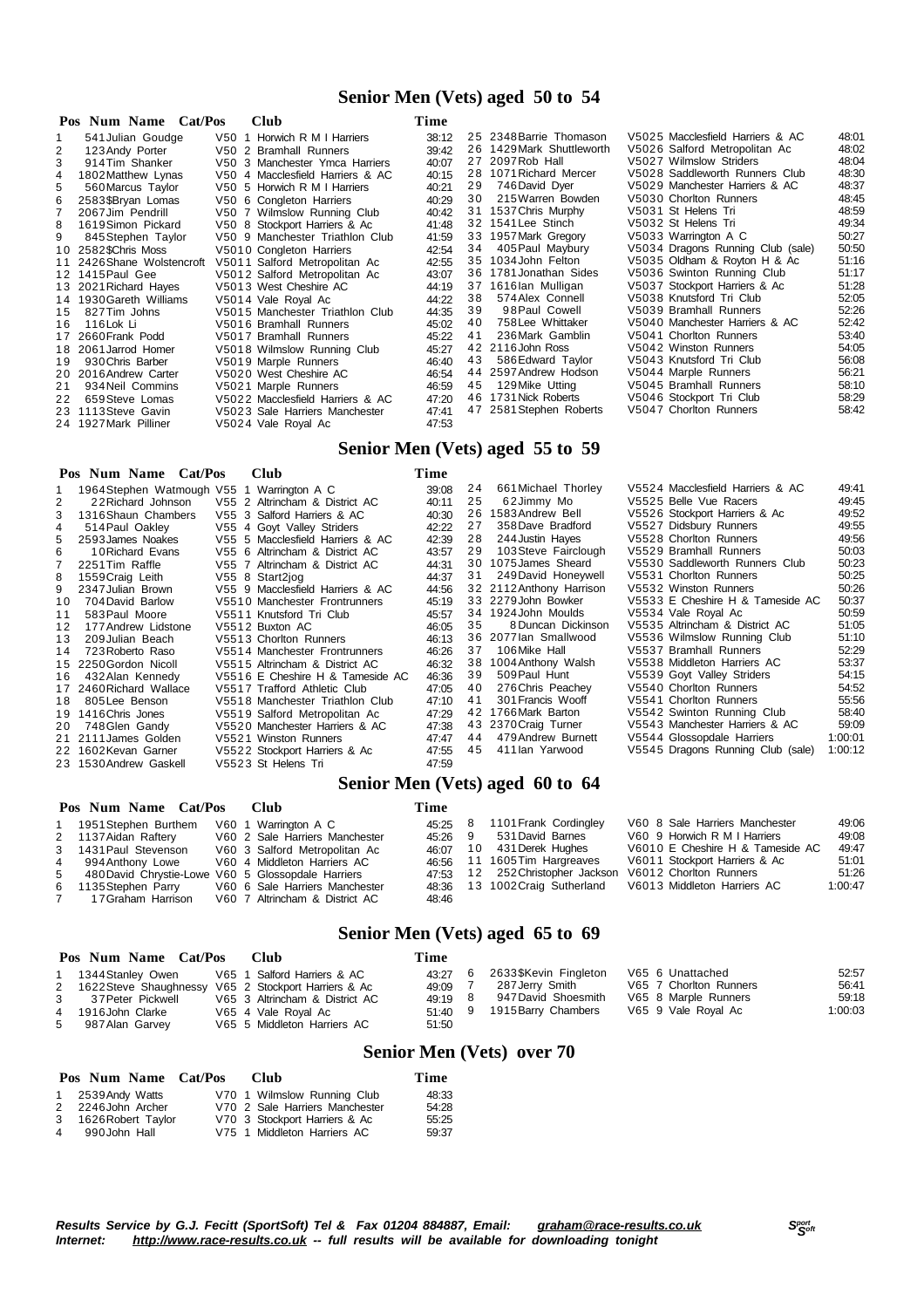#### **Senior Men (Vets) aged 50 to 54**

|    | Pos Num Name Cat/Pos       | Club                             | Time  |    |                           |                                   |       |
|----|----------------------------|----------------------------------|-------|----|---------------------------|-----------------------------------|-------|
|    | 541 Julian Goudge          | V50 1 Horwich R M I Harriers     | 38:12 |    | 25 2348 Barrie Thomason   | V5025 Macclesfield Harriers & AC  | 48:01 |
|    | 123 Andy Porter            | V50 2 Bramhall Runners           | 39:42 |    | 26 1429 Mark Shuttleworth | V5026 Salford Metropolitan Ac     | 48:02 |
|    | 914 Tim Shanker            | V50 3 Manchester Ymca Harriers   | 40:07 |    | 27 2097 Rob Hall          | V5027 Wilmslow Striders           | 48:04 |
| 4  | 1802 Matthew Lynas         | V50 4 Macclesfield Harriers & AC | 40:15 |    | 28 1071 Richard Mercer    | V5028 Saddleworth Runners Club    | 48:30 |
| 5  | 560 Marcus Taylor          | V50 5 Horwich R M I Harriers     | 40:21 | 29 | 746 David Dyer            | V5029 Manchester Harriers & AC    | 48:37 |
| 6  | 2583\$Bryan Lomas          | V50 6 Congleton Harriers         | 40.29 | 30 | 215 Warren Bowden         | V5030 Chorlton Runners            | 48:45 |
|    | 2067Jim Pendrill           | V50 7 Wilmslow Running Club      | 40:42 |    | 31 1537 Chris Murphy      | V5031 St Helens Tri               | 48:59 |
| 8  | 1619 Simon Pickard         | V50 8 Stockport Harriers & Ac    | 41:48 |    | 32 1541 Lee Stinch        | V5032 St Helens Tri               | 49:34 |
| 9  | 845 Stephen Taylor         | V50 9 Manchester Triathlon Club  | 41:59 |    | 33 1957 Mark Gregory      | V5033 Warrington A C              | 50:27 |
|    | 10 2582 \$Chris Moss       | V5010 Congleton Harriers         | 42:54 | 34 | 405 Paul Maybury          | V5034 Dragons Running Club (sale) | 50:50 |
|    | 11 2426 Shane Wolstencroft | V5011 Salford Metropolitan Ac    | 42:55 |    | 35 1034 John Felton       | V5035 Oldham & Royton H & Ac      | 51:16 |
|    | 12 1415 Paul Gee           | V5012 Salford Metropolitan Ac    | 43:07 |    | 36 1781 Jonathan Sides    | V5036 Swinton Running Club        | 51:17 |
|    | 13 2021 Richard Hayes      | V5013 West Cheshire AC           | 44:19 | 37 | 1616lan Mulligan          | V5037 Stockport Harriers & Ac     | 51:28 |
|    | 14 1930 Gareth Williams    | V5014 Vale Royal Ac              | 44:22 | 38 | 574 Alex Connell          | V5038 Knutsford Tri Club          | 52:05 |
| 15 | 827 Tim Johns              | V5015 Manchester Triathlon Club  | 44:35 | 39 | 98 Paul Cowell            | V5039 Bramhall Runners            | 52:26 |
| 16 | 116 Lok Li                 | V5016 Bramhall Runners           | 45:02 | 40 | 758 Lee Whittaker         | V5040 Manchester Harriers & AC    | 52:42 |
|    | 17 2660 Frank Podd         | V5017 Bramhall Runners           | 45:22 | 41 | 236 Mark Gamblin          | V5041 Chorlton Runners            | 53:40 |
|    | 18 2061 Jarrod Homer       | V5018 Wilmslow Running Club      | 45:27 |    | 42 2116 John Ross         | V5042 Winston Runners             | 54:05 |
| 19 | 930 Chris Barber           | V5019 Marple Runners             | 46:40 | 43 | 586 Edward Taylor         | V5043 Knutsford Tri Club          | 56:08 |
|    | 20 2016 Andrew Carter      | V5020 West Cheshire AC           | 46:54 |    | 44 2597 Andrew Hodson     | V5044 Marple Runners              | 56:21 |
| 21 | 934 Neil Commins           | V5021 Marple Runners             | 46:59 | 45 | 129Mike Utting            | V5045 Bramhall Runners            | 58:10 |
| 22 | 659 Steve Lomas            | V5022 Macclesfield Harriers & AC | 47:20 |    | 46 1731 Nick Roberts      | V5046 Stockport Tri Club          | 58:29 |
|    | 23 1113 Steve Gavin        | V5023 Sale Harriers Manchester   | 47:41 |    | 47 2581 Stephen Roberts   | V5047 Chorlton Runners            | 58:42 |
|    | 24 1927 Mark Pilliner      | V5024 Vale Royal Ac              | 47:53 |    |                           |                                   |       |

#### **Senior Men (Vets) aged 55 to 59**

|  | Pos Num Name Cat/Pos Club |  | Time |
|--|---------------------------|--|------|
|  |                           |  |      |

|    | 1964 Stephen Watmough V55 1 Warrington A C |                                  | 39:08 | 24 | 661 Michael Thorley      | V5524 Macclesfield Harriers & AC  | 49:41   |
|----|--------------------------------------------|----------------------------------|-------|----|--------------------------|-----------------------------------|---------|
| 2  | 22 Richard Johnson                         | V55 2 Altrincham & District AC   | 40:11 | 25 | 62Jimmy Mo               | V5525 Belle Vue Racers            | 49:45   |
| 3  | 1316 Shaun Chambers                        | V55 3 Salford Harriers & AC      | 40:30 |    | 26 1583 Andrew Bell      | V5526 Stockport Harriers & Ac     | 49:52   |
| 4  | 514 Paul Oakley                            | V55 4 Goyt Valley Striders       | 42:22 | 27 | 358 Dave Bradford        | V5527 Didsbury Runners            | 49:55   |
| 5  | 2593 James Noakes                          | V55 5 Macclesfield Harriers & AC | 42:39 | 28 | 244 Justin Hayes         | V5528 Chorlton Runners            | 49.56   |
| 6  | 10 Richard Evans                           | V55 6 Altrincham & District AC   | 43:57 | 29 | 103 Steve Fairclough     | V5529 Bramhall Runners            | 50:03   |
|    | 2251 Tim Raffle                            | V55 7 Altrincham & District AC   | 44:31 |    | 30 1075 James Sheard     | V5530 Saddleworth Runners Club    | 50:23   |
| 8  | 1559 Craig Leith                           | V55 8 Start2jog                  | 44:37 | 31 | 249 David Honeywell      | V5531 Chorlton Runners            | 50:25   |
| 9  | 2347 Julian Brown                          | V55 9 Macclesfield Harriers & AC | 44:56 |    | 32 2112 Anthony Harrison | V5532 Winston Runners             | 50:26   |
| 10 | 704 David Barlow                           | V5510 Manchester Frontrunners    | 45:19 |    | 33 2279 John Bowker      | V5533 E Cheshire H & Tameside AC  | 50:37   |
| 11 | 583 Paul Moore                             | V5511 Knutsford Tri Club         | 45.57 |    | 34 1924 John Moulds      | V5534 Vale Royal Ac               | 50:59   |
| 12 | 177 Andrew Lidstone                        | V5512 Buxton AC                  | 46:05 | 35 | 8 Duncan Dickinson       | V5535 Altrincham & District AC    | 51:05   |
| 13 | 209 Julian Beach                           | V5513 Chorlton Runners           | 46:13 |    | 36 2077 lan Smallwood    | V5536 Wilmslow Running Club       | 51:10   |
| 14 | 723 Roberto Raso                           | V5514 Manchester Frontrunners    | 46:26 | 37 | 106Mike Hall             | V5537 Bramhall Runners            | 52:29   |
|    | 15 2250 Gordon Nicoll                      | V5515 Altrincham & District AC   | 46:32 |    | 38 1004 Anthony Walsh    | V5538 Middleton Harriers AC       | 53:37   |
| 16 | 432 Alan Kennedy                           | V5516 E Cheshire H & Tameside AC | 46:36 | 39 | 509 Paul Hunt            | V5539 Goyt Valley Striders        | 54:15   |
|    | 17 2460 Richard Wallace                    | V5517 Trafford Athletic Club     | 47:05 | 40 | 276 Chris Peachey        | V5540 Chorlton Runners            | 54:52   |
| 18 | 805 Lee Benson                             | V5518 Manchester Triathlon Club  | 47:10 | 41 | 301 Francis Wooff        | V5541 Chorlton Runners            | 55:56   |
|    | 19 1416 Chris Jones                        | V5519 Salford Metropolitan Ac    | 47:29 |    | 42 1766 Mark Barton      | V5542 Swinton Running Club        | 58:40   |
|    | 20 748 Glen Gandy                          | V5520 Manchester Harriers & AC   | 47:38 |    | 43 2370 Craig Turner     | V5543 Manchester Harriers & AC    | 59:09   |
|    | 21 2111 James Golden                       | V5521 Winston Runners            | 47:47 | 44 | 479 Andrew Burnett       | V5544 Glossopdale Harriers        | 1:00:01 |
|    | 22 1602 Kevan Garner                       | V5522 Stockport Harriers & Ac    | 47:55 | 45 | 411 lan Yarwood          | V5545 Dragons Running Club (sale) | 1:00:12 |
|    | 23 1530 Andrew Gaskell                     | V5523 St Helens Tri              | 47.59 |    |                          |                                   |         |
|    |                                            |                                  |       |    | .                        |                                   |         |

#### **Senior Men (Vets) aged 60 to 64**

|   | Pos Num Name Cat/Pos                               | Club                           | Time    |                                                            |                                  |         |
|---|----------------------------------------------------|--------------------------------|---------|------------------------------------------------------------|----------------------------------|---------|
|   | 1951 Stephen Burthem                               | V60 1 Warrington A C           | 45:25 8 | 1101 Frank Cordingley                                      | V60 8 Sale Harriers Manchester   | 49:06   |
|   | 2 1137 Aidan Raftery                               | V60 2 Sale Harriers Manchester | 45:26 9 | 531 David Barnes                                           | V60 9 Horwich R M I Harriers     | 49:08   |
|   | 3 1431 Paul Stevenson                              | V60 3 Salford Metropolitan Ac  |         | 46:07 10 431 Derek Hughes                                  | V6010 E Cheshire H & Tameside AC | 49:47   |
|   | 4 994 Anthony Lowe                                 | V60 4 Middleton Harriers AC    |         | 46:56 11 1605 Tim Hargreaves                               | V6011 Stockport Harriers & Ac    | 51:01   |
| 5 | 480 David Chrystie-Lowe V60 5 Glossopdale Harriers |                                |         | 47:53 12 252 Christopher Jackson V6012 Choriton Runners    |                                  | 51:26   |
|   | 6 1135 Stephen Parry                               | V60 6 Sale Harriers Manchester |         | 48:36 13 1002 Craig Sutherland V6013 Middleton Harriers AC |                                  | 1:00:47 |
|   | 17 Graham Harrison                                 | V60 7 Altrincham & District AC | 48:46   |                                                            |                                  |         |

#### **Senior Men (Vets) aged 65 to 69**

#### **Pos Num Name Cat/Pos Club Time** 1 1344Stanley Owen V65 1 Salford Harriers & AC 43:27 2 1622Steve Shaughnessy V65 2 Stockport Harriers & Ac 49:09 3 3 7Peter Pickwell V65 3 Altrincham & District AC 49:19 4 1916John Clarke V65 4 Vale Royal Ac 51:40<br>5 11:40<br>5 987 Alan Garvey V65 5 Middleton Harriers AC 51:50 V65 5 Middleton Harriers AC 6 2633\$Kevin Fingleton V65 6 Unattached 52:57 7 287Jerry Smith V65 7 Chorlton Runners 56:41 8 947David Shoesmith V65 8 Marple Runners 59:18<br>9 1915Barry Chambers V65 9 Vale Royal Ac 1:00:03 V65 9 Vale Royal Ac

#### **Senior Men (Vets) over 70**

| Pos Num Name Cat/Pos | Club                           | Time  |
|----------------------|--------------------------------|-------|
| 1 2539 Andy Watts    | V70 1 Wilmslow Running Club    | 48:33 |
| 2 2246 John Archer   | V70 2 Sale Harriers Manchester | 54:28 |
| 3 1626 Robert Taylor | V70 3 Stockport Harriers & Ac  | 55:25 |
| 4 990 John Hall      | V75 1 Middleton Harriers AC    | 59:37 |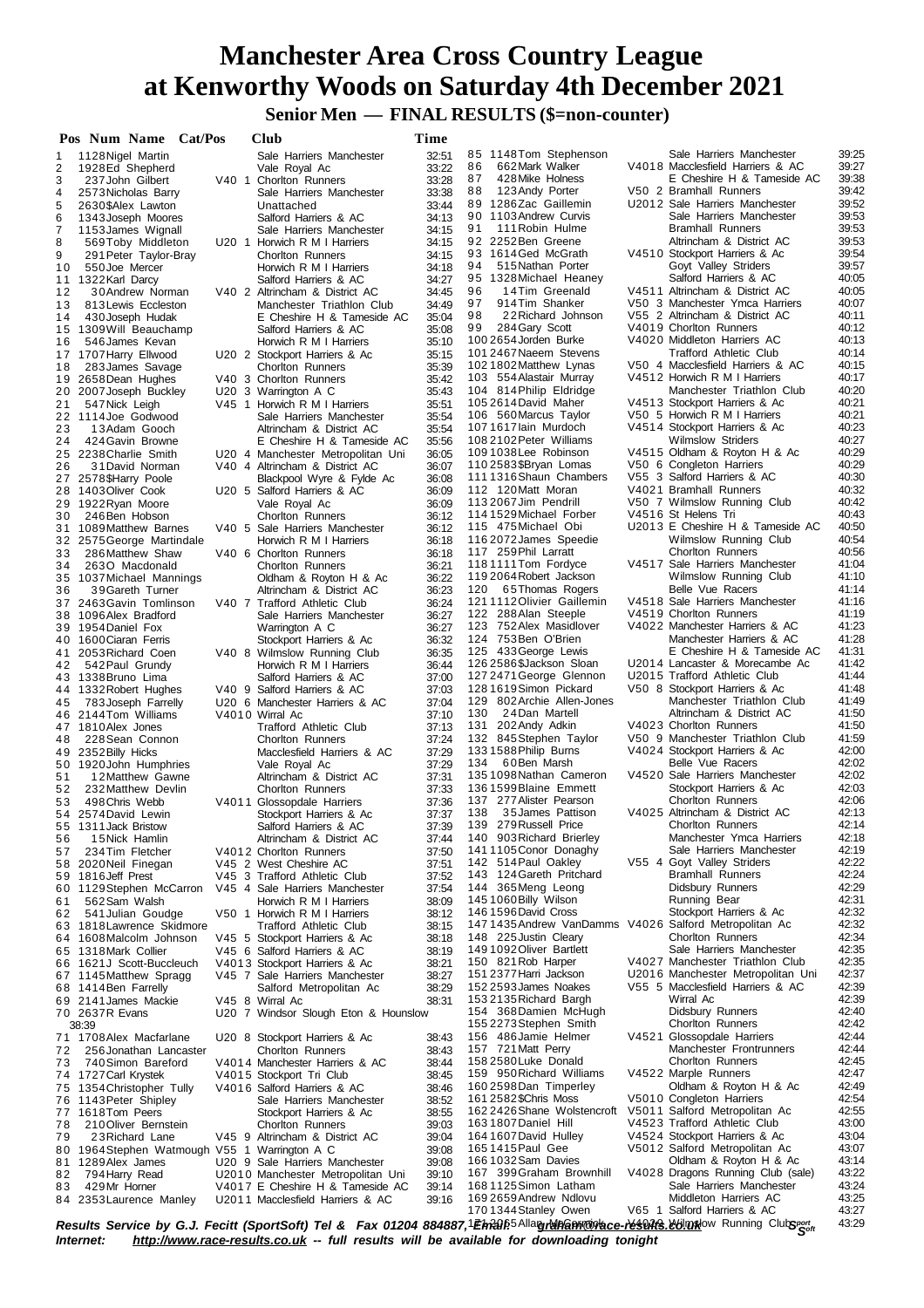## **Manchester Area Cross Country League at Kenworthy Woods on Saturday 4th December 2021 Senior Men — FINAL RESULTS (\$=non-counter)**

|    | Pos Num Name Cat/Pos                                             | Club                                                    | Time           |                                                        |                                                                  |                |
|----|------------------------------------------------------------------|---------------------------------------------------------|----------------|--------------------------------------------------------|------------------------------------------------------------------|----------------|
| 1  | 1128 Nigel Martin                                                | Sale Harriers Manchester                                | 32:51          | 85 1148Tom Stephenson                                  | Sale Harriers Manchester                                         | 39:25          |
| 2  | 1928Ed Shepherd                                                  | Vale Royal Ac                                           | 33:22          | 86<br>662 Mark Walker                                  | V4018 Macclesfield Harriers & AC                                 | 39:27          |
| 3  | 237 John Gilbert                                                 | V40 1 Chorlton Runners                                  | 33:28          | 87<br>428 Mike Holness                                 | E Cheshire H & Tameside AC                                       | 39:38          |
| 4  | 2573 Nicholas Barry                                              | Sale Harriers Manchester                                | 33:38          | 88<br>123 Andy Porter                                  | V50 2 Bramhall Runners                                           | 39:42          |
| 5  | 2630\$Alex Lawton                                                | Unattached                                              | 33:44          | 89 1286Zac Gaillemin                                   | U2012 Sale Harriers Manchester                                   | 39:52          |
| 6  | 1343 Joseph Moores                                               | Salford Harriers & AC                                   | 34:13          | 90 1103 Andrew Curvis                                  | Sale Harriers Manchester                                         | 39:53          |
| 7  | 1153 James Wignall                                               | Sale Harriers Manchester                                | 34:15          | 91<br>111 Robin Hulme                                  | <b>Bramhall Runners</b>                                          | 39:53          |
| 8  | 569Toby Middleton                                                | U20 1 Horwich R M I Harriers                            | 34:15          | 92 2252 Ben Greene                                     | Altrincham & District AC                                         | 39:53          |
| 9  | 291 Peter Taylor-Bray                                            | <b>Chorlton Runners</b>                                 | 34:15          | 93 1614 Ged McGrath                                    | V4510 Stockport Harriers & Ac                                    | 39:54          |
| 10 | 550 Joe Mercer                                                   | Horwich R M I Harriers                                  | 34:18          | 94<br>515 Nathan Porter                                | Goyt Valley Striders                                             | 39:57          |
|    | 11 1322 Karl Darcy                                               | Salford Harriers & AC                                   | 34:27          | 95 1328 Michael Heaney                                 | Salford Harriers & AC                                            | 40:05          |
| 12 | 30 Andrew Norman                                                 | V40 2 Altrincham & District AC                          | 34:45          | 96<br>14Tim Greenald<br>914Tim Shanker<br>97           | V4511 Altrincham & District AC<br>V50 3 Manchester Ymca Harriers | 40:05<br>40:07 |
| 13 | 813 Lewis Eccleston                                              | Manchester Triathlon Club                               | 34:49          | 98<br>22 Richard Johnson                               | V55 2 Altrincham & District AC                                   | 40:11          |
| 14 | 430 Joseph Hudak                                                 | E Cheshire H & Tameside AC                              | 35:04          | 99<br>284 Gary Scott                                   | V4019 Chorlton Runners                                           | 40:12          |
| 16 | 15 1309 Will Beauchamp<br>546 James Kevan                        | Salford Harriers & AC                                   | 35:08<br>35:10 | 100 2654 Jorden Burke                                  | V4020 Middleton Harriers AC                                      | 40:13          |
|    | 17 1707 Harry Ellwood                                            | Horwich R M I Harriers<br>U20 2 Stockport Harriers & Ac | 35:15          | 1012467 Naeem Stevens                                  | <b>Trafford Athletic Club</b>                                    | 40:14          |
| 18 | 283 James Savage                                                 | <b>Chorlton Runners</b>                                 | 35:39          | 1021802Matthew Lynas                                   | V50 4 Macclesfield Harriers & AC                                 | 40:15          |
|    | 19 2658 Dean Hughes                                              | V40 3 Chorlton Runners                                  | 35:42          | 103 554 Alastair Murray                                | V4512 Horwich R M I Harriers                                     | 40:17          |
|    | 20 2007 Joseph Buckley                                           | U20 3 Warrington A C                                    | 35:43          | 104 814 Philip Eldridge                                | Manchester Triathlon Club                                        | 40:20          |
| 21 | 547 Nick Leigh                                                   | V45 1 Horwich R M I Harriers                            | 35:51          | 105 2614 David Maher                                   | V4513 Stockport Harriers & Ac                                    | 40:21          |
|    | 22 1114 Joe Godwood                                              | Sale Harriers Manchester                                | 35:54          | 106 560 Marcus Taylor                                  | V50 5 Horwich R M I Harriers                                     | 40:21          |
| 23 | 13Adam Gooch                                                     | Altrincham & District AC                                | 35:54          | 1071617 lain Murdoch                                   | V4514 Stockport Harriers & Ac                                    | 40:23          |
| 24 | 424 Gavin Browne                                                 | E Cheshire H & Tameside AC                              | 35:56          | 1082102 Peter Williams                                 | <b>Wilmslow Striders</b>                                         | 40:27          |
|    | 25 2238 Charlie Smith                                            | U20 4 Manchester Metropolitan Uni                       | 36:05          | 1091038 Lee Robinson                                   | V4515 Oldham & Royton H & Ac                                     | 40:29          |
| 26 | 31 David Norman                                                  | V40 4 Altrincham & District AC                          | 36:07          | 1102583\$Bryan Lomas                                   | V50 6 Congleton Harriers                                         | 40:29          |
|    | 27 2578 SHarry Poole                                             | Blackpool Wyre & Fylde Ac                               | 36:08          | 1111316 Shaun Chambers                                 | V55 3 Salford Harriers & AC                                      | 40:30          |
|    | 28 1403 Oliver Cook                                              | U20 5 Salford Harriers & AC                             | 36:09          | 112 120 Matt Moran                                     | V4021 Bramhall Runners                                           | 40:32          |
|    | 29 1922 Ryan Moore                                               | Vale Royal Ac                                           | 36:09          | 113 2067 Jim Pendrill                                  | V50 7 Wilmslow Running Club                                      | 40:42          |
| 30 | 246 Ben Hobson                                                   | <b>Chorlton Runners</b>                                 | 36:12          | 1141529 Michael Forber                                 | V4516 St Helens Tri                                              | 40:43          |
|    | 31 1089 Matthew Barnes                                           | V40 5 Sale Harriers Manchester                          | 36:12          | 115 475 Michael Obi                                    | U2013 E Cheshire H & Tameside AC                                 | 40:50          |
|    | 32 2575 George Martindale                                        | Horwich R M I Harriers                                  | 36:18          | 116 2072 James Speedie                                 | Wilmslow Running Club                                            | 40:54          |
| 33 | 286 Matthew Shaw                                                 | V40 6 Chorlton Runners                                  | 36:18          | 117 259 Phil Larratt                                   | <b>Chorlton Runners</b>                                          | 40:56          |
| 34 | 2630 Macdonald                                                   | Chorlton Runners                                        | 36:21          | 1181111 Tom Fordyce                                    | V4517 Sale Harriers Manchester                                   | 41:04          |
|    | 35 1037 Michael Mannings                                         | Oldham & Royton H & Ac                                  | 36:22          | 119 2064 Robert Jackson                                | Wilmslow Running Club                                            | 41:10          |
| 36 | 39 Gareth Turner                                                 | Altrincham & District AC                                | 36:23          | 65 Thomas Rogers<br>120                                | Belle Vue Racers                                                 | 41:14          |
|    | 37 2463 Gavin Tomlinson                                          | V40 7 Trafford Athletic Club                            | 36:24          | 1211112 Olivier Gaillemin                              | V4518 Sale Harriers Manchester                                   | 41:16          |
|    | 38 1096 Alex Bradford                                            | Sale Harriers Manchester                                | 36:27          | 122 288 Alan Steeple                                   | V4519 Chorlton Runners                                           | 41:19          |
|    | 39 1954 Daniel Fox                                               | Warrington A C                                          | 36:27          | 123 752 Alex Masidlover                                | V4022 Manchester Harriers & AC                                   | 41:23          |
|    | 40 1600 Ciaran Ferris                                            | Stockport Harriers & Ac                                 | 36:32          | 124 753 Ben O'Brien                                    | Manchester Harriers & AC                                         | 41:28          |
| 41 | 2053 Richard Coen                                                | V40 8 Wilmslow Running Club                             | 36:35          | 125 433 George Lewis                                   | E Cheshire H & Tameside AC                                       | 41:31          |
| 42 | 542 Paul Grundy                                                  | Horwich R M I Harriers                                  | 36:44          | 126 2586 \$Jackson Sloan                               | U2014 Lancaster & Morecambe Ac                                   | 41:42<br>41:44 |
|    | 43 1338 Bruno Lima                                               | Salford Harriers & AC                                   | 37:00          | 127 2471 George Glennon<br>1281619Simon Pickard        | U2015 Trafford Athletic Club                                     | 41:48          |
|    | 44 1332 Robert Hughes                                            | V40 9 Salford Harriers & AC                             | 37:03          | 129 802 Archie Allen-Jones                             | V50 8 Stockport Harriers & Ac<br>Manchester Triathlon Club       | 41:49          |
| 45 | 783 Joseph Farrelly                                              | U20 6 Manchester Harriers & AC                          | 37:04          | 24Dan Martell<br>130                                   | Altrincham & District AC                                         | 41:50          |
|    | 46 2144 Tom Williams<br>47 1810 Alex Jones                       | V4010 Wirral Ac<br><b>Trafford Athletic Club</b>        | 37:10<br>37:13 | 131 202 Andy Adkin                                     | V4023 Chorlton Runners                                           | 41:50          |
| 48 | 228 Sean Connon                                                  | Chorlton Runners                                        | 37:24          | 132 845 Stephen Taylor                                 | V50 9 Manchester Triathlon Club                                  | 41:59          |
|    | 49 2352 Billy Hicks                                              | Macclesfield Harriers & AC                              | 37:29          | 1331588 Philip Burns                                   | V4024 Stockport Harriers & Ac                                    | 42:00          |
|    | 50 1920 John Humphries                                           | Vale Royal Ac                                           | 37:29          | 134<br>60Ben Marsh                                     | Belle Vue Racers                                                 | 42:02          |
| 51 | 12 Matthew Gawne                                                 | Altrincham & District AC                                | 37:31          | 1351098 Nathan Cameron                                 | V4520 Sale Harriers Manchester                                   | 42:02          |
| 52 | 232 Matthew Devlin                                               | <b>Chorlton Runners</b>                                 | 37:33          | 1361599Blaine Emmett                                   | Stockport Harriers & Ac                                          | 42:03          |
| 53 | 498 Chris Webb                                                   | V4011 Glossopdale Harriers                              | 37:36          | 137 277 Alister Pearson                                | Chorlton Runners                                                 | 42:06          |
|    | 54 2574 David Lewin                                              | Stockport Harriers & Ac                                 | 37:37          | 35 James Pattison<br>138                               | V4025 Altrincham & District AC                                   | 42:13          |
|    | 55 1311 Jack Bristow                                             | Salford Harriers & AC                                   | 37:39          | 139 279 Russell Price                                  | Chorlton Runners                                                 | 42:14          |
| 56 | 15Nick Hamlin                                                    | Altrincham & District AC                                | 37:44          | 140 903 Richard Brierley                               | Manchester Ymca Harriers                                         | 42:18          |
| 57 | 234 Tim Fletcher                                                 | V4012 Chorlton Runners                                  | 37:50          | 1411105 Conor Donaghy                                  | Sale Harriers Manchester                                         | 42:19          |
|    | 58 2020 Neil Finegan                                             | V45 2 West Cheshire AC                                  | 37:51          | 142 514 Paul Oakley                                    | V55 4 Goyt Valley Striders                                       | 42:22          |
|    | 59 1816 Jeff Prest                                               | V45 3 Trafford Athletic Club                            | 37:52          | 143 124 Gareth Pritchard                               | <b>Bramhall Runners</b>                                          | 42:24          |
|    | 60 1129 Stephen McCarron                                         | V45 4 Sale Harriers Manchester                          | 37:54          | 144 365 Meng Leong                                     | Didsbury Runners                                                 | 42:29          |
| 61 | 562 Sam Walsh                                                    | Horwich R M I Harriers                                  | 38:09          | 145 1060 Billy Wilson                                  | <b>Running Bear</b>                                              | 42:31          |
| 62 | 541 Julian Goudge                                                | V50 1 Horwich R M I Harriers                            | 38:12          | 146 1596 David Cross                                   | Stockport Harriers & Ac                                          | 42:32          |
|    | 63 1818 Lawrence Skidmore                                        | Trafford Athletic Club                                  | 38:15          | 1471435 Andrew Van Damms V4026 Salford Metropolitan Ac |                                                                  | 42:32          |
|    | 64 1608 Malcolm Johnson                                          | V45 5 Stockport Harriers & Ac                           | 38:18          | 148 225 Justin Cleary                                  | <b>Chorlton Runners</b>                                          | 42:34          |
|    | 65 1318 Mark Collier                                             | V45 6 Salford Harriers & AC                             | 38:19          | 1491092 Oliver Bartlett                                | Sale Harriers Manchester                                         | 42:35          |
|    | 66 1621J Scott-Buccleuch                                         | V4013 Stockport Harriers & Ac                           | 38:21          | 150 821 Rob Harper                                     | V4027 Manchester Triathlon Club                                  | 42:35          |
|    | 67 1145 Matthew Spragg                                           | V45 7 Sale Harriers Manchester                          | 38:27          | 151 2377 Harri Jackson                                 | U2016 Manchester Metropolitan Uni                                | 42:37          |
|    | 68 1414 Ben Farrelly                                             | Salford Metropolitan Ac                                 | 38:29          | 152 2593 James Noakes                                  | V55 5 Macclesfield Harriers & AC                                 | 42:39          |
|    | 69 2141 James Mackie                                             | V45 8 Wirral Ac                                         | 38:31          | 1532135 Richard Bargh                                  | Wirral Ac                                                        | 42:39          |
|    | 70 2637R Evans                                                   | U20 7 Windsor Slough Eton & Hounslow                    |                | 154 368 Damien McHugh                                  | Didsbury Runners                                                 | 42:40          |
|    | 38:39                                                            |                                                         |                | 155 2273 Stephen Smith                                 | <b>Chorlton Runners</b>                                          | 42:42          |
|    | 71 1708 Alex Macfarlane                                          | U20 8 Stockport Harriers & Ac                           | 38:43          | 156 486 Jamie Helmer                                   | V4521 Glossopdale Harriers                                       | 42:44          |
| 72 | 256 Jonathan Lancaster                                           | Chorlton Runners                                        | 38:43          | 157 721 Matt Perry                                     | Manchester Frontrunners                                          | 42:44          |
| 73 | 740 Simon Bareford                                               | V4014 Manchester Harriers & AC                          | 38:44          | 158 2580 Luke Donald                                   | <b>Chorlton Runners</b>                                          | 42:45          |
|    | 74 1727 Carl Krystek                                             | V4015 Stockport Tri Club                                | 38:45          | 159 950 Richard Williams                               | V4522 Marple Runners                                             | 42:47          |
|    | 75 1354 Christopher Tully                                        | V4016 Salford Harriers & AC                             | 38:46          | 160 2598 Dan Timperley                                 | Oldham & Royton H & Ac                                           | 42:49          |
|    | 76 1143 Peter Shipley                                            | Sale Harriers Manchester                                | 38:52          | 161 2582 \$Chris Moss                                  | V5010 Congleton Harriers                                         | 42:54          |
|    | 77 1618Tom Peers                                                 | Stockport Harriers & Ac                                 | 38:55          | 162 2426 Shane Wolstencroft<br>1631807Daniel Hill      | V5011 Salford Metropolitan Ac<br>V4523 Trafford Athletic Club    | 42:55<br>43:00 |
| 78 | 210 Oliver Bernstein                                             | Chorlton Runners                                        | 39:03          | 164 1607 David Hulley                                  | V4524 Stockport Harriers & Ac                                    | 43:04          |
| 79 | 23 Richard Lane                                                  | V45 9 Altrincham & District AC                          | 39:04<br>39:08 | 1651415 Paul Gee                                       | V5012 Salford Metropolitan Ac                                    | 43:07          |
| 81 | 80 1964 Stephen Watmough V55 1 Warrington A C<br>1289 Alex James | U20 9 Sale Harriers Manchester                          | 39:08          | 1661032Sam Davies                                      | Oldham & Royton H & Ac                                           | 43:14          |
| 82 | 794 Harry Read                                                   | U2010 Manchester Metropolitan Uni                       | 39:10          | 167 399 Graham Brownhill                               | V4028 Dragons Running Club (sale)                                | 43:22          |
| 83 | 429Mr Horner                                                     | V4017 E Cheshire H & Tameside AC                        | 39:14          | 1681125Simon Latham                                    | Sale Harriers Manchester                                         | 43:24          |
|    | 84 2353 Laurence Manley                                          | U2011 Macclesfield Harriers & AC                        | 39:16          | 169 2659 Andrew Ndlovu                                 | Middleton Harriers AC                                            | 43:25          |
|    |                                                                  |                                                         |                | 1701344 Stanley Owen                                   | V65 1 Salford Harriers & AC                                      | 43:27          |

Results Service by G.J. Fecitt (SportSoft) Tel & Fax 01204 884887,1Eh?aîf:5Allan<u>grMaAam@Mace-Ye\$wA&.&GmaA</u>ow Running Clubs<sub>cont</sub><br>Internet: <u><http://www.race-results.co.uk></u> -- full results will be available for download **Et 2016**5 Allan Met Correct V4302 43:29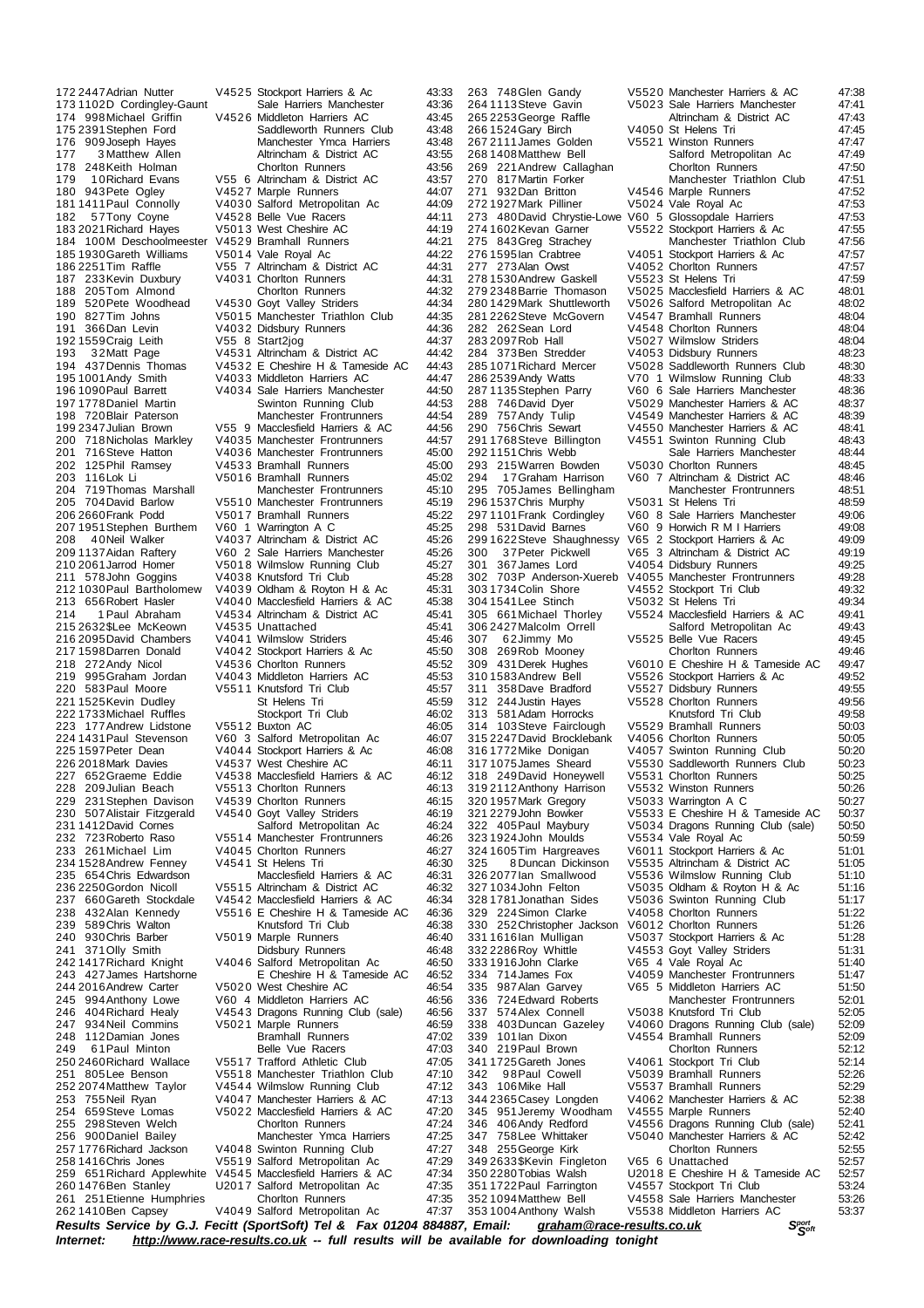180 943 Pete Ogley V4527 Marple Runners<br>1811411 Paul Connolly V4030 Salford Metropol 211 578 John Goggins<br>212 1030 Paul Bartholomew 223 177 Andrew Lidstone<br>224 1431 Paul Stevenson 244 2016 Andrew Carter V5020 West Cheshire AC<br>245 994 Anthony Lowe V60 4 Middleton Harriers 256 900Daniel Bailey 261 251 Etienne Humphries Chorlton Runners 47:35<br>262 1410 Ben Capsey V4049 Salford Metropolitan Ac 47:37

172 2447 Adrian Nutter V4525 Stockport Harriers & Ac 43:33<br>173 1102 D Cordingley-Gaunt Sale Harriers Manchester 43:36 173 1102D Cordingley-Gaunt Sale Harriers Manchester 43:36<br>174 998 Michael Griffin V4526 Middleton Harriers AC 43:45 174 998Michael Griffin V452 6 Middleton Harriers AC 43:45 175 2391Stephen Ford Saddleworth Runners Club 43:48 176 909Joseph Hayes Manchester Ymca Harriers 43:48 177 3 Matthew Allen Altrincham & District AC 43:55 178 248 Keith Holman Chorlton Runners 43:56<br>179 10 Richard Evans V55 6 Altrincham & District AC 43:57 179 1 0Richard Evans V55 6 Altrincham & District AC 43:57 111 Paul Connolly V4030 Salford Metropolitan Ac 44:09<br>57 Tony Coyne V4528 Belle Vue Racers 44:11 182 57Tony Coyne  $V4528$  Belle Vue Racers 44:11<br>1832021 Richard Haves V5013 West Cheshire AC 44:19 V5013 West Cheshire AC 184 100M Deschoolmeester V452 9 Bramhall Runners 44:21 185 1930Gareth Williams V501 4 Vale Royal Ac 44:22 186 2251Tim Raffle V55 7 Altrincham & District AC 44:31 V4031 Chorlton Runners<br>Chorlton Runners 188 205Tom Almond Chorlton Runners 44:32<br>189 520Pete Woodhead V4530 Govt Vallev Striders 44:34 189 520 Pete Woodhead V4530 Goyt Valley Striders 44:34<br>190 827 Tim Johns V5015 Manchester Triathlon Club 44:35 V5015 Manchester Triathlon Club 191 366Dan Levin V403 2 Didsbury Runners 44:36 192 1559 Craig Leith  $V55$  8 Start2jog<br>193 32 Matt Page  $V4531$  Altrincham & District AC 44:42 193 3 2Matt Page V453 1 Altrincham & District AC 44:42 194 437 Dennis Thomas V4532 E Cheshire H & Tameside AC 44:43<br>195 1001 Andy Smith V4033 Middleton Harriers AC 44:47 195 1001 Andy Smith V4033 Middleton Harriers AC 44:47<br>196 1090 Paul Barrett V4034 Sale Harriers Manchester 44:50 V4034 Sale Harriers Manchester 197 1778 Daniel Martin **Swinton Running Club** 44:53<br>198 720 Blair Paterson **Manchester Frontrunners** 44:54 198 720Blair Paterson Manchester Frontrunners 44:54 199 2347Julian Brown V55 9 Macclesfield Harriers & AC 44:56 200 718Nicholas Markley V4035 Manchester Frontrunners 44:57<br>201 716 Steve Hatton V4036 Manchester Frontrunners 45:00 201 716 Steve Hatton V4036 Manchester Frontrunners 45:00<br>202 125 Phil Ramsey V4533 Bramhall Runners 45:00 V4533 Bramhall Runners 203 116Lok Li V501 6 Bramhall Runners 45:02 204 719Thomas Marshall Manchester Frontrunners 45:10 205 704David Barlow V5510 Manchester Frontrunners 45:19<br>206 2660Frank Podd V5017 Bramhall Runners 45:22 206 2611 V5017 Bramhall Runners 45:22<br>125:25 V60 1 Warrington A C 207 1951Stephen Burthem V60 1 Warrington A C 45:25 208 40 Neil Walker V4037 Altrincham & District AC 45:26<br>2091137 Aidan Raftery V60 2 Sale Harriers Manchester 45:26 V60 2 Sale Harriers Manchester 210 2061 Jarrod Homer V501 8 Wilmslow Running Club 45:27<br>211 578 John Goggins V403 8 Knutsford Tri Club 45:28 212 1030Paul Bartholomew V403 9 Oldham & Royton H & Ac 45:31 213 656 Robert Hasler V4040 Macclesfield Harriers & AC 45:38<br>214 1 Paul Abraham V4534 Altrincham & District AC 45:41 214534 Altrincham & District AC 45:41<br>14535 Unattached 45:41 215 2632 \$Lee McKeown V4535 Unattached 45:41<br>216 2095 David Chambers V4041 Wilmslow Striders 45:46 216 2095 David Chambers V4041 Wilmslow Striders 45:46<br>217 15 98 Darren Donald V404 2 Stockport Harriers & Ac 45:50 V4042 Stockport Harriers & Ac 218 272Andy Nicol V453 6 Chorlton Runners 45:52 219 995 Graham Jordan V4043 Middleton Harriers AC 45:53<br>220 583 Paul Moore V5511 Knutsford Tri Club 45:57 V5511 Knutsford Tri Club 45:57<br>245:59 St Helens Tri 45:59 221 1525 Kevin Dudley St Helens Tri 45:59<br>222 1733 Michael Ruffles Stockport Tri Club 46:02 222 1733Michael Ruffles Stockport Tri Club 46:02 224 1431Paul Stevenson V60 3 Salford Metropolitan Ac 46:07 225 1597Peter Dean V404 4 Stockport Harriers & Ac 46:08 226 2018 Mark Davies V4537 West Cheshire AC 46:11<br>227 652 Graeme Eddie V4538 Macclesfield Harriers & AC 46:12 227 652Graeme Eddie V453 8 Macclesfield Harriers & AC 46:12 228 209Julian Beach V551 3 Chorlton Runners 46:13 V4539 Chorlton Runners 230 507 Alistair Fitzgerald V4540 Goyt Valley Striders 46:19<br>231 1412 David Cornes Salford Metropolitan Ac 46:24 231 1412 David Cornes Cornes Salford Metropolitan Ac 46:24<br>232 723 Roberto Raso V5514 Manchester Frontrunners 46:26 723 Roberto Raso V5514 Manchester Frontrunners<br>261 Michael Lim V4045 Chorlton Runners 233 261 Michael Lim V4045 Chorlton Runners 46:27<br>234 1528 Andrew Fenney V4541 St Helens Tri 46:30 234 1528 Andrew Fenney V454 1 St Helens Tri 46:30<br>235 654 Chris Edwardson Macclesfield Harriers & AC 46:31 Macclesfield Harriers & AC 236 2250 Gordon Nicoll V551 5 Altrincham & District AC 46:32<br>237 660 Gareth Stockdale V4542 Macclesfield Harriers & AC 46:34 237 660Gareth Stockdale V454 2 Macclesfield Harriers & AC 46:34 238 432Alan Kennedy V5516 E Cheshire H & Tameside AC 46:36<br>239 589Chris Walton Knutsford Tri Club 46:38 239 589 Chris Walton Knutsford Tri Club 46:38<br>240 930 Chris Barber 1990 1990 Narple Runners 46:40 240 930 Chris Barber V501 9 Marple Runners 46:40<br>241 371 Olly Smith Didsbury Runners 46:48 241 371 Olly Smith **Didsbury Runners** 46:48<br>242 1417 Richard Knight V4046 Salford Metropolitan Ac 46:50 242 1417 Richard Knight V4046 Salford Metropolitan Ac 46:50<br>243 427 James Hartshorne F Cheshire H & Tameside AC 46:52 243 427 James Hartshorne E Cheshire H & Tameside AC 46:52<br>244 2016 Andrew Carter V5020 West Cheshire AC 245 994 Anthony Lowe V60 4 Middleton Harriers AC 46:56<br>246 404 Richard Healy V4543 Dragons Running Club (sale) 46:56 246 404 Richard Healy V454 3 Dragons Running Club (sale) 46:56<br>247 934 Neil Commins V5021 Marple Runners 46:59 V5021 Marple Runners<br>Bramhall Runners 248 112Damian Jones Bramhall Runners 47:02<br>249 61Paul Minton Belle Vue Racers 47:03 249 61 Paul Minton Belle Vue Racers 47:03<br>250 2460 Richard Wallace V5517 Trafford Athletic Club 47:05 V5517 Trafford Athletic Club 251 805Lee Benson v V5518 Manchester Triathlon Club 47:10<br>252 2074 Matthew Taylor v 4544 Wilmslow Running Club 47:12 252 2074 Matthew Taylor V4544 Wilmslow Running Club 47:12<br>253 755 Neil Ryan V4047 Manchester Harriers & AC 47:13 253 755 Neil Ryan V4047 Manchester Harriers & AC 47:13<br>254 659 Steve Lomas V5022 Macclesfield Harriers & AC 47:20 254 659Steve Lomas V502 2 Macclesfield Harriers & AC 47:20 298 Steven Welch Chorlton Runners 47:24<br>1900 Daniel Bailey Manchester Ymca Harriers 47:25 257 1776 Richard Jackson V4048 Swinton Running Club 47:27<br>258 1416 Chris Jones V5519 Salford Metropolitan Ac 47:29 258 1416 Chris Jones V551 9 Salford Metropolitan Ac 47:29<br>259 651 Richard Applewhite V4545 Macclesfield Harriers & AC 47:34 259 651 Richard Applewhite V4545 Macclesfield Harriers & AC 47:34<br>260 1476 Ben Stanley U2017 Salford Metropolitan Ac 47:35 Salford Metropolitan Ac 47:35<br>Chorlton Runners 47:35

267 2111 James Golden V5521 Winston Runners<br>268 1408 Matthew Bell Salford Metropoli 278 1530 Andrew Gaskell<br>279 2348 Barrie Thomason 281 2262 Steve McGovern<br>282 262 Sean Lord 308 269 Rob Mooney 314 103 Steve Fairclough V5529 Bramhall Runners<br>315 2247 David Brocklebank V4056 Chorlton Runners

263 748Glen Gandy V5520 Manchester Harriers & AC 47:38<br>264 1113 Steve Gavin V5023 Sale Harriers Manchester 47:41 241 V5023 Sale Harriers Manchester 47:41<br>Altrincham & District AC 47:43 265 2253 George Raffle Altrincham & District AC 47:43<br>266 1524 Gary Birch V4050 St Helens Tri 47:45 266 1524 Gary Birch V4050 St Helens Tri 47:45<br>267 2111 James Golden V5521 Winston Runners 47:47 Salford Metropolitan Ac 47:49<br>Chorlton Runners 47:50 269 221 Andrew Callaghan Chorlton Runners 47:50<br>270 817 Martin Forker Manchester Triathlon Club 47:51 270 817Martin Forker Manchester Triathlon Club 47:51<br>271 932Dan Britton V4546 Marple Runners 47:52 271 932Dan Britton V454 6 Marple Runners 47:52 272 1927 Mark Pilliner V5024 Vale Royal Ac 47:53<br>273 480 David Chrystie-Lowe V60 5 Glossopdale Harriers 47:53 273 480David Chrystie-Lowe V60 5 Glossopdale Harriers 47:53 V5522 Stockport Harriers & Ac<br>Manchester Triathlon Club 275 843Greg Strachey Manchester Triathlon Club 47:56 276 1595 Ian Crabtree  $\overline{0}$  V4051 Stockport Harriers & Ac 47:57<br>277 273 Alan Owst V4052 Chorlton Runners 47:57 V4052 Chorlton Runners 47:57<br>V5523 St Helens Tri 47:59 279 2348 Barrie Thomason V5025 Macclesfield Harriers & AC 48:01<br>280 1429 Mark Shuttleworth V5026 Salford Metropolitan Ac 48:02 V5026 Salford Metropolitan Ac 48:02<br>V4547 Bramhall Runners 48:04 282 262Sean Lord V454 8 Chorlton Runners 48:04 283 2097 Rob Hall V5027 Wilmslow Striders 48:04<br>284 373 Ben Stredder V4053 Didsbury Runners 48:23 284 373Ben Stredder van Stredder van Stredder van Stredder van Stredder van Stredder van Stredder van Stredder<br>285 1071 Richard Mercer v5028 Saddleworth Runners Club 48:30 285 1071 Richard Mercer V5028 Saddleworth Runners Club 48:30<br>286 2539 Andy Watts V70 1 Wilmslow Running Club 48:33 286 2539Andy Watts V70 1 Wilmslow Running Club 48:33 V60 6 Sale Harriers Manchester 288 746David Dyer <br>289 757 Andy Tulip 194549 Manchester Harriers & AC 48:39 289 757Andy Tulip 1988 V454 9 Manchester Harriers & AC 48:39<br>290 756 Chris Sewart 1985 V4550 Manchester Harriers & AC 48:41 290 756 Chris Sewart V4550 Manchester Harriers & AC 48:41<br>291 1768 Steve Billington V4551 Swinton Running Club 48:43 291 1768 Steve Billington V4551 Swinton Running Club 48:43<br>292 1151 Chris Webb Sale Harriers Manchester 48:44 292 1151 Chris Webb Sale Harriers Manchester 48:44<br>293 215 Warren Bowden V5030 Chorlton Runners 48:45 V5030 Chorlton Runners 294 1 7Graham Harrison V60 7 Altrincham & District AC 48:46 295 705James Bellingham Manchester Frontrunners 48:51 296 1537 Chris Murphy V5031 St Helens Tri 1996 1537 Chris Murphy V5031 St Helens Tri 48:59<br>297 1101 Frank Cordingley V60 8 Sale Harriers Manchester 49:06 297 1101Frank Cordingley V60 8 Sale Harriers Manchester 49:06 298 531 David Barnes V60 9 Horwich R M I Harriers 49:08<br>299 1622 Steve Shaughnessy V65 2 Stockport Harriers & Ac 49:09 299 1622Steve Shaughnessy V65 2 Stockport Harriers & Ac 49:09 V65 3 Altrincham & District AC 301 367James Lord V4054 Didsbury Runners 49:25<br>302 703P Anderson-Xuereb V4055 Manchester Frontrunners 49:28 302 703P Anderson-Xuereb V4055 Manchester Frontrunners 49:28<br>3031734 Colin Shore V4552 Stockport Tri Club 49:32 303 1734 Colin Shore V4552 Stockport Tri Club 49:32<br>304 1541 Lee Stinch V5032 St Helens Tri 49:34 304 1541Lee Stinch V503 2 St Helens Tri 49:34 305 661Michael Thorley V552 4 Macclesfield Harriers & AC 49:41 306 2427 Malcolm Orrell **Salford Metropolitan Ac** 49:43<br>307 62 Jimmy Mo V5525 Belle Vue Racers 49:45 V5525 Belle Vue Racers 49:45<br>Chortton Runners 49:46 309 431 Derek Hughes V6010 E Cheshire H & Tameside AC 49:47<br>310 1583 Andrew Bell V5526 Stockport Harriers & Ac 49:52 310 1583Andrew Bell V552 6 Stockport Harriers & Ac 49:52 311 358Dave Bradford V552 7 Didsbury Runners 49:55 312 244Justin Hayes V552 8 Chorlton Runners 49:56 313 581Adam Horrocks Knutsford Tri Club 49:58 315 2247 David Brocklebank V4056 Chorlton Runners 50:05<br>316 1772 Mike Donigan V4057 Swinton Running Club 50:20 316 1772 Mike Donigan V4057 Swinton Running Club 50:20<br>317 1075 James Sheard V5530 Saddleworth Runners Club 50:23 417 107530 Saddleworth Runners Club 50:23<br>150:25 17 V5531 Chorlton Runners 318 249David Honeywell V553 1 Chorlton Runners 50:25 319 2112Anthony Harrison V553 2 Winston Runners 50:26 V5033 Warrington A C 321 2279John Bowker V553 3 E Cheshire H & Tameside AC 50:37 322 405Paul Maybury V503 4 Dragons Running Club (sale) 50:50 323 1924 John Moulds V5534 Vale Royal Ac 324 1605 Tim Hargreaves V6011 Stockport Harriers & Ac 51:01 324 1605Tim Hargreaves V601 1 Stockport Harriers & Ac 51:01 325 8 Duncan Dickinson V553 5 Altrincham & District AC 51:05 V5536 Wilmslow Running Club 327 1034John Felton V503 5 Oldham & Royton H & Ac 51:16 328 1781Jonathan Sides V503 6 Swinton Running Club 51:17 329 224Simon Clarke V4058 Chorlton Runners 51:22<br>330 252Christopher Jackson V6012 Chorlton Runners 51:26 330 252Christopher Jackson V6012 Chorlton Runners 51:26<br>331 1616 lan Mulligan V5037 Stockport Harriers & Ac 51:28 331 1616Ian Mulligan V503 7 Stockport Harriers & Ac 51:28 332 2286Roy Whittle V455 3 Goyt Valley Striders 51:31 333 1916 John Clarke V65 4 Vale Royal Ac 51:40<br>334 714 James Fox V4059 Manchester Frontrunners 51:47 334 714James Fox V4059 Manchester Frontrunners 51:47<br>335 987Alan Garvey V65 5 Middleton Harriers AC 51:50 387 Alan Garvey V65 5 Middleton Harriers AC<br>324 Edward Roberts Manchester Frontruppe 336 724Edward Roberts Manchester Frontrunners 52:01 337 574Alex Connell V503 8 Knutsford Tri Club 52:05 403Duncan Gazeley V4060 Dragons Running Club (sale) 52:09<br>101 lan Dixon V4554 Bramhall Runners 52:09 339 101 Ian Dixon V4554 Bramhall Runners 52:09<br>340 219 Paul Brown Chortton Runners 52:09 340 219Paul Brown Chorlton Runners 52:12 V4061 Stockport Tri Club 342 9 8Paul Cowell V503 9 Bramhall Runners 52:26 343 106Mike Hall V553 7 Bramhall Runners 52:29 V4062 Manchester Harriers & AC 52:38<br>V4555 Marple Runners 52:40 345 951 Jeremy Woodham V4555 Marple Runners 52:40<br>346 406 Andy Redford V4556 Dragons Running Club (sale) 52:41 346 406 Andy Redford V455 6 Dragons Running Club (sale) 52:41<br>347 758 Lee Whittaker V5040 Manchester Harriers & AC 52:42 V5040 Manchester Harriers & AC 348 255George Kirk Chorlton Runners 52:55 349 2633 SKevin Fingleton V65 6 Unattached 52:57<br>350 2280 Tobias Walsh U2018 E Cheshire H & Tameside AC 52:57 350 2280Tobias Walsh U201 8 E Cheshire H & Tameside AC 52:57 351 1722 Paul Farrington V4557 Stockport Tri Club 53:24<br>352 1094 Matthew Bell V4558 Sale Harriers Manchester 53:26 352 1094Matthew Bell V455 8 Sale Harriers Manchester 53:26 V5538 Middleton Harriers AC

Results Service by G.J. Fecitt (SportSoft) Tel & Fax 01204 884887, Email: [graham@race-results.co.uk](mailto:graham@race-results.co.uk)<br>Internet: http://www.race-results.co.uk -- full results will be available for downloading tonight *Internet: <http://www.race-results.co.uk> -- full results will be available for downloading tonight*

V4049 Salford Metropolitan Ac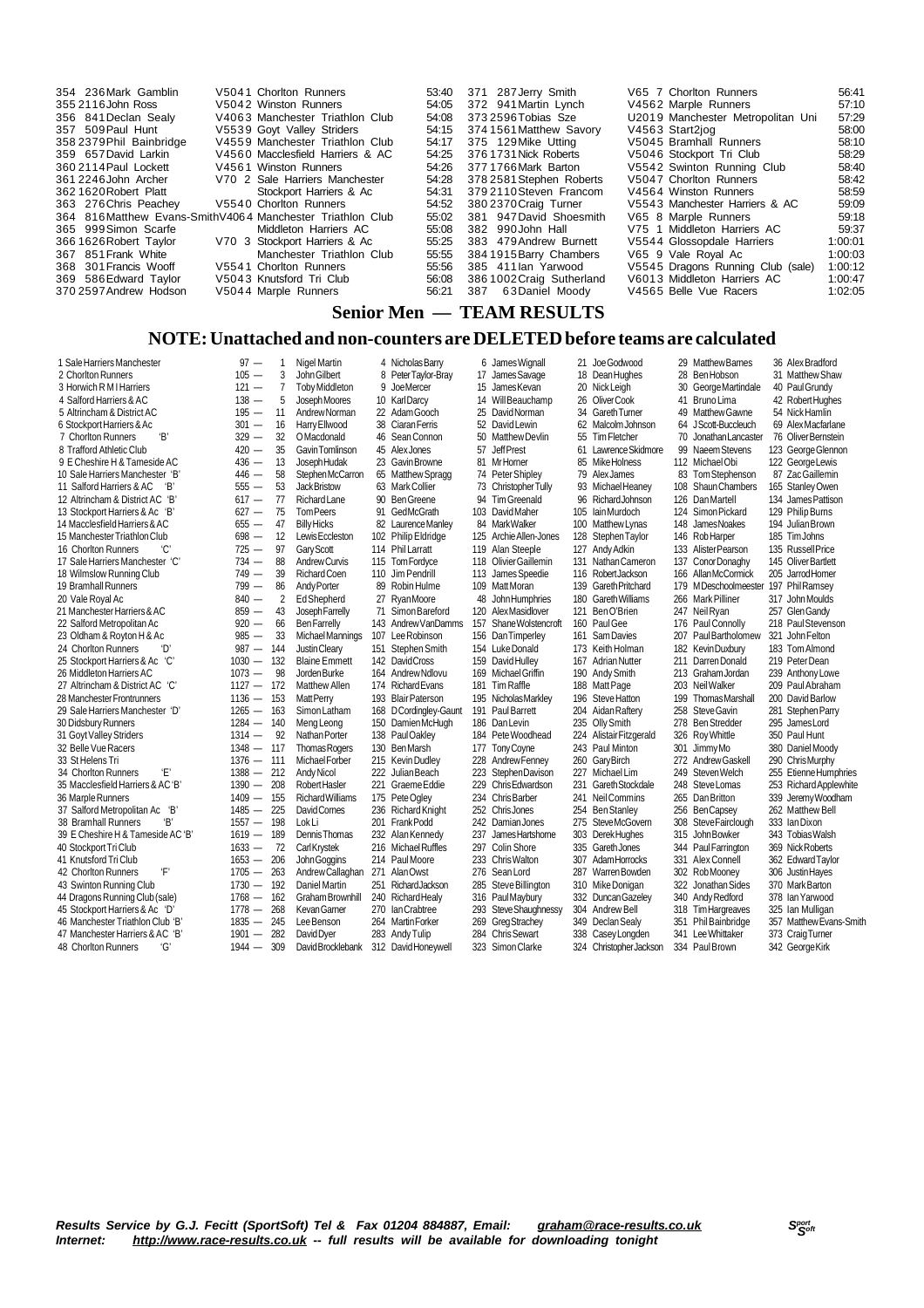| 354 236 Mark Gamblin                                        |                                  |       |                           | V65 7 Chorlton Runners            | 56:41   |
|-------------------------------------------------------------|----------------------------------|-------|---------------------------|-----------------------------------|---------|
|                                                             | V5041 Chorlton Runners           |       | 53:40 371 287 Jerry Smith |                                   |         |
| 355 2116 John Ross                                          | V5042 Winston Runners            | 54:05 | 372 941 Martin Lynch      | V4562 Marple Runners              | 57:10   |
| 356 841 Declan Sealy                                        | V4063 Manchester Triathlon Club  | 54:08 | 373 2596 Tobias Sze       | U2019 Manchester Metropolitan Uni | 57:29   |
| 357 509 Paul Hunt                                           | V5539 Goyt Valley Striders       | 54:15 | 374 1561 Matthew Savory   | V4563 Start2iog                   | 58:00   |
| 358 2379 Phil Bainbridge                                    | V4559 Manchester Triathlon Club  | 54:17 | 375 129 Mike Utting       | V5045 Bramhall Runners            | 58:10   |
| 359 657 David Larkin                                        | V4560 Macclesfield Harriers & AC | 54:25 | 376 1731 Nick Roberts     | V5046 Stockport Tri Club          | 58:29   |
| 360 2114 Paul Lockett                                       | V4561 Winston Runners            | 54:26 | 3771766Mark Barton        | V5542 Swinton Running Club        | 58:40   |
| 361 2246 John Archer                                        | V70 2 Sale Harriers Manchester   | 54:28 | 378 2581 Stephen Roberts  | V5047 Chorlton Runners            | 58:42   |
| 3621620 Robert Platt                                        | Stockport Harriers & Ac          | 54:31 | 379 2110 Steven Francom   | V4564 Winston Runners             | 58:59   |
| 363 276 Chris Peachey                                       | V5540 Chorlton Runners           | 54:52 | 380 2370 Craig Turner     | V5543 Manchester Harriers & AC    | 59:09   |
| 364 816 Matthew Evans-Smith V4064 Manchester Triathlon Club |                                  | 55:02 | 381 947 David Shoesmith   | V65 8 Marple Runners              | 59:18   |
| 365 999 Simon Scarfe                                        | Middleton Harriers AC            | 55:08 | 382 990John Hall          | V75 1 Middleton Harriers AC       | 59:37   |
| 3661626 Robert Taylor                                       | V70 3 Stockport Harriers & Ac    | 55:25 | 383 479 Andrew Burnett    | V5544 Glossopdale Harriers        | 1:00:01 |
| 367 851 Frank White                                         | Manchester Triathlon Club        | 55:55 | 384 1915 Barry Chambers   | V65 9 Vale Roval Ac               | 1:00:03 |
| 368 301 Francis Wooff                                       | V5541 Chorlton Runners           | 55:56 | 385 411 lan Yarwood       | V5545 Dragons Running Club (sale) | 1:00:12 |
| 369 586 Edward Taylor                                       | V5043 Knutsford Tri Club         | 56.08 | 3861002 Craig Sutherland  | V6013 Middleton Harriers AC       | 1:00:47 |
| 370 2597 Andrew Hodson                                      | V5044 Marple Runners             | 56:21 | 387 63Daniel Moody        | V4565 Belle Vue Racers            | 1:02:05 |
|                                                             |                                  |       |                           |                                   |         |

#### **Senior Men — TEAM RESULTS**

| 1 Sale Harriers Manchester        | $97 -$                           |     | Nigel Martin            |     | 4 Nicholas Barry    |     | 6 James Wignall          |     | 21 Joe Godwood          |     | 29 Matthew Barnes     | 36 Alex Bradford        |
|-----------------------------------|----------------------------------|-----|-------------------------|-----|---------------------|-----|--------------------------|-----|-------------------------|-----|-----------------------|-------------------------|
| 2 Chorlton Runners                | $105 -$                          | 3   | John Gilbert            |     | 8 Peter Taylor-Bray |     | 17 James Savage          |     | 18 Dean Hughes          |     | 28 Ben Hobson         | 31 Matthew Shaw         |
| 3 Horwich R M I Harriers          | $121 -$                          | 7   | <b>Toby Middleton</b>   |     | 9 JoeMercer         |     | 15 James Kevan           |     | 20 Nick Leigh           |     | 30 George Martindale  | 40 Paul Grundy          |
| 4 Salford Harriers & AC           | $138 -$                          | 5   | Joseph Moores           |     | 10 Karl Darcy       |     | 14 Will Beauchamp        | 26  | Oliver Cook             | 41  | <b>BrunoLima</b>      | 42 Robert Hughes        |
| 5 Altrincham & District AC        | $195 -$                          | 11  | Andrew Norman           |     | 22 Adam Gooch       |     | 25 David Norman          |     | 34 Gareth Turner        |     | 49 Matthew Gawne      | 54 Nick Hamlin          |
| 6 Stockport Harriers & Ac         | $301 -$                          | 16  | Harry Ellwood           |     | 38 Ciaran Ferris    |     | 52 David Lewin           |     | 62 Malcolm Johnson      | 64  | JScott-Buccleuch      | 69 Alex Macfarlane      |
| Έ,<br>7 Chorlton Runners          | $329 -$                          | 32  | O Macdonald             |     | 46 Sean Connon      |     | 50 Matthew Devlin        |     | 55 Tim Fletcher         |     | 70 Jonathan Lancaster | 76 Oliver Bernstein     |
| 8 Trafford Athletic Club          | $420 -$                          | 35  | Gavin Tomlinson         |     | 45 Alex Jones       | 57  | <b>JeffPrest</b>         | 61  | Lawrence Skidmore       |     | 99 Naeem Stevens      | 123 George Glennon      |
| 9 E Cheshire H & Tameside AC      | $436 -$                          | 13  | <b>JosephHudak</b>      |     | 23 Gavin Browne     |     | 81 Mr Horner             |     | 85 Mike Holness         |     | 112 Michael Obi       | 122 George Lewis        |
| 10 Sale Harriers Manchester 'B'   | $446 -$                          | 58  | Stephen McCarron        |     | 65 Matthew Spragg   |     | 74 Peter Shipley         |     | 79 Alex James           |     | 83 Tom Stephenson     | 87 Zac Gaillemin        |
|                                   |                                  |     |                         |     |                     |     |                          |     |                         |     |                       |                         |
| 11 Salford Harriers & AC<br>'В'   | $555 -$                          | 53  | Jack Bristow            |     | 63 Mark Collier     | 73  | <b>Christopher Tully</b> | 93  | Michael Heanev          | 108 | Shaun Chambers        | 165 Stanley Owen        |
| 12 Altrincham & District AC 'B'   | $617 -$                          | 77  | <b>Richard Lane</b>     |     | 90 Ben Greene       |     | 94 Tim Greenald          |     | 96 Richard Johnson      |     | 126 Dan Martell       | 134 James Pattison      |
| 13 Stockport Harriers & Ac 'B'    | $627 -$                          | 75  | <b>Tom Peers</b>        | 91  | GedMcGrath          |     | 103 David Maher          | 105 | lain Murdoch            | 124 | Simon Pickard         | 129 Philip Burns        |
| 14 Macclesfield Harriers & AC     | $655 -$                          | 47  | <b>Billy Hicks</b>      |     | 82 Laurence Manley  |     | 84 MarkWalker            |     | 100 Matthew Lynas       |     | 148 James Noakes      | 194 Julian Brown        |
| 15 Manchester Triathlon Club      | $698 -$                          | 12  | Lewis Eccleston         |     | 102 Philip Eldridge |     | 125 Archie Allen-Jones   |     | 128 Stephen Taylor      |     | 146 Rob Harper        | 185 Tim Johns           |
| ۴С'<br>16 Chorlton Runners        | $725 -$                          | 97  | Gary Scott              |     | 114 Phil Larratt    |     | 119 Alan Steeple         |     | 127 Andy Adkin          |     | 133 Alister Pearson   | 135 Russell Price       |
| 17 Sale Harriers Manchester 'C'   | $734 -$                          | 88  | Andrew Curvis           |     | 115 Tom Fordyce     |     | 118 Olivier Gaillemin    | 131 | Nathan Cameron          |     | 137 Conor Donaghy     | 145 Oliver Bartlett     |
| 18 Wilmslow Running Club          | $749 -$                          | 39  | Richard Coen            |     | 110 Jim Pendrill    |     | 113 James Speedie        |     | 116 Robert Jackson      |     | 166 AllanMcCormick    | 205 Jarrod Homer        |
| 19 Bramhall Runners               | $799 -$                          | 86  | Andy Porter             | 89  | Robin Hulme         |     | 109 Matt Moran           | 139 | Gareth Pritchard        |     | 179 M Deschoolmeester | 197 Phil Ramsey         |
| 20 Vale Royal Ac                  | $840 -$                          | 2   | Ed Shepherd             | 27  | Rvan Moore          |     | 48 John Humphries        | 180 | Gareth Williams         |     | 266 Mark Pilliner     | 317 John Moulds         |
|                                   |                                  | 43  |                         |     |                     |     | 120 Alex Masidlover      |     |                         |     |                       |                         |
| 21 Manchester Harriers & AC       | $859 -$                          |     | <b>Joseph Farrelly</b>  |     | 71 Simon Bareford   |     |                          |     | 121 BenO'Brien          |     | 247 Neil Ryan         | 257 Glen Gandy          |
| 22 Salford Metropolitan Ac        | 920<br>$\qquad \qquad -$         | 66  | <b>Ben Farrelly</b>     |     | 143 Andrew VanDamms |     | 157 Shane Wolstencroft   |     | 160 Paul Gee            |     | 176 Paul Connolly     | 218 Paul Stevenson      |
| 23 Oldham & Royton H & Ac         | 985<br>$\qquad \qquad -$         | 33  | Michael Mannings        |     | 107 Lee Robinson    |     | 156 Dan Timperley        |     | 161 Sam Davies          |     | 207 Paul Bartholomew  | 321 John Felton         |
| 24 Chorlton Runners<br>'D'        | $987 -$                          | 144 | Justin Cleary           |     | 151 Stephen Smith   |     | 154 Luke Donald          |     | 173 Keith Holman        |     | 182 KevinDuxbury      | 183 Tom Almond          |
| 25 Stockport Harriers & Ac 'C'    | $1030 - 132$                     |     | <b>Blaine Emmett</b>    |     | 142 DavidCross      |     | 159 David Hullev         |     | 167 Adrian Nutter       |     | 211 Darren Donald     | 219 Peter Dean          |
| 26 Middleton Harriers AC          | $1073 -$                         | 98  | Jorden Burke            |     | 164 Andrew Ndlovu   |     | 169 Michael Griffin      |     | 190 Andy Smith          |     | 213 Graham Jordan     | 239 Anthony Lowe        |
| 27 Altrincham & District AC 'C'   | $1127 - 172$                     |     | <b>Matthew Allen</b>    |     | 174 Richard Evans   |     | 181 Tim Raffle           |     | 188 Matt Page           |     | 203 Neil Walker       | 209 Paul Abraham        |
| 28 Manchester Frontrunners        | $1136 -$                         | 153 | Matt Perry              |     | 193 Blair Paterson  |     | 195 Nicholas Markley     |     | 196 Steve Hatton        | 199 | Thomas Marshall       | 200 David Barlow        |
| 29 Sale Harriers Manchester 'D'   | $1265 -$                         | 163 | Simon Latham            | 168 | DCordingley-Gaunt   |     | 191 Paul Barrett         |     | 204 Aidan Raftery       | 258 | Steve Gavin           | 281 Stephen Parry       |
| 30 Didsbury Runners               | $1284 - 140$                     |     | Meng Leong              | 150 | Damien McHugh       |     | 186 Dan Levin            |     | 235 Olly Smith          |     | 278 Ben Stredder      | 295 James Lord          |
| 31 Goyt Valley Striders           | $1314 -$                         | 92  | Nathan Porter           |     | 138 Paul Oakley     |     | 184 Pete Woodhead        |     | 224 Alistair Fitzgerald |     | 326 Roy Whittle       | 350 Paul Hunt           |
|                                   |                                  |     |                         |     |                     |     |                          |     |                         |     |                       |                         |
| 32 Belle Vue Racers               | $1348 - 117$                     |     | Thomas Rogers           |     | 130 Ben Marsh       |     | 177 Tony Coyne           |     | 243 Paul Minton         | 301 | Jimmy Mo              | 380 Daniel Moody        |
| 33 St Helens Tri                  | $1376 - 111$                     |     | Michael Forber          |     | 215 Kevin Dudley    |     | 228 Andrew Fenney        |     | 260 Gary Birch          | 272 | Andrew Gaskell        | 290 Chris Murphy        |
| Έ<br>34 Chorlton Runners          | $1388 - 212$                     |     | Andy Nicol              |     | 222 Julian Beach    |     | 223 Stephen Davison      |     | 227 Michael Lim         |     | 249 Steven Welch      | 255 Etienne Humphries   |
| 35 Macclesfield Harriers & AC 'B' | $1390 -$                         | 208 | Robert Hasler           | 221 | Graeme Eddie        |     | 229 Chris Edwardson      | 231 | Gareth Stockdale        |     | 248 Steve Lomas       | 253 Richard Applewhite  |
| 36 Marple Runners                 | 1409<br>$\overline{\phantom{0}}$ | 155 | <b>Richard Williams</b> |     | 175 Pete Ogley      |     | 234 Chris Barber         |     | 241 Neil Commins        |     | 265 Dan Britton       | 339 Jeremy Woodham      |
| 37 Salford Metropolitan Ac 'B'    | $1485 -$                         | 225 | <b>DavidCornes</b>      |     | 236 Richard Knight  |     | 252 Chris Jones          |     | 254 Ben Stanley         |     | 256 Ben Capsey        | 262 Matthew Bell        |
| Έ,<br>38 Bramhall Runners         | $1557 -$                         | 198 | Lok Li                  |     | 201 Frank Podd      |     | 242 Damian Jones         |     | 275 SteveMcGovern       | 308 | Steve Fairclough      | 333 Ian Dixon           |
| 39 E Cheshire H & Tameside AC 'B' | $1619 - 189$                     |     | Dennis Thomas           |     | 232 Alan Kennedy    | 237 | James Hartshorne         |     | 303 Derek Hughes        |     | 315 John Bowker       | 343 Tobias Walsh        |
| 40 Stockport Tri Club             | $1633 -$                         | 72  | <b>Carl Krystek</b>     |     | 216 Michael Ruffles | 297 | <b>Colin Shore</b>       | 335 | Gareth Jones            |     | 344 Paul Farrington   | 369 Nick Roberts        |
| 41 Knutsford Tri Club             | $1653 -$                         | 206 | John Goggins            |     | 214 Paul Moore      |     | 233 Chris Walton         |     | 307 Adam Horrocks       |     | 331 Alex Connell      | 362 Edward Taylor       |
| Έ<br>42 Chorlton Runners          | $1705 -$                         | 263 | Andrew Callaghan        |     | 271 Alan Owst       |     | 276 Sean Lord            | 287 | Warren Bowden           |     | 302 RobMooney         | 306 Justin Hayes        |
|                                   | $1730 -$                         | 192 | Daniel Martin           |     | 251 Richard Jackson |     | 285 Steve Billington     |     | 310 Mike Donigan        |     | 322 Jonathan Sides    | 370 Mark Barton         |
| 43 Swinton Running Club           |                                  |     |                         |     |                     |     |                          |     |                         |     |                       |                         |
| 44 Dragons Running Club (sale)    | $1768 -$                         | 162 | Graham Brownhill        |     | 240 Richard Healy   |     | 316 Paul Maybury         |     | 332 Duncan Gazelev      |     | 340 Andy Redford      | 378 Ian Yarwood         |
| 45 Stockport Harriers & Ac 'D'    | $1778 -$                         | 268 | Kevan Gamer             |     | 270 Ian Crabtree    |     | 293 Steve Shaughnessy    |     | 304 Andrew Bell         |     | 318 Tim Hargreaves    | 325 Ian Mulligan        |
| 46 Manchester Triathlon Club 'B'  | $1835 -$                         | 245 | Lee Benson              |     | 264 Martin Forker   |     | 269 GregStrachey         |     | 349 Declan Sealy        |     | 351 Phil Bainbridge   | 357 Matthew Evans-Smith |
| 47 Manchester Harriers & AC 'B'   | 1901 —                           | 282 | David Dver              |     | 283 Andy Tulip      |     | 284 Chris Sewart         | 338 | Casey Longden           |     | 341 Lee Whittaker     | 373 Craig Turner        |
| ʻG'<br>48 Chorlton Runners        | 1944 —                           | 309 | David Brocklebank       |     | 312 David Honeywell |     | 323 Simon Clarke         |     | 324 ChristopherJackson  |     | 334 Paul Brown        | 342 George Kirk         |